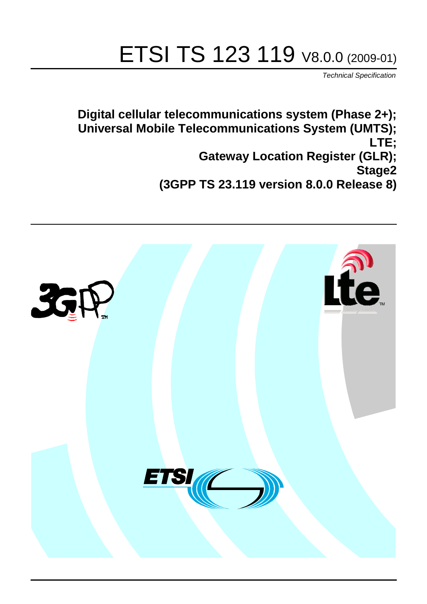# ETSI TS 123 119 V8.0.0 (2009-01)

*Technical Specification*

**Digital cellular telecommunications system (Phase 2+); Universal Mobile Telecommunications System (UMTS); LTE; Gateway Location Register (GLR); Stage2 (3GPP TS 23.119 version 8.0.0 Release 8)**

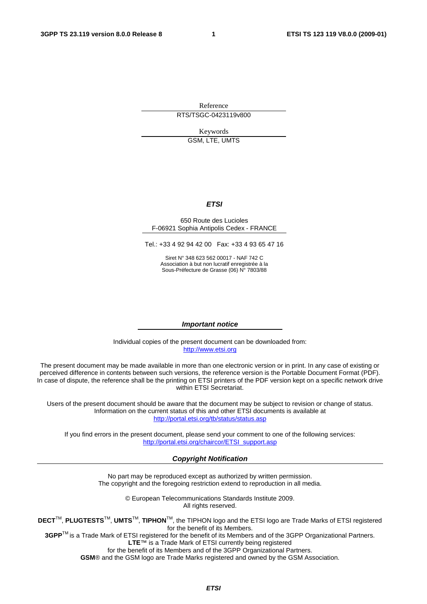Reference RTS/TSGC-0423119v800

Keywords

GSM, LTE, UMTS

#### *ETSI*

#### 650 Route des Lucioles F-06921 Sophia Antipolis Cedex - FRANCE

Tel.: +33 4 92 94 42 00 Fax: +33 4 93 65 47 16

Siret N° 348 623 562 00017 - NAF 742 C Association à but non lucratif enregistrée à la Sous-Préfecture de Grasse (06) N° 7803/88

#### *Important notice*

Individual copies of the present document can be downloaded from: [http://www.etsi.org](http://www.etsi.org/)

The present document may be made available in more than one electronic version or in print. In any case of existing or perceived difference in contents between such versions, the reference version is the Portable Document Format (PDF). In case of dispute, the reference shall be the printing on ETSI printers of the PDF version kept on a specific network drive within ETSI Secretariat.

Users of the present document should be aware that the document may be subject to revision or change of status. Information on the current status of this and other ETSI documents is available at <http://portal.etsi.org/tb/status/status.asp>

If you find errors in the present document, please send your comment to one of the following services: [http://portal.etsi.org/chaircor/ETSI\\_support.asp](http://portal.etsi.org/chaircor/ETSI_support.asp)

#### *Copyright Notification*

No part may be reproduced except as authorized by written permission. The copyright and the foregoing restriction extend to reproduction in all media.

> © European Telecommunications Standards Institute 2009. All rights reserved.

**DECT**TM, **PLUGTESTS**TM, **UMTS**TM, **TIPHON**TM, the TIPHON logo and the ETSI logo are Trade Marks of ETSI registered for the benefit of its Members.

**3GPP**TM is a Trade Mark of ETSI registered for the benefit of its Members and of the 3GPP Organizational Partners. **LTE**™ is a Trade Mark of ETSI currently being registered

for the benefit of its Members and of the 3GPP Organizational Partners.

**GSM**® and the GSM logo are Trade Marks registered and owned by the GSM Association.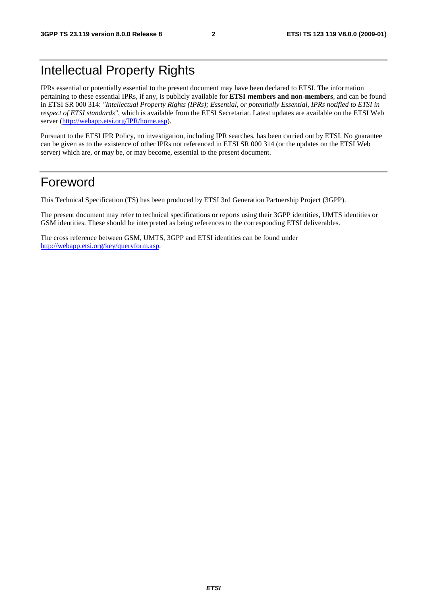## Intellectual Property Rights

IPRs essential or potentially essential to the present document may have been declared to ETSI. The information pertaining to these essential IPRs, if any, is publicly available for **ETSI members and non-members**, and can be found in ETSI SR 000 314: *"Intellectual Property Rights (IPRs); Essential, or potentially Essential, IPRs notified to ETSI in respect of ETSI standards"*, which is available from the ETSI Secretariat. Latest updates are available on the ETSI Web server ([http://webapp.etsi.org/IPR/home.asp\)](http://webapp.etsi.org/IPR/home.asp).

Pursuant to the ETSI IPR Policy, no investigation, including IPR searches, has been carried out by ETSI. No guarantee can be given as to the existence of other IPRs not referenced in ETSI SR 000 314 (or the updates on the ETSI Web server) which are, or may be, or may become, essential to the present document.

## Foreword

This Technical Specification (TS) has been produced by ETSI 3rd Generation Partnership Project (3GPP).

The present document may refer to technical specifications or reports using their 3GPP identities, UMTS identities or GSM identities. These should be interpreted as being references to the corresponding ETSI deliverables.

The cross reference between GSM, UMTS, 3GPP and ETSI identities can be found under [http://webapp.etsi.org/key/queryform.asp.](http://webapp.etsi.org/key/queryform.asp)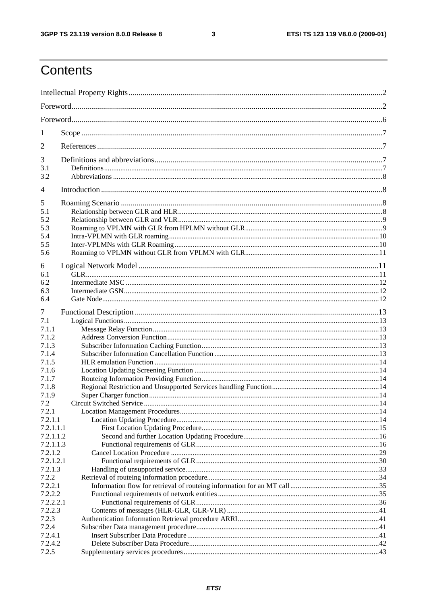$\mathbf{3}$ 

## Contents

| 1                |  |  |  |  |
|------------------|--|--|--|--|
| 2                |  |  |  |  |
| 3                |  |  |  |  |
| 3.1              |  |  |  |  |
| 3.2              |  |  |  |  |
| 4                |  |  |  |  |
| 5                |  |  |  |  |
| 5.1              |  |  |  |  |
| 5.2              |  |  |  |  |
| 5.3              |  |  |  |  |
| 5.4              |  |  |  |  |
| 5.5              |  |  |  |  |
| 5.6              |  |  |  |  |
| 6                |  |  |  |  |
| 6.1              |  |  |  |  |
| 6.2              |  |  |  |  |
| 6.3              |  |  |  |  |
| 6.4              |  |  |  |  |
|                  |  |  |  |  |
| 7                |  |  |  |  |
| 7.1              |  |  |  |  |
| 7.1.1            |  |  |  |  |
| 7.1.2<br>7.1.3   |  |  |  |  |
| 7.1.4            |  |  |  |  |
| 7.1.5            |  |  |  |  |
| 7.1.6            |  |  |  |  |
| 7.1.7            |  |  |  |  |
| 7.1.8            |  |  |  |  |
| 7.1.9            |  |  |  |  |
| 7.2              |  |  |  |  |
| 7.2.1            |  |  |  |  |
| 7.2.1.1          |  |  |  |  |
| 7.2.1.1.1        |  |  |  |  |
| 7.2.1.1.2        |  |  |  |  |
| 7.2.1.1.3        |  |  |  |  |
| 7.2.1.2          |  |  |  |  |
| 7.2.1.2.1        |  |  |  |  |
| 7.2.1.3          |  |  |  |  |
| 7.2.2            |  |  |  |  |
| 7.2.2.1          |  |  |  |  |
| 7.2.2.2          |  |  |  |  |
| 7.2.2.2.1        |  |  |  |  |
| 7.2.2.3<br>7.2.3 |  |  |  |  |
| 7.2.4            |  |  |  |  |
| 7.2.4.1          |  |  |  |  |
| 7.2.4.2          |  |  |  |  |
| 7.2.5            |  |  |  |  |
|                  |  |  |  |  |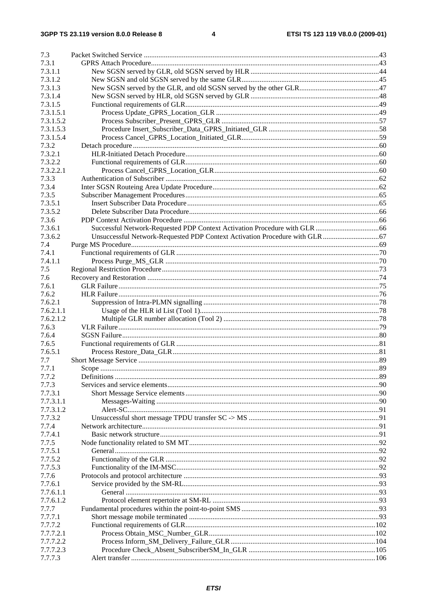| 7.3       |       |     |
|-----------|-------|-----|
| 7.3.1     |       |     |
| 7.3.1.1   |       |     |
| 7.3.1.2   |       |     |
| 7.3.1.3   |       |     |
| 7.3.1.4   |       |     |
| 7.3.1.5   |       |     |
| 7.3.1.5.1 |       |     |
| 7.3.1.5.2 |       |     |
| 7.3.1.5.3 |       |     |
| 7.3.1.5.4 |       |     |
| 7.3.2     |       |     |
| 7.3.2.1   |       |     |
| 7.3.2.2   |       |     |
| 7.3.2.2.1 |       |     |
| 7.3.3     |       |     |
| 7.3.4     |       |     |
| 7.3.5     |       |     |
| 7.3.5.1   |       |     |
| 7.3.5.2   |       |     |
| 7.3.6     |       |     |
| 7.3.6.1   |       |     |
| 7.3.6.2   |       |     |
| 7.4       |       |     |
| 7.4.1     |       |     |
| 7.4.1.1   |       |     |
| 7.5       |       |     |
| 7.6       |       |     |
| 7.6.1     |       |     |
| 7.6.2     |       |     |
| 7.6.2.1   |       |     |
| 7.6.2.1.1 |       |     |
| 7.6.2.1.2 |       |     |
| 7.6.3     |       |     |
| 7.6.4     |       |     |
| 7.6.5     |       |     |
| 7.6.5.1   |       |     |
| 7.7       |       |     |
| 7.7.1     | Scope | .89 |
| 7.7.2     |       |     |
| 7.7.3     |       |     |
| 7.7.3.1   |       |     |
| 7.7.3.1.1 |       |     |
| 7.7.3.1.2 |       |     |
| 7.7.3.2   |       |     |
| 7.7.4     |       |     |
| 7.7.4.1   |       |     |
| 7.7.5     |       |     |
| 7.7.5.1   |       |     |
| 7.7.5.2   |       |     |
| 7.7.5.3   |       |     |
| 7.7.6     |       |     |
| 7.7.6.1   |       |     |
| 7.7.6.1.1 |       |     |
| 7.7.6.1.2 |       |     |
| 7.7.7     |       |     |
| 7.7.7.1   |       |     |
| 7.7.7.2   |       |     |
| 7.7.7.2.1 |       |     |
| 7.7.7.2.2 |       |     |
| 7.7.7.2.3 |       |     |
| 7.7.7.3   |       |     |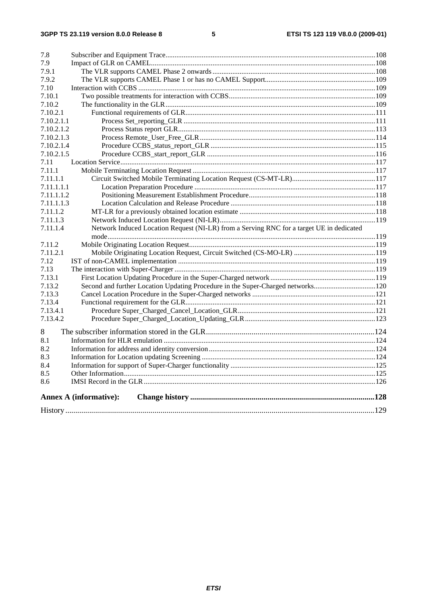| 7.8        |                                                                                          |  |
|------------|------------------------------------------------------------------------------------------|--|
| 7.9        |                                                                                          |  |
| 7.9.1      |                                                                                          |  |
| 7.9.2      |                                                                                          |  |
| 7.10       |                                                                                          |  |
| 7.10.1     |                                                                                          |  |
| 7.10.2     |                                                                                          |  |
| 7.10.2.1   |                                                                                          |  |
| 7.10.2.1.1 |                                                                                          |  |
| 7.10.2.1.2 |                                                                                          |  |
| 7.10.2.1.3 |                                                                                          |  |
| 7.10.2.1.4 |                                                                                          |  |
| 7.10.2.1.5 |                                                                                          |  |
| 7.11       |                                                                                          |  |
| 7.11.1     |                                                                                          |  |
| 7.11.1.1   |                                                                                          |  |
| 7.11.1.1.1 |                                                                                          |  |
| 7.11.1.1.2 |                                                                                          |  |
| 7.11.1.1.3 |                                                                                          |  |
| 7.11.1.2   |                                                                                          |  |
| 7.11.1.3   |                                                                                          |  |
| 7.11.1.4   | Network Induced Location Request (NI-LR) from a Serving RNC for a target UE in dedicated |  |
|            |                                                                                          |  |
| 7.11.2     |                                                                                          |  |
| 7.11.2.1   |                                                                                          |  |
| 7.12       |                                                                                          |  |
| 7.13       |                                                                                          |  |
| 7.13.1     |                                                                                          |  |
| 7.13.2     | Second and further Location Updating Procedure in the Super-Charged networks120          |  |
| 7.13.3     |                                                                                          |  |
| 7.13.4     |                                                                                          |  |
| 7.13.4.1   |                                                                                          |  |
| 7.13.4.2   |                                                                                          |  |
| 8          |                                                                                          |  |
| 8.1        |                                                                                          |  |
| 8.2        |                                                                                          |  |
| 8.3        |                                                                                          |  |
| 8.4        |                                                                                          |  |
| 8.5        |                                                                                          |  |
| 8.6        |                                                                                          |  |
|            |                                                                                          |  |
|            | <b>Annex A (informative):</b>                                                            |  |
|            |                                                                                          |  |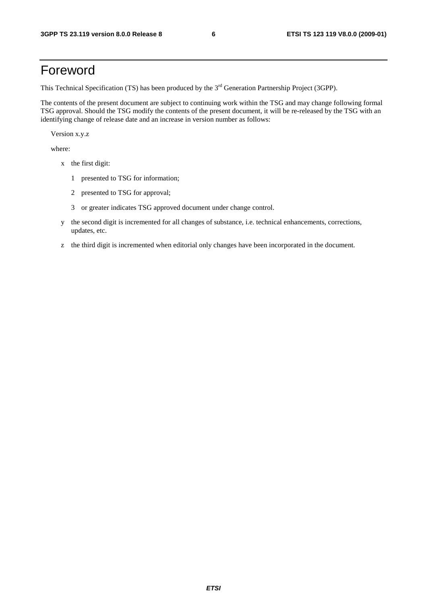## Foreword

This Technical Specification (TS) has been produced by the 3<sup>rd</sup> Generation Partnership Project (3GPP).

The contents of the present document are subject to continuing work within the TSG and may change following formal TSG approval. Should the TSG modify the contents of the present document, it will be re-released by the TSG with an identifying change of release date and an increase in version number as follows:

Version x.y.z

where:

- x the first digit:
	- 1 presented to TSG for information;
	- 2 presented to TSG for approval;
	- 3 or greater indicates TSG approved document under change control.
- y the second digit is incremented for all changes of substance, i.e. technical enhancements, corrections, updates, etc.
- z the third digit is incremented when editorial only changes have been incorporated in the document.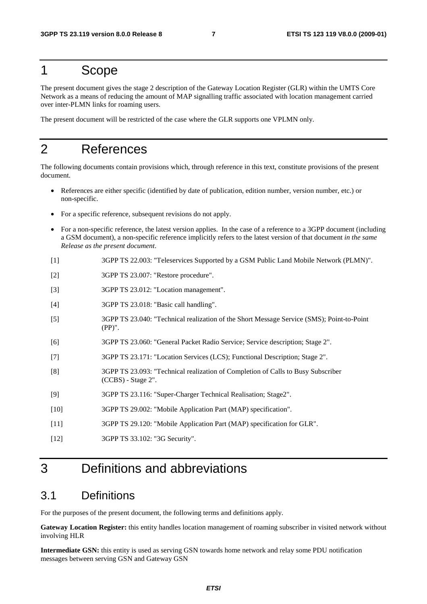## 1 Scope

The present document gives the stage 2 description of the Gateway Location Register (GLR) within the UMTS Core Network as a means of reducing the amount of MAP signalling traffic associated with location management carried over inter-PLMN links for roaming users.

The present document will be restricted of the case where the GLR supports one VPLMN only.

## 2 References

The following documents contain provisions which, through reference in this text, constitute provisions of the present document.

- References are either specific (identified by date of publication, edition number, version number, etc.) or non-specific.
- For a specific reference, subsequent revisions do not apply.
- For a non-specific reference, the latest version applies. In the case of a reference to a 3GPP document (including a GSM document), a non-specific reference implicitly refers to the latest version of that document *in the same Release as the present document*.
- [1] 3GPP TS 22.003: "Teleservices Supported by a GSM Public Land Mobile Network (PLMN)".
- [2] 3GPP TS 23.007: "Restore procedure".
- [3] 3GPP TS 23.012: "Location management".
- [4] 3GPP TS 23.018: "Basic call handling".
- [5] 3GPP TS 23.040: "Technical realization of the Short Message Service (SMS); Point-to-Point (PP)".
- [6] 3GPP TS 23.060: "General Packet Radio Service; Service description; Stage 2".
- [7] 3GPP TS 23.171: "Location Services (LCS); Functional Description; Stage 2".
- [8] 3GPP TS 23.093: "Technical realization of Completion of Calls to Busy Subscriber (CCBS) - Stage 2".
- [9] 3GPP TS 23.116: "Super-Charger Technical Realisation; Stage2".
- [10] 3GPP TS 29.002: "Mobile Application Part (MAP) specification".
- [11] 3GPP TS 29.120: "Mobile Application Part (MAP) specification for GLR".
- [12] 3GPP TS 33.102: "3G Security".

## 3 Definitions and abbreviations

#### 3.1 Definitions

For the purposes of the present document, the following terms and definitions apply.

**Gateway Location Register:** this entity handles location management of roaming subscriber in visited network without involving HLR

**Intermediate GSN:** this entity is used as serving GSN towards home network and relay some PDU notification messages between serving GSN and Gateway GSN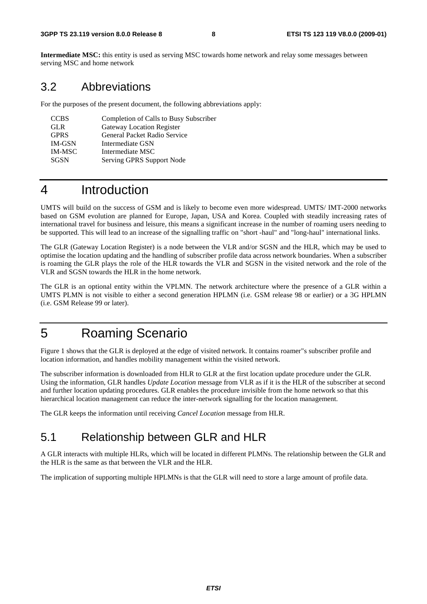**Intermediate MSC:** this entity is used as serving MSC towards home network and relay some messages between serving MSC and home network

### 3.2 Abbreviations

For the purposes of the present document, the following abbreviations apply:

| <b>CCBS</b>   | Completion of Calls to Busy Subscriber |
|---------------|----------------------------------------|
| <b>GLR</b>    | Gateway Location Register              |
| <b>GPRS</b>   | <b>General Packet Radio Service</b>    |
| <b>IM-GSN</b> | Intermediate GSN                       |
| <b>IM-MSC</b> | Intermediate MSC                       |
| SGSN          | Serving GPRS Support Node              |

## 4 Introduction

UMTS will build on the success of GSM and is likely to become even more widespread. UMTS/ IMT-2000 networks based on GSM evolution are planned for Europe, Japan, USA and Korea. Coupled with steadily increasing rates of international travel for business and leisure, this means a significant increase in the number of roaming users needing to be supported. This will lead to an increase of the signalling traffic on "short -haul" and "long-haul" international links.

The GLR (Gateway Location Register) is a node between the VLR and/or SGSN and the HLR, which may be used to optimise the location updating and the handling of subscriber profile data across network boundaries. When a subscriber is roaming the GLR plays the role of the HLR towards the VLR and SGSN in the visited network and the role of the VLR and SGSN towards the HLR in the home network.

The GLR is an optional entity within the VPLMN. The network architecture where the presence of a GLR within a UMTS PLMN is not visible to either a second generation HPLMN (i.e. GSM release 98 or earlier) or a 3G HPLMN (i.e. GSM Release 99 or later).

## 5 Roaming Scenario

Figure 1 shows that the GLR is deployed at the edge of visited network. It contains roamer"s subscriber profile and location information, and handles mobility management within the visited network.

The subscriber information is downloaded from HLR to GLR at the first location update procedure under the GLR. Using the information, GLR handles *Update Location* message from VLR as if it is the HLR of the subscriber at second and further location updating procedures. GLR enables the procedure invisible from the home network so that this hierarchical location management can reduce the inter-network signalling for the location management.

The GLR keeps the information until receiving *Cancel Location* message from HLR.

## 5.1 Relationship between GLR and HLR

A GLR interacts with multiple HLRs, which will be located in different PLMNs. The relationship between the GLR and the HLR is the same as that between the VLR and the HLR.

The implication of supporting multiple HPLMNs is that the GLR will need to store a large amount of profile data.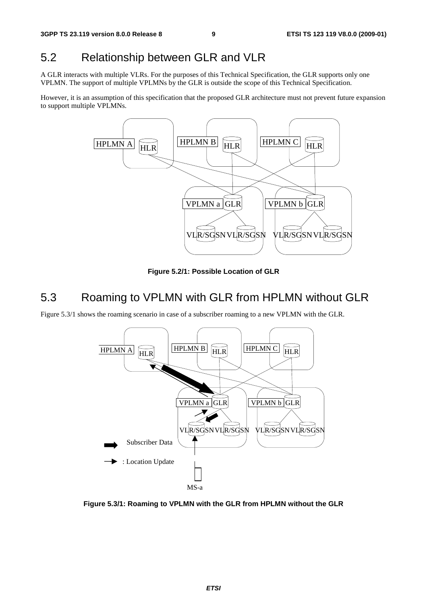### 5.2 Relationship between GLR and VLR

A GLR interacts with multiple VLRs. For the purposes of this Technical Specification, the GLR supports only one VPLMN. The support of multiple VPLMNs by the GLR is outside the scope of this Technical Specification.

However, it is an assumption of this specification that the proposed GLR architecture must not prevent future expansion to support multiple VPLMNs.



**Figure 5.2/1: Possible Location of GLR** 

## 5.3 Roaming to VPLMN with GLR from HPLMN without GLR

Figure 5.3/1 shows the roaming scenario in case of a subscriber roaming to a new VPLMN with the GLR.



**Figure 5.3/1: Roaming to VPLMN with the GLR from HPLMN without the GLR**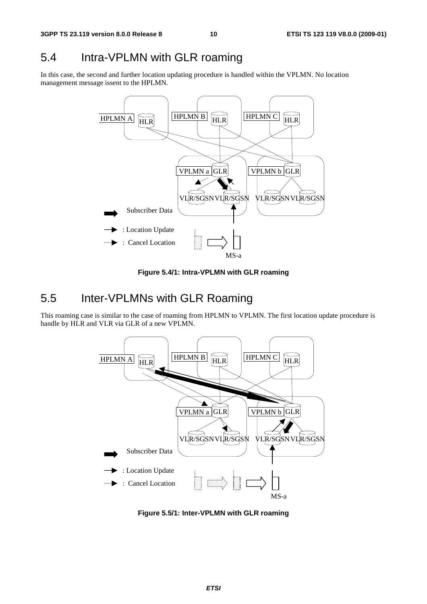## 5.4 Intra-VPLMN with GLR roaming

In this case, the second and further location updating procedure is handled within the VPLMN. No location management message issent to the HPLMN.



**Figure 5.4/1: Intra-VPLMN with GLR roaming** 

## 5.5 Inter-VPLMNs with GLR Roaming

This roaming case is similar to the case of roaming from HPLMN to VPLMN. The first location update procedure is handle by HLR and VLR via GLR of a new VPLMN.



**Figure 5.5/1: Inter-VPLMN with GLR roaming**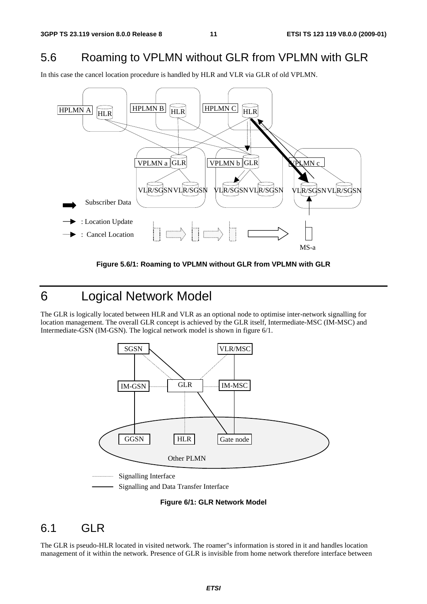### 5.6 Roaming to VPLMN without GLR from VPLMN with GLR

In this case the cancel location procedure is handled by HLR and VLR via GLR of old VPLMN.



**Figure 5.6/1: Roaming to VPLMN without GLR from VPLMN with GLR** 

6 Logical Network Model

The GLR is logically located between HLR and VLR as an optional node to optimise inter-network signalling for location management. The overall GLR concept is achieved by the GLR itself, Intermediate-MSC (IM-MSC) and Intermediate-GSN (IM-GSN). The logical network model is shown in figure 6/1.



Signalling and Data Transfer Interface

#### **Figure 6/1: GLR Network Model**

### 6.1 GLR

The GLR is pseudo-HLR located in visited network. The roamer"s information is stored in it and handles location management of it within the network. Presence of GLR is invisible from home network therefore interface between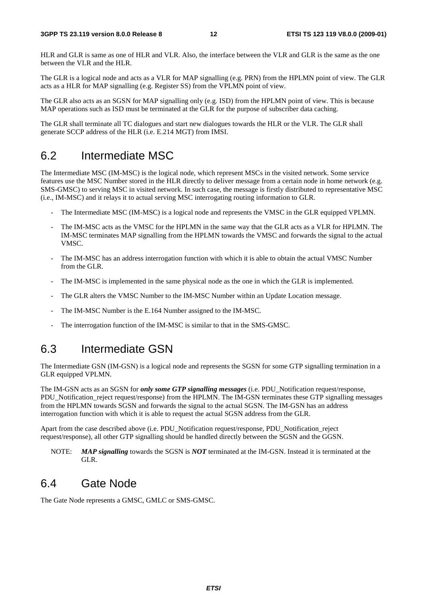HLR and GLR is same as one of HLR and VLR. Also, the interface between the VLR and GLR is the same as the one between the VLR and the HLR.

The GLR is a logical node and acts as a VLR for MAP signalling (e.g. PRN) from the HPLMN point of view. The GLR acts as a HLR for MAP signalling (e.g. Register SS) from the VPLMN point of view.

The GLR also acts as an SGSN for MAP signalling only (e.g. ISD) from the HPLMN point of view. This is because MAP operations such as ISD must be terminated at the GLR for the purpose of subscriber data caching.

The GLR shall terminate all TC dialogues and start new dialogues towards the HLR or the VLR. The GLR shall generate SCCP address of the HLR (i.e. E.214 MGT) from IMSI.

### 6.2 Intermediate MSC

The Intermediate MSC (IM-MSC) is the logical node, which represent MSCs in the visited network. Some service features use the MSC Number stored in the HLR directly to deliver message from a certain node in home network (e.g. SMS-GMSC) to serving MSC in visited network. In such case, the message is firstly distributed to representative MSC (i.e., IM-MSC) and it relays it to actual serving MSC interrogating routing information to GLR.

- The Intermediate MSC (IM-MSC) is a logical node and represents the VMSC in the GLR equipped VPLMN.
- The IM-MSC acts as the VMSC for the HPLMN in the same way that the GLR acts as a VLR for HPLMN. The IM-MSC terminates MAP signalling from the HPLMN towards the VMSC and forwards the signal to the actual VMSC.
- The IM-MSC has an address interrogation function with which it is able to obtain the actual VMSC Number from the GLR.
- The IM-MSC is implemented in the same physical node as the one in which the GLR is implemented.
- The GLR alters the VMSC Number to the IM-MSC Number within an Update Location message.
- The IM-MSC Number is the E.164 Number assigned to the IM-MSC.
- The interrogation function of the IM-MSC is similar to that in the SMS-GMSC.

### 6.3 Intermediate GSN

The Intermediate GSN (IM-GSN) is a logical node and represents the SGSN for some GTP signalling termination in a GLR equipped VPLMN.

The IM-GSN acts as an SGSN for *only some GTP signalling messages* (i.e. PDU\_Notification request/response, PDU\_Notification\_reject request/response) from the HPLMN. The IM-GSN terminates these GTP signalling messages from the HPLMN towards SGSN and forwards the signal to the actual SGSN. The IM-GSN has an address interrogation function with which it is able to request the actual SGSN address from the GLR.

Apart from the case described above (i.e. PDU\_Notification request/response, PDU\_Notification\_reject request/response), all other GTP signalling should be handled directly between the SGSN and the GGSN.

NOTE: *MAP signalling* towards the SGSN is *NOT* terminated at the IM-GSN. Instead it is terminated at the GLR.

### 6.4 Gate Node

The Gate Node represents a GMSC, GMLC or SMS-GMSC.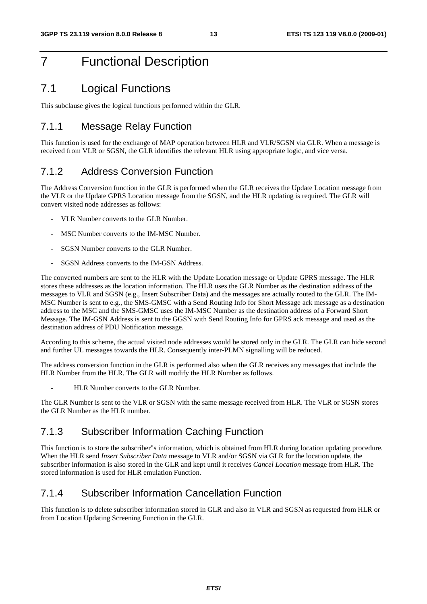## 7 Functional Description

### 7.1 Logical Functions

This subclause gives the logical functions performed within the GLR.

#### 7.1.1 Message Relay Function

This function is used for the exchange of MAP operation between HLR and VLR/SGSN via GLR. When a message is received from VLR or SGSN, the GLR identifies the relevant HLR using appropriate logic, and vice versa.

#### 7.1.2 Address Conversion Function

The Address Conversion function in the GLR is performed when the GLR receives the Update Location message from the VLR or the Update GPRS Location message from the SGSN, and the HLR updating is required. The GLR will convert visited node addresses as follows:

- VLR Number converts to the GLR Number.
- MSC Number converts to the IM-MSC Number.
- SGSN Number converts to the GLR Number.
- SGSN Address converts to the IM-GSN Address.

The converted numbers are sent to the HLR with the Update Location message or Update GPRS message. The HLR stores these addresses as the location information. The HLR uses the GLR Number as the destination address of the messages to VLR and SGSN (e.g., Insert Subscriber Data) and the messages are actually routed to the GLR. The IM-MSC Number is sent to e.g., the SMS-GMSC with a Send Routing Info for Short Message ack message as a destination address to the MSC and the SMS-GMSC uses the IM-MSC Number as the destination address of a Forward Short Message. The IM-GSN Address is sent to the GGSN with Send Routing Info for GPRS ack message and used as the destination address of PDU Notification message.

According to this scheme, the actual visited node addresses would be stored only in the GLR. The GLR can hide second and further UL messages towards the HLR. Consequently inter-PLMN signalling will be reduced.

The address conversion function in the GLR is performed also when the GLR receives any messages that include the HLR Number from the HLR. The GLR will modify the HLR Number as follows.

HLR Number converts to the GLR Number.

The GLR Number is sent to the VLR or SGSN with the same message received from HLR. The VLR or SGSN stores the GLR Number as the HLR number.

#### 7.1.3 Subscriber Information Caching Function

This function is to store the subscriber"s information, which is obtained from HLR during location updating procedure. When the HLR send *Insert Subscriber Data* message to VLR and/or SGSN via GLR for the location update, the subscriber information is also stored in the GLR and kept until it receives *Cancel Location* message from HLR. The stored information is used for HLR emulation Function.

### 7.1.4 Subscriber Information Cancellation Function

This function is to delete subscriber information stored in GLR and also in VLR and SGSN as requested from HLR or from Location Updating Screening Function in the GLR.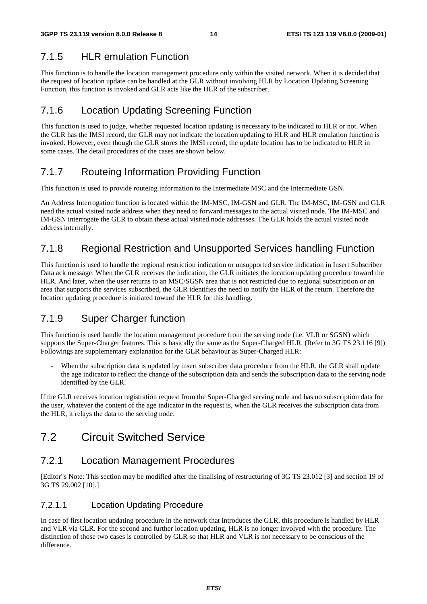## 7.1.5 HLR emulation Function

This function is to handle the location management procedure only within the visited network. When it is decided that the request of location update can be handled at the GLR without involving HLR by Location Updating Screening Function, this function is invoked and GLR acts like the HLR of the subscriber.

## 7.1.6 Location Updating Screening Function

This function is used to judge, whether requested location updating is necessary to be indicated to HLR or not. When the GLR has the IMSI record, the GLR may not indicate the location updating to HLR and HLR emulation function is invoked. However, even though the GLR stores the IMSI record, the update location has to be indicated to HLR in some cases. The detail procedures of the cases are shown below.

## 7.1.7 Routeing Information Providing Function

This function is used to provide routeing information to the Intermediate MSC and the Intermediate GSN.

An Address Interrogation function is located within the IM-MSC, IM-GSN and GLR. The IM-MSC, IM-GSN and GLR need the actual visited node address when they need to forward messages to the actual visited node. The IM-MSC and IM-GSN interrogate the GLR to obtain these actual visited node addresses. The GLR holds the actual visited node address internally.

## 7.1.8 Regional Restriction and Unsupported Services handling Function

This function is used to handle the regional restriction indication or unsupported service indication in Insert Subscriber Data ack message. When the GLR receives the indication, the GLR initiates the location updating procedure toward the HLR. And later, when the user returns to an MSC/SGSN area that is not restricted due to regional subscription or an area that supports the services subscribed, the GLR identifies the need to notify the HLR of the return. Therefore the location updating procedure is initiated toward the HLR for this handling.

## 7.1.9 Super Charger function

This function is used handle the location management procedure from the serving node (i.e. VLR or SGSN) which supports the Super-Charger features. This is basically the same as the Super-Charged HLR. (Refer to 3G TS 23.116 [9]) Followings are supplementary explanation for the GLR behaviour as Super-Charged HLR:

When the subscription data is updated by insert subscriber data procedure from the HLR, the GLR shall update the age indicator to reflect the change of the subscription data and sends the subscription data to the serving node identified by the GLR.

If the GLR receives location registration request from the Super-Charged serving node and has no subscription data for the user, whatever the content of the age indicator in the request is, when the GLR receives the subscription data from the HLR, it relays the data to the serving node.

## 7.2 Circuit Switched Service

## 7.2.1 Location Management Procedures

[Editor"s Note: This section may be modified after the finalising of restructuring of 3G TS 23.012 [3] and section 19 of 3G TS 29.002 [10].]

#### 7.2.1.1 Location Updating Procedure

In case of first location updating procedure in the network that introduces the GLR, this procedure is handled by HLR and VLR via GLR. For the second and further location updating, HLR is no longer involved with the procedure. The distinction of those two cases is controlled by GLR so that HLR and VLR is not necessary to be conscious of the difference.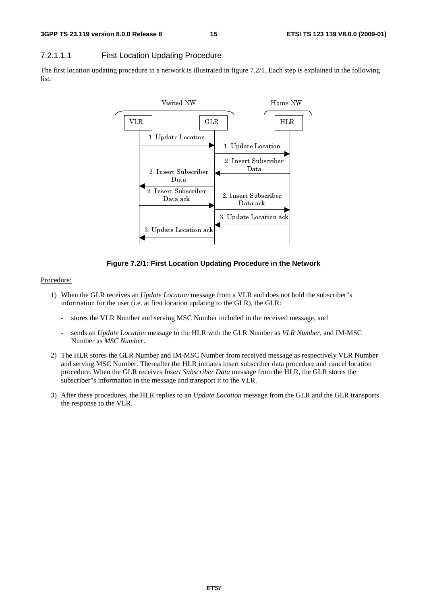#### 7.2.1.1.1 First Location Updating Procedure

The first location updating procedure in a network is illustrated in figure 7.2/1. Each step is explained in the following list.



**Figure 7.2/1: First Location Updating Procedure in the Network** 

#### Procedure:

- 1) When the GLR receives an *Update Location* message from a VLR and does not hold the subscriber"s information for the user (i.e. at first location updating to the GLR), the GLR:
	- stores the VLR Number and serving MSC Number included in the received message, and
	- sends an *Update Location* message to the HLR with the GLR Number as *VLR Number*, and IM-MSC Number as *MSC Number*.
- 2) The HLR stores the GLR Number and IM-MSC Number from received message as respectively VLR Number and serving MSC Number. Thereafter the HLR initiates insert subscriber data procedure and cancel location procedure. When the GLR receives *Insert Subscriber Data* message from the HLR, the GLR stores the subscriber"s information in the message and transport it to the VLR.
- 3) After these procedures, the HLR replies to an *Update Location* message from the GLR and the GLR transports the response to the VLR.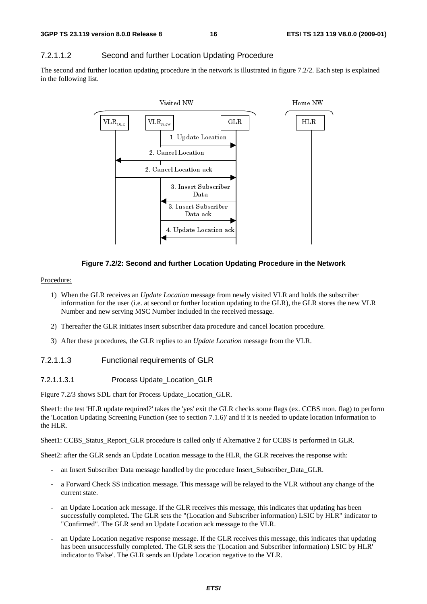#### 7.2.1.1.2 Second and further Location Updating Procedure

The second and further location updating procedure in the network is illustrated in figure 7.2/2. Each step is explained in the following list.



#### **Figure 7.2/2: Second and further Location Updating Procedure in the Network**

#### Procedure:

- 1) When the GLR receives an *Update Location* message from newly visited VLR and holds the subscriber information for the user (i.e. at second or further location updating to the GLR), the GLR stores the new VLR Number and new serving MSC Number included in the received message.
- 2) Thereafter the GLR initiates insert subscriber data procedure and cancel location procedure.
- 3) After these procedures, the GLR replies to an *Update Location* message from the VLR.

#### 7.2.1.1.3 Functional requirements of GLR

7.2.1.1.3.1 Process Update\_Location\_GLR

Figure 7.2/3 shows SDL chart for Process Update\_Location\_GLR.

Sheet1: the test 'HLR update required?' takes the 'yes' exit the GLR checks some flags (ex. CCBS mon. flag) to perform the 'Location Updating Screening Function (see to section 7.1.6)' and if it is needed to update location information to the HLR.

Sheet1: CCBS\_Status\_Report\_GLR procedure is called only if Alternative 2 for CCBS is performed in GLR.

Sheet2: after the GLR sends an Update Location message to the HLR, the GLR receives the response with:

- an Insert Subscriber Data message handled by the procedure Insert\_Subscriber\_Data\_GLR.
- a Forward Check SS indication message. This message will be relayed to the VLR without any change of the current state.
- an Update Location ack message. If the GLR receives this message, this indicates that updating has been successfully completed. The GLR sets the "(Location and Subscriber information) LSIC by HLR" indicator to "Confirmed". The GLR send an Update Location ack message to the VLR.
- an Update Location negative response message. If the GLR receives this message, this indicates that updating has been unsuccessfully completed. The GLR sets the '(Location and Subscriber information) LSIC by HLR' indicator to 'False'. The GLR sends an Update Location negative to the VLR.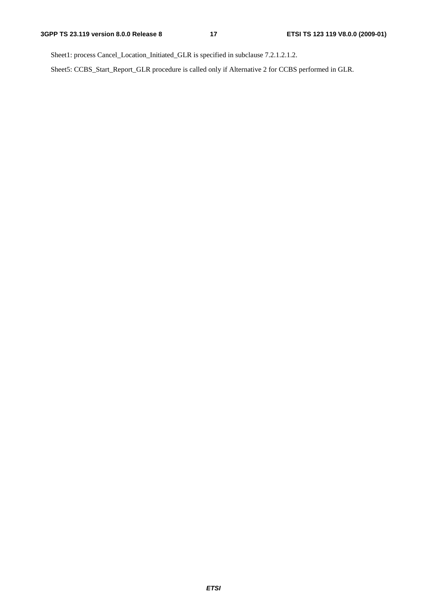Sheet1: process Cancel\_Location\_Initiated\_GLR is specified in subclause 7.2.1.2.1.2.

Sheet5: CCBS\_Start\_Report\_GLR procedure is called only if Alternative 2 for CCBS performed in GLR.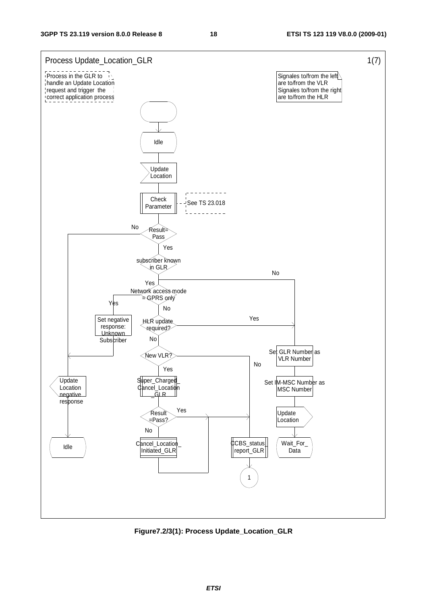

**Figure7.2/3(1): Process Update\_Location\_GLR**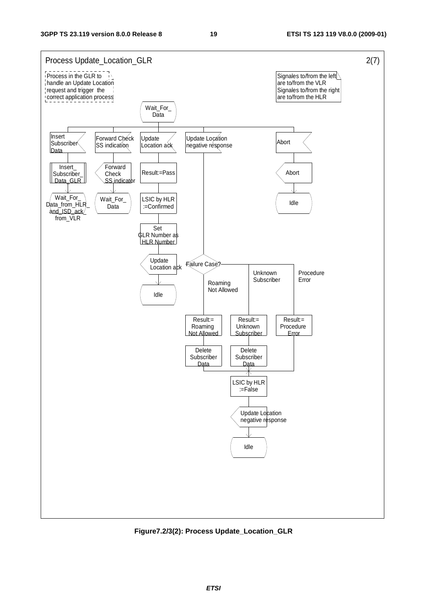

**Figure7.2/3(2): Process Update\_Location\_GLR**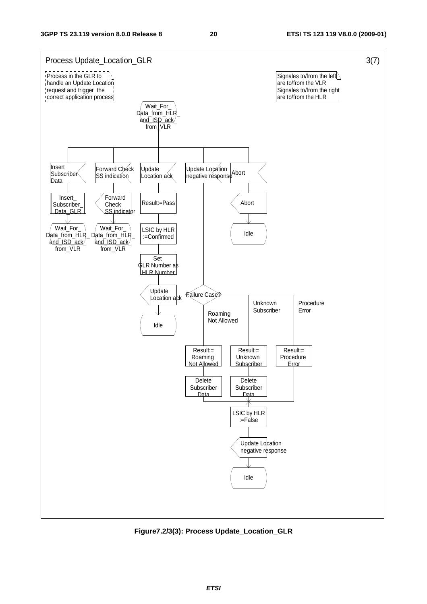

**Figure7.2/3(3): Process Update\_Location\_GLR**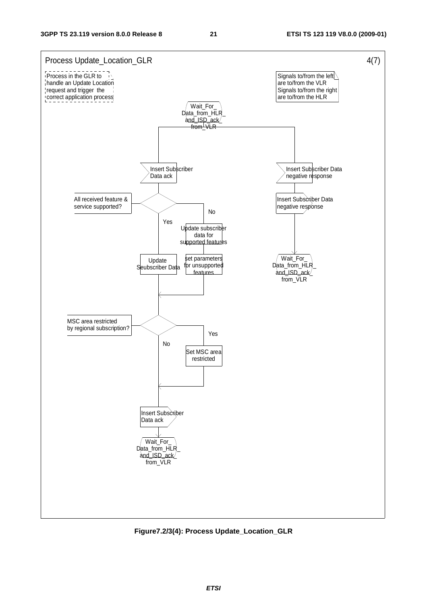

**Figure7.2/3(4): Process Update\_Location\_GLR**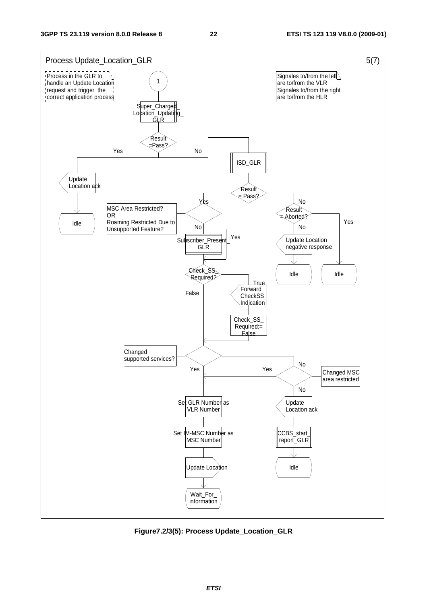

**Figure7.2/3(5): Process Update\_Location\_GLR**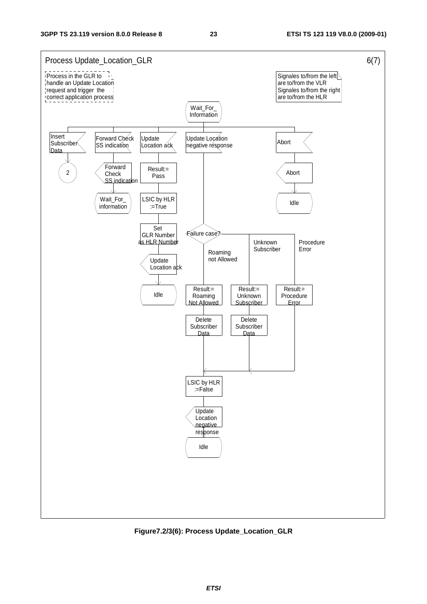

**Figure7.2/3(6): Process Update\_Location\_GLR**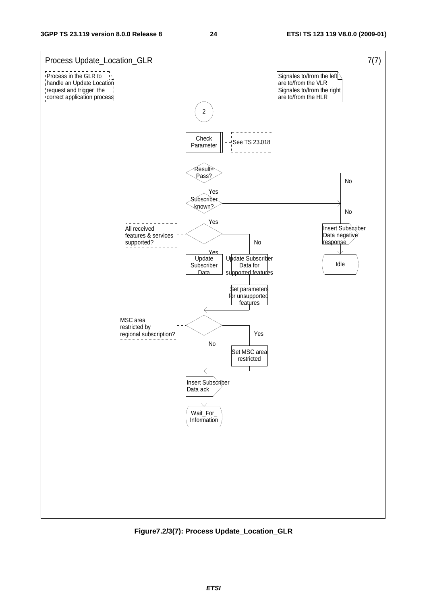

**Figure7.2/3(7): Process Update\_Location\_GLR**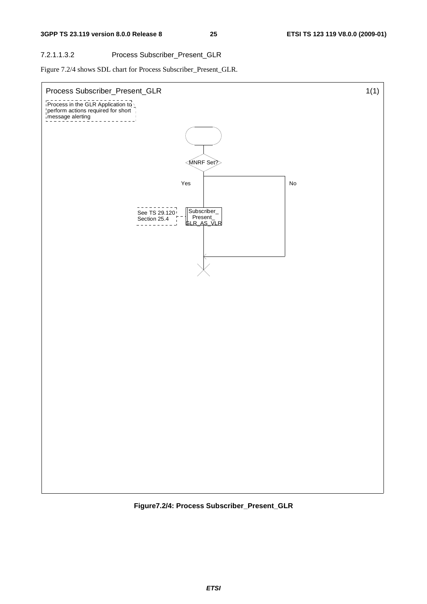#### 7.2.1.1.3.2 Process Subscriber\_Present\_GLR

Figure 7.2/4 shows SDL chart for Process Subscriber\_Present\_GLR.



**Figure7.2/4: Process Subscriber\_Present\_GLR**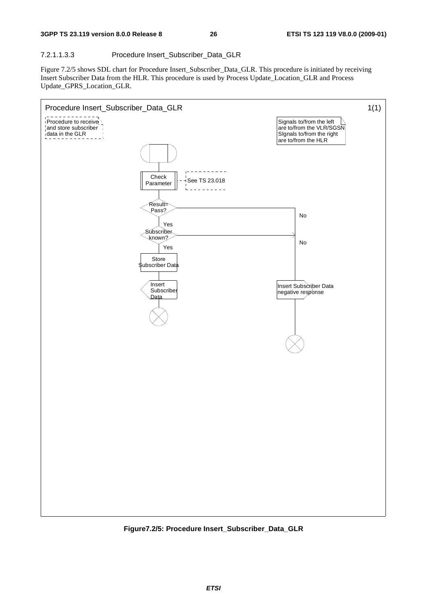#### 7.2.1.1.3.3 Procedure Insert\_Subscriber\_Data\_GLR

Figure 7.2/5 shows SDL chart for Procedure Insert\_Subscriber\_Data\_GLR. This procedure is initiated by receiving Insert Subscriber Data from the HLR. This procedure is used by Process Update\_Location\_GLR and Process Update\_GPRS\_Location\_GLR.



**Figure7.2/5: Procedure Insert\_Subscriber\_Data\_GLR**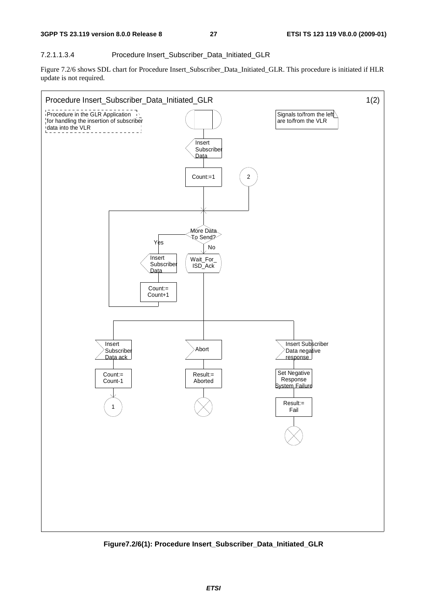#### 7.2.1.1.3.4 Procedure Insert\_Subscriber\_Data\_Initiated\_GLR

Figure 7.2/6 shows SDL chart for Procedure Insert\_Subscriber\_Data\_Initiated\_GLR. This procedure is initiated if HLR update is not required.



**Figure7.2/6(1): Procedure Insert\_Subscriber\_Data\_Initiated\_GLR**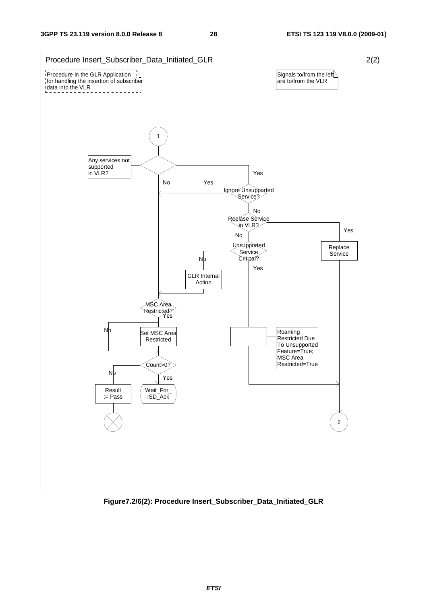

**Figure7.2/6(2): Procedure Insert\_Subscriber\_Data\_Initiated\_GLR**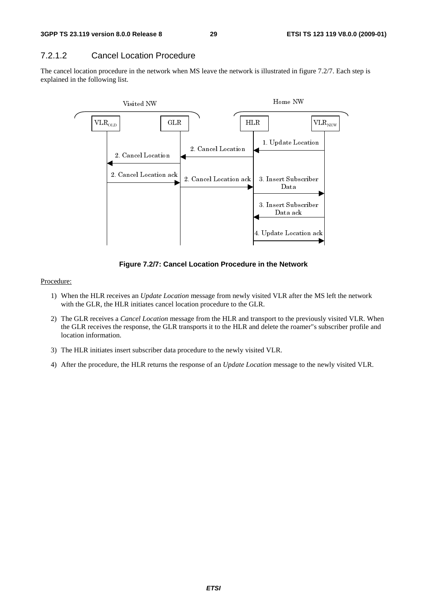#### 7.2.1.2 Cancel Location Procedure

The cancel location procedure in the network when MS leave the network is illustrated in figure 7.2/7. Each step is explained in the following list.



**Figure 7.2/7: Cancel Location Procedure in the Network** 

#### Procedure:

- 1) When the HLR receives an *Update Location* message from newly visited VLR after the MS left the network with the GLR, the HLR initiates cancel location procedure to the GLR.
- 2) The GLR receives a *Cancel Location* message from the HLR and transport to the previously visited VLR. When the GLR receives the response, the GLR transports it to the HLR and delete the roamer"s subscriber profile and location information.
- 3) The HLR initiates insert subscriber data procedure to the newly visited VLR.
- 4) After the procedure, the HLR returns the response of an *Update Location* message to the newly visited VLR.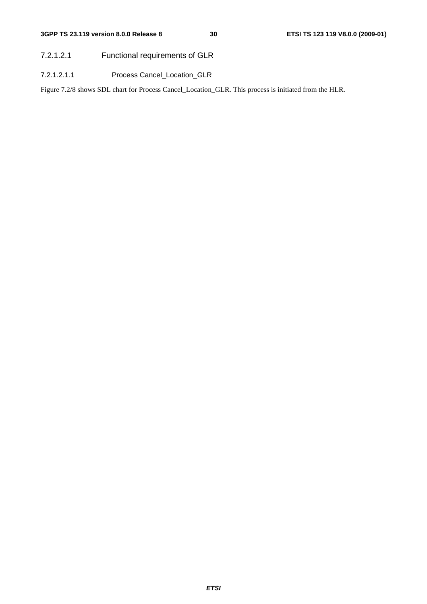7.2.1.2.1 Functional requirements of GLR

7.2.1.2.1.1 Process Cancel\_Location\_GLR

Figure 7.2/8 shows SDL chart for Process Cancel\_Location\_GLR. This process is initiated from the HLR.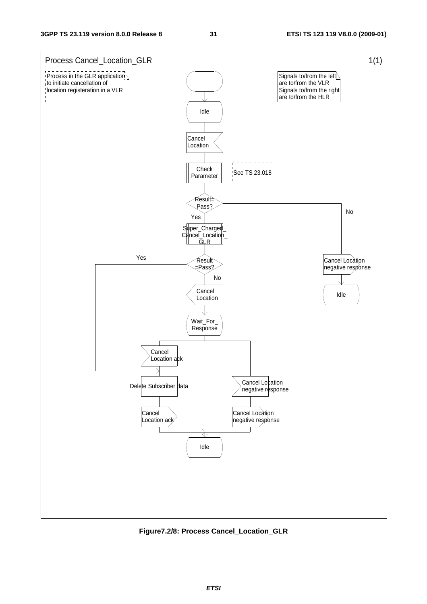

**Figure7.2/8: Process Cancel\_Location\_GLR**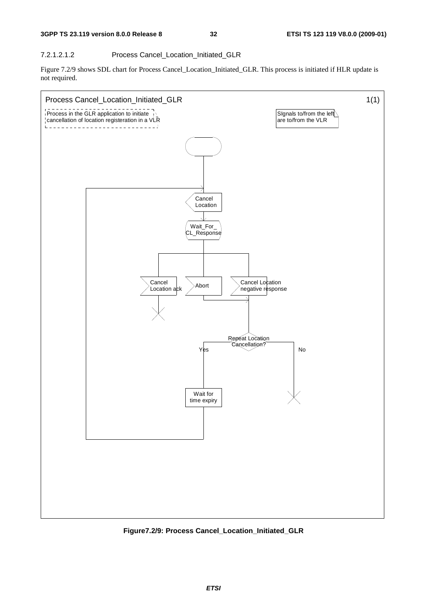#### 7.2.1.2.1.2 Process Cancel\_Location\_Initiated\_GLR

Figure 7.2/9 shows SDL chart for Process Cancel\_Location\_Initiated\_GLR. This process is initiated if HLR update is not required.



**Figure7.2/9: Process Cancel\_Location\_Initiated\_GLR**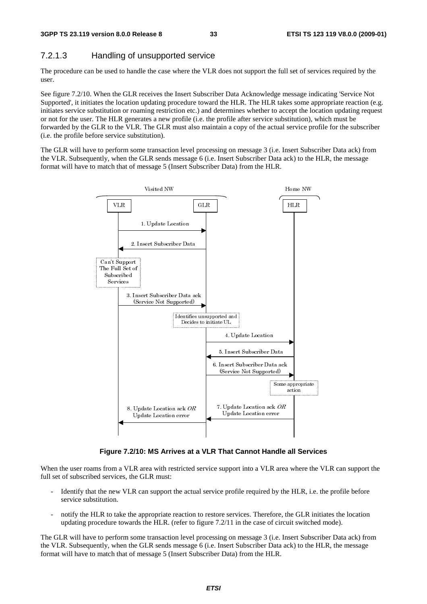#### 7.2.1.3 Handling of unsupported service

The procedure can be used to handle the case where the VLR does not support the full set of services required by the user.

See figure 7.2/10. When the GLR receives the Insert Subscriber Data Acknowledge message indicating 'Service Not Supported', it initiates the location updating procedure toward the HLR. The HLR takes some appropriate reaction (e.g. initiates service substitution or roaming restriction etc.) and determines whether to accept the location updating request or not for the user. The HLR generates a new profile (i.e. the profile after service substitution), which must be forwarded by the GLR to the VLR. The GLR must also maintain a copy of the actual service profile for the subscriber (i.e. the profile before service substitution).

The GLR will have to perform some transaction level processing on message 3 (i.e. Insert Subscriber Data ack) from the VLR. Subsequently, when the GLR sends message 6 (i.e. Insert Subscriber Data ack) to the HLR, the message format will have to match that of message 5 (Insert Subscriber Data) from the HLR.



**Figure 7.2/10: MS Arrives at a VLR That Cannot Handle all Services** 

When the user roams from a VLR area with restricted service support into a VLR area where the VLR can support the full set of subscribed services, the GLR must:

- Identify that the new VLR can support the actual service profile required by the HLR, i.e. the profile before service substitution.
- notify the HLR to take the appropriate reaction to restore services. Therefore, the GLR initiates the location updating procedure towards the HLR. (refer to figure 7.2/11 in the case of circuit switched mode).

The GLR will have to perform some transaction level processing on message 3 (i.e. Insert Subscriber Data ack) from the VLR. Subsequently, when the GLR sends message 6 (i.e. Insert Subscriber Data ack) to the HLR, the message format will have to match that of message 5 (Insert Subscriber Data) from the HLR.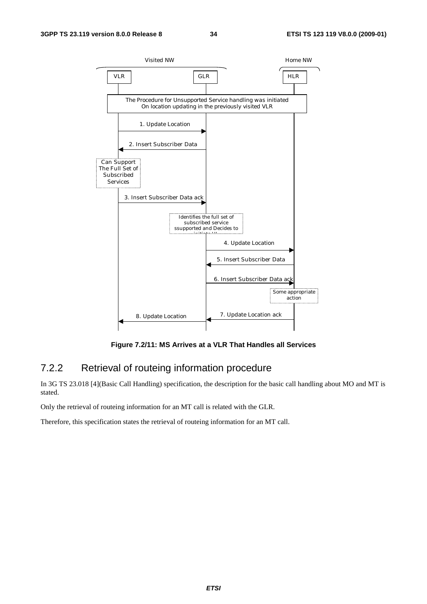

**Figure 7.2/11: MS Arrives at a VLR That Handles all Services** 

#### 7.2.2 Retrieval of routeing information procedure

In 3G TS 23.018 [4](Basic Call Handling) specification, the description for the basic call handling about MO and MT is stated.

Only the retrieval of routeing information for an MT call is related with the GLR.

Therefore, this specification states the retrieval of routeing information for an MT call.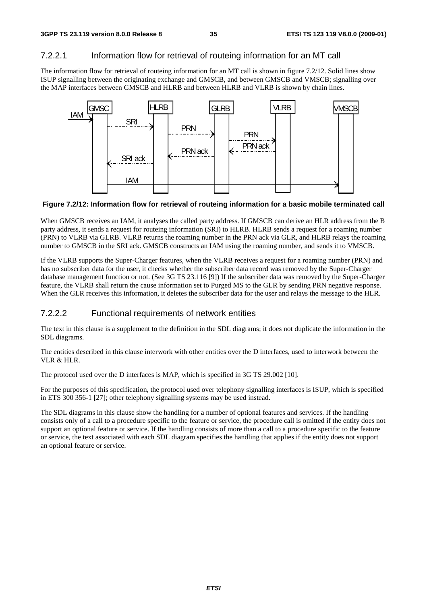#### 7.2.2.1 Information flow for retrieval of routeing information for an MT call

The information flow for retrieval of routeing information for an MT call is shown in figure 7.2/12. Solid lines show ISUP signalling between the originating exchange and GMSCB, and between GMSCB and VMSCB; signalling over the MAP interfaces between GMSCB and HLRB and between HLRB and VLRB is shown by chain lines.



**Figure 7.2/12: Information flow for retrieval of routeing information for a basic mobile terminated call** 

When GMSCB receives an IAM, it analyses the called party address. If GMSCB can derive an HLR address from the B party address, it sends a request for routeing information (SRI) to HLRB. HLRB sends a request for a roaming number (PRN) to VLRB via GLRB. VLRB returns the roaming number in the PRN ack via GLR, and HLRB relays the roaming number to GMSCB in the SRI ack. GMSCB constructs an IAM using the roaming number, and sends it to VMSCB.

If the VLRB supports the Super-Charger features, when the VLRB receives a request for a roaming number (PRN) and has no subscriber data for the user, it checks whether the subscriber data record was removed by the Super-Charger database management function or not. (See 3G TS 23.116 [9]) If the subscriber data was removed by the Super-Charger feature, the VLRB shall return the cause information set to Purged MS to the GLR by sending PRN negative response. When the GLR receives this information, it deletes the subscriber data for the user and relays the message to the HLR.

#### 7.2.2.2 Functional requirements of network entities

The text in this clause is a supplement to the definition in the SDL diagrams; it does not duplicate the information in the SDL diagrams.

The entities described in this clause interwork with other entities over the D interfaces, used to interwork between the VLR & HLR.

The protocol used over the D interfaces is MAP, which is specified in 3G TS 29.002 [10].

For the purposes of this specification, the protocol used over telephony signalling interfaces is ISUP, which is specified in ETS 300 356-1 [27]; other telephony signalling systems may be used instead.

The SDL diagrams in this clause show the handling for a number of optional features and services. If the handling consists only of a call to a procedure specific to the feature or service, the procedure call is omitted if the entity does not support an optional feature or service. If the handling consists of more than a call to a procedure specific to the feature or service, the text associated with each SDL diagram specifies the handling that applies if the entity does not support an optional feature or service.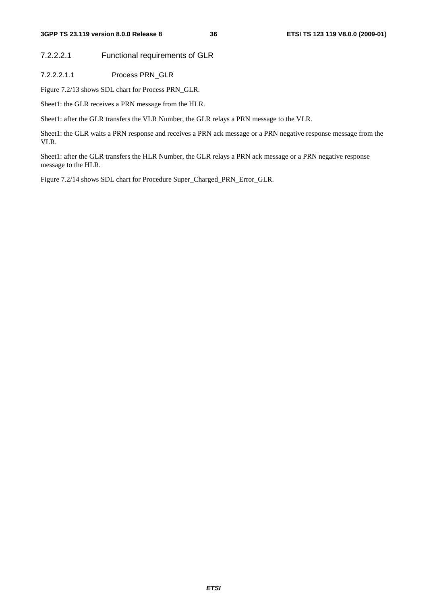7.2.2.2.1 Functional requirements of GLR

7.2.2.2.1.1 Process PRN\_GLR

Figure 7.2/13 shows SDL chart for Process PRN\_GLR.

Sheet1: the GLR receives a PRN message from the HLR.

Sheet1: after the GLR transfers the VLR Number, the GLR relays a PRN message to the VLR.

Sheet1: the GLR waits a PRN response and receives a PRN ack message or a PRN negative response message from the VLR.

Sheet1: after the GLR transfers the HLR Number, the GLR relays a PRN ack message or a PRN negative response message to the HLR.

Figure 7.2/14 shows SDL chart for Procedure Super\_Charged\_PRN\_Error\_GLR.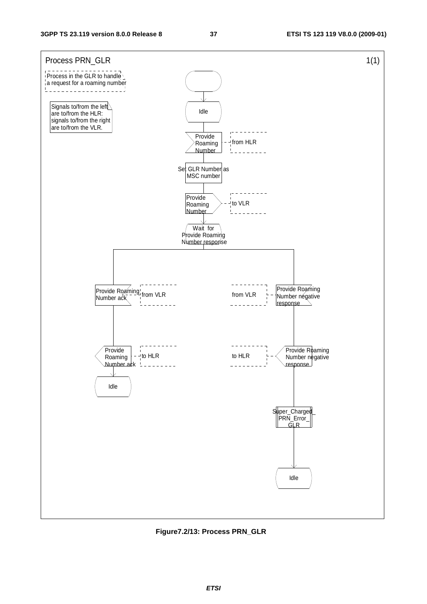

**Figure7.2/13: Process PRN\_GLR**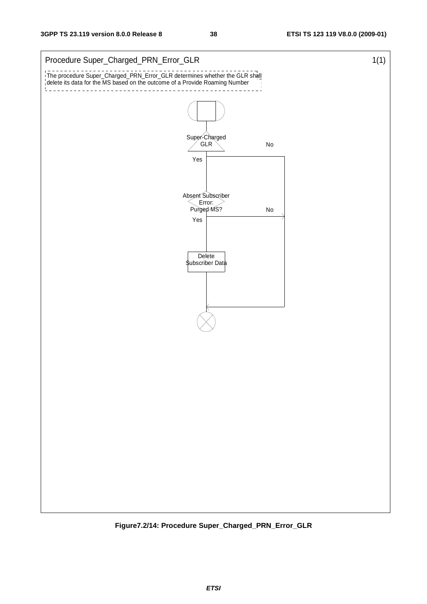

**Figure7.2/14: Procedure Super\_Charged\_PRN\_Error\_GLR**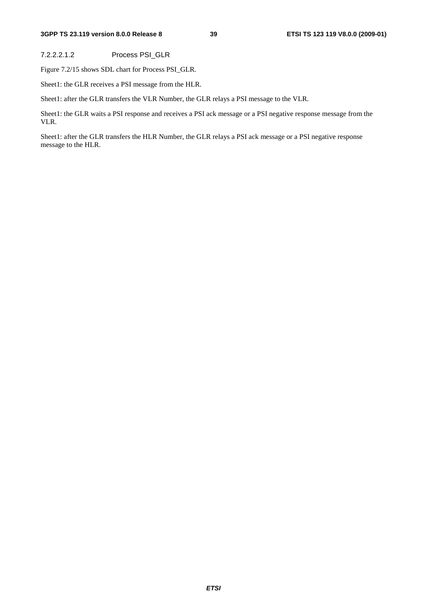#### **3GPP TS 23.119 version 8.0.0 Release 8 39 ETSI TS 123 119 V8.0.0 (2009-01)**

7.2.2.2.1.2 Process PSI\_GLR

Figure 7.2/15 shows SDL chart for Process PSI\_GLR.

Sheet1: the GLR receives a PSI message from the HLR.

Sheet1: after the GLR transfers the VLR Number, the GLR relays a PSI message to the VLR.

Sheet1: the GLR waits a PSI response and receives a PSI ack message or a PSI negative response message from the VLR.

Sheet1: after the GLR transfers the HLR Number, the GLR relays a PSI ack message or a PSI negative response message to the HLR.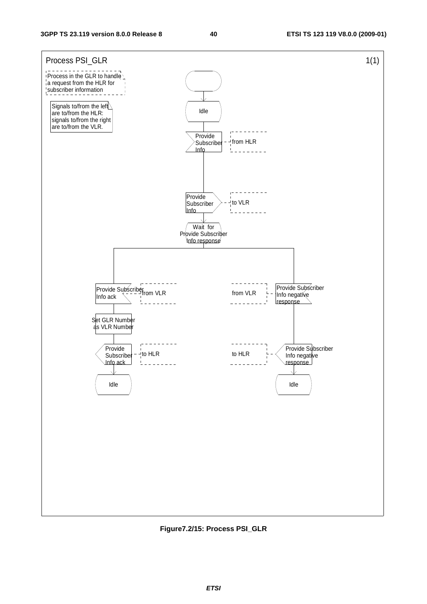

**Figure7.2/15: Process PSI\_GLR**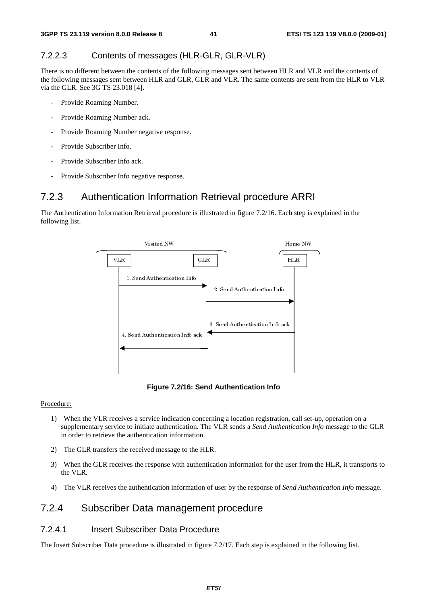### 7.2.2.3 Contents of messages (HLR-GLR, GLR-VLR)

There is no different between the contents of the following messages sent between HLR and VLR and the contents of the following messages sent between HLR and GLR, GLR and VLR. The same contents are sent from the HLR to VLR via the GLR. See 3G TS 23.018 [4].

- Provide Roaming Number.
- Provide Roaming Number ack.
- Provide Roaming Number negative response.
- Provide Subscriber Info.
- Provide Subscriber Info ack.
- Provide Subscriber Info negative response.

## 7.2.3 Authentication Information Retrieval procedure ARRI

The Authentication Information Retrieval procedure is illustrated in figure 7.2/16. Each step is explained in the following list.



**Figure 7.2/16: Send Authentication Info** 

#### Procedure:

- 1) When the VLR receives a service indication concerning a location registration, call set-up, operation on a supplementary service to initiate authentication. The VLR sends a *Send Authentication Info* message to the GLR in order to retrieve the authentication information.
- 2) The GLR transfers the received message to the HLR.
- 3) When the GLR receives the response with authentication information for the user from the HLR, it transports to the VLR.
- 4) The VLR receives the authentication information of user by the response of *Send Authentication Info* message.

## 7.2.4 Subscriber Data management procedure

### 7.2.4.1 Insert Subscriber Data Procedure

The Insert Subscriber Data procedure is illustrated in figure 7.2/17. Each step is explained in the following list.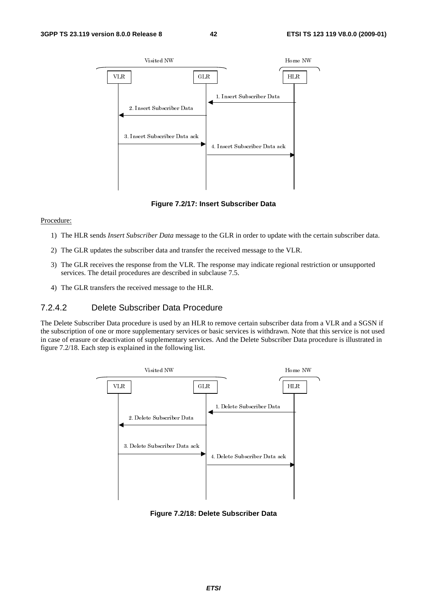

**Figure 7.2/17: Insert Subscriber Data** 

#### Procedure:

- 1) The HLR sends *Insert Subscriber Data* message to the GLR in order to update with the certain subscriber data.
- 2) The GLR updates the subscriber data and transfer the received message to the VLR.
- 3) The GLR receives the response from the VLR. The response may indicate regional restriction or unsupported services. The detail procedures are described in subclause 7.5.
- 4) The GLR transfers the received message to the HLR.

#### 7.2.4.2 Delete Subscriber Data Procedure

The Delete Subscriber Data procedure is used by an HLR to remove certain subscriber data from a VLR and a SGSN if the subscription of one or more supplementary services or basic services is withdrawn. Note that this service is not used in case of erasure or deactivation of supplementary services. And the Delete Subscriber Data procedure is illustrated in figure 7.2/18. Each step is explained in the following list.



**Figure 7.2/18: Delete Subscriber Data**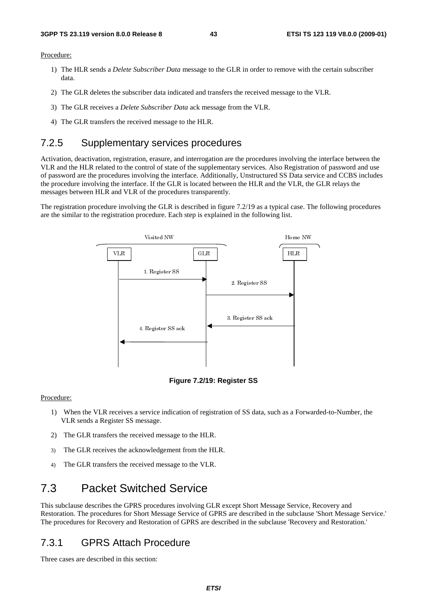#### Procedure:

- 1) The HLR sends a *Delete Subscriber Data* message to the GLR in order to remove with the certain subscriber data.
- 2) The GLR deletes the subscriber data indicated and transfers the received message to the VLR.
- 3) The GLR receives a *Delete Subscriber Data* ack message from the VLR.
- 4) The GLR transfers the received message to the HLR.

## 7.2.5 Supplementary services procedures

Activation, deactivation, registration, erasure, and interrogation are the procedures involving the interface between the VLR and the HLR related to the control of state of the supplementary services. Also Registration of password and use of password are the procedures involving the interface. Additionally, Unstructured SS Data service and CCBS includes the procedure involving the interface. If the GLR is located between the HLR and the VLR, the GLR relays the messages between HLR and VLR of the procedures transparently.

The registration procedure involving the GLR is described in figure 7.2/19 as a typical case. The following procedures are the similar to the registration procedure. Each step is explained in the following list.





#### Procedure:

- 1) When the VLR receives a service indication of registration of SS data, such as a Forwarded-to-Number, the VLR sends a Register SS message.
- 2) The GLR transfers the received message to the HLR.
- 3) The GLR receives the acknowledgement from the HLR.
- 4) The GLR transfers the received message to the VLR.

# 7.3 Packet Switched Service

This subclause describes the GPRS procedures involving GLR except Short Message Service, Recovery and Restoration. The procedures for Short Message Service of GPRS are described in the subclause 'Short Message Service.' The procedures for Recovery and Restoration of GPRS are described in the subclause 'Recovery and Restoration.'

## 7.3.1 GPRS Attach Procedure

Three cases are described in this section: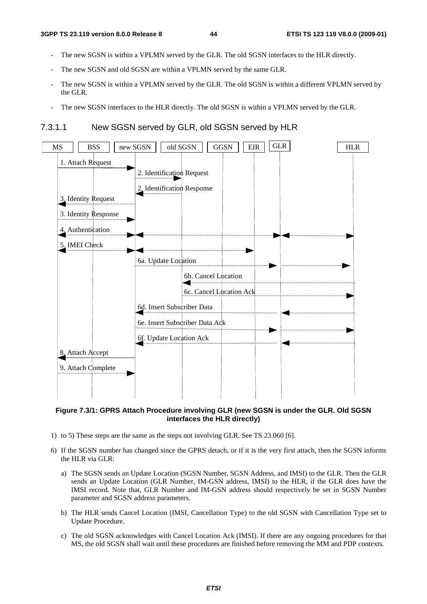- The new SGSN is within a VPLMN served by the GLR. The old SGSN interfaces to the HLR directly.
- The new SGSN and old SGSN are within a VPLMN served by the same GLR.
- The new SGSN is within a VPLMN served by the GLR. The old SGSN is within a different VPLMN served by the GLR.
- The new SGSN interfaces to the HLR directly. The old SGSN is within a VPLMN served by the GLR.

7.3.1.1 New SGSN served by GLR, old SGSN served by HLR



#### **Figure 7.3/1: GPRS Attach Procedure involving GLR (new SGSN is under the GLR. Old SGSN interfaces the HLR directly)**

- 1) to 5) These steps are the same as the steps not involving GLR. See TS 23.060 [6].
- 6) If the SGSN number has changed since the GPRS detach, or if it is the very first attach, then the SGSN informs the HLR via GLR:
	- a) The SGSN sends an Update Location (SGSN Number, SGSN Address, and IMSI) to the GLR. Then the GLR sends an Update Location (GLR Number, IM-GSN address, IMSI) to the HLR, if the GLR does have the IMSI record. Note that, GLR Number and IM-GSN address should respectively be set in SGSN Number parameter and SGSN address parameters.
	- b) The HLR sends Cancel Location (IMSI, Cancellation Type) to the old SGSN with Cancellation Type set to Update Procedure.
	- c) The old SGSN acknowledges with Cancel Location Ack (IMSI). If there are any ongoing procedures for that MS, the old SGSN shall wait until these procedures are finished before removing the MM and PDP contexts.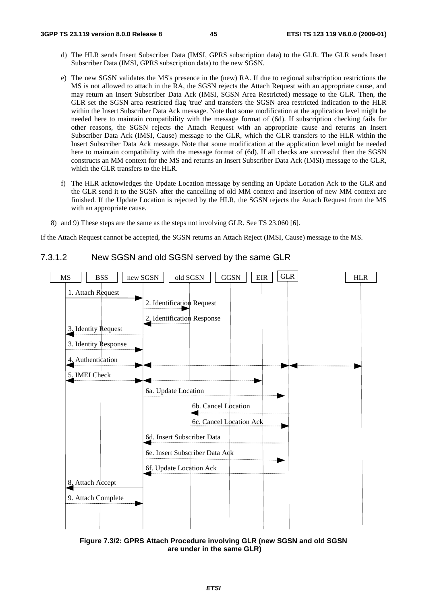- d) The HLR sends Insert Subscriber Data (IMSI, GPRS subscription data) to the GLR. The GLR sends Insert Subscriber Data (IMSI, GPRS subscription data) to the new SGSN.
- e) The new SGSN validates the MS's presence in the (new) RA. If due to regional subscription restrictions the MS is not allowed to attach in the RA, the SGSN rejects the Attach Request with an appropriate cause, and may return an Insert Subscriber Data Ack (IMSI, SGSN Area Restricted) message to the GLR. Then, the GLR set the SGSN area restricted flag 'true' and transfers the SGSN area restricted indication to the HLR within the Insert Subscriber Data Ack message. Note that some modification at the application level might be needed here to maintain compatibility with the message format of (6d). If subscription checking fails for other reasons, the SGSN rejects the Attach Request with an appropriate cause and returns an Insert Subscriber Data Ack (IMSI, Cause) message to the GLR, which the GLR transfers to the HLR within the Insert Subscriber Data Ack message. Note that some modification at the application level might be needed here to maintain compatibility with the message format of (6d). If all checks are successful then the SGSN constructs an MM context for the MS and returns an Insert Subscriber Data Ack (IMSI) message to the GLR, which the GLR transfers to the HLR.
- f) The HLR acknowledges the Update Location message by sending an Update Location Ack to the GLR and the GLR send it to the SGSN after the cancelling of old MM context and insertion of new MM context are finished. If the Update Location is rejected by the HLR, the SGSN rejects the Attach Request from the MS with an appropriate cause.
- 8) and 9) These steps are the same as the steps not involving GLR. See TS 23.060 [6].

#### 7.3.1.2 New SGSN and old SGSN served by the same GLR



**Figure 7.3/2: GPRS Attach Procedure involving GLR (new SGSN and old SGSN are under in the same GLR)**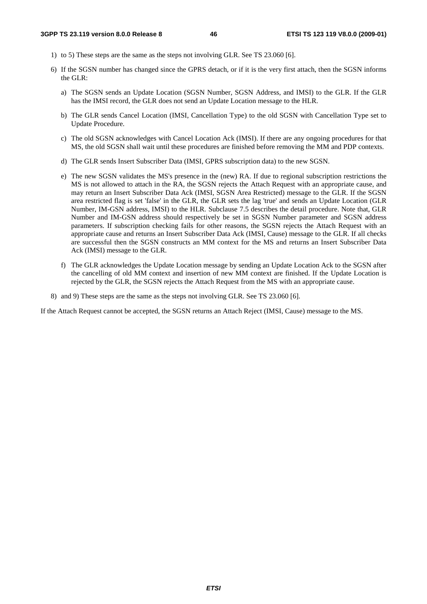- 1) to 5) These steps are the same as the steps not involving GLR. See TS 23.060 [6].
- 6) If the SGSN number has changed since the GPRS detach, or if it is the very first attach, then the SGSN informs the GLR:
	- a) The SGSN sends an Update Location (SGSN Number, SGSN Address, and IMSI) to the GLR. If the GLR has the IMSI record, the GLR does not send an Update Location message to the HLR.
	- b) The GLR sends Cancel Location (IMSI, Cancellation Type) to the old SGSN with Cancellation Type set to Update Procedure.
	- c) The old SGSN acknowledges with Cancel Location Ack (IMSI). If there are any ongoing procedures for that MS, the old SGSN shall wait until these procedures are finished before removing the MM and PDP contexts.
	- d) The GLR sends Insert Subscriber Data (IMSI, GPRS subscription data) to the new SGSN.
	- e) The new SGSN validates the MS's presence in the (new) RA. If due to regional subscription restrictions the MS is not allowed to attach in the RA, the SGSN rejects the Attach Request with an appropriate cause, and may return an Insert Subscriber Data Ack (IMSI, SGSN Area Restricted) message to the GLR. If the SGSN area restricted flag is set 'false' in the GLR, the GLR sets the lag 'true' and sends an Update Location (GLR Number, IM-GSN address, IMSI) to the HLR. Subclause 7.5 describes the detail procedure. Note that, GLR Number and IM-GSN address should respectively be set in SGSN Number parameter and SGSN address parameters. If subscription checking fails for other reasons, the SGSN rejects the Attach Request with an appropriate cause and returns an Insert Subscriber Data Ack (IMSI, Cause) message to the GLR. If all checks are successful then the SGSN constructs an MM context for the MS and returns an Insert Subscriber Data Ack (IMSI) message to the GLR.
	- f) The GLR acknowledges the Update Location message by sending an Update Location Ack to the SGSN after the cancelling of old MM context and insertion of new MM context are finished. If the Update Location is rejected by the GLR, the SGSN rejects the Attach Request from the MS with an appropriate cause.
- 8) and 9) These steps are the same as the steps not involving GLR. See TS 23.060 [6].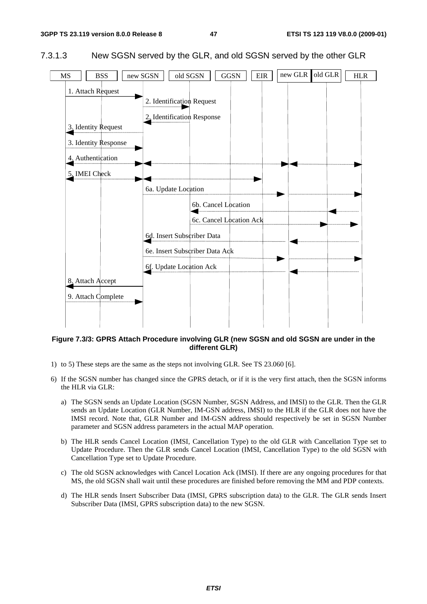



**Figure 7.3/3: GPRS Attach Procedure involving GLR (new SGSN and old SGSN are under in the different GLR)** 

- 1) to 5) These steps are the same as the steps not involving GLR. See TS 23.060 [6].
- 6) If the SGSN number has changed since the GPRS detach, or if it is the very first attach, then the SGSN informs the HLR via GLR:
	- a) The SGSN sends an Update Location (SGSN Number, SGSN Address, and IMSI) to the GLR. Then the GLR sends an Update Location (GLR Number, IM-GSN address, IMSI) to the HLR if the GLR does not have the IMSI record. Note that, GLR Number and IM-GSN address should respectively be set in SGSN Number parameter and SGSN address parameters in the actual MAP operation.
	- b) The HLR sends Cancel Location (IMSI, Cancellation Type) to the old GLR with Cancellation Type set to Update Procedure. Then the GLR sends Cancel Location (IMSI, Cancellation Type) to the old SGSN with Cancellation Type set to Update Procedure.
	- c) The old SGSN acknowledges with Cancel Location Ack (IMSI). If there are any ongoing procedures for that MS, the old SGSN shall wait until these procedures are finished before removing the MM and PDP contexts.
	- d) The HLR sends Insert Subscriber Data (IMSI, GPRS subscription data) to the GLR. The GLR sends Insert Subscriber Data (IMSI, GPRS subscription data) to the new SGSN.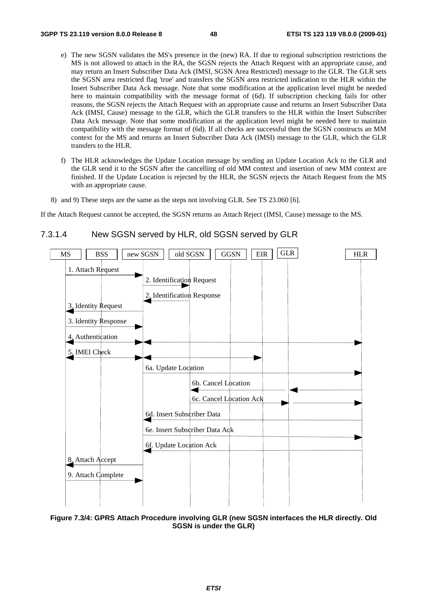- e) The new SGSN validates the MS's presence in the (new) RA. If due to regional subscription restrictions the MS is not allowed to attach in the RA, the SGSN rejects the Attach Request with an appropriate cause, and may return an Insert Subscriber Data Ack (IMSI, SGSN Area Restricted) message to the GLR. The GLR sets the SGSN area restricted flag 'true' and transfers the SGSN area restricted indication to the HLR within the Insert Subscriber Data Ack message. Note that some modification at the application level might be needed here to maintain compatibility with the message format of (6d). If subscription checking fails for other reasons, the SGSN rejects the Attach Request with an appropriate cause and returns an Insert Subscriber Data Ack (IMSI, Cause) message to the GLR, which the GLR transfers to the HLR within the Insert Subscriber Data Ack message. Note that some modification at the application level might be needed here to maintain compatibility with the message format of (6d). If all checks are successful then the SGSN constructs an MM context for the MS and returns an Insert Subscriber Data Ack (IMSI) message to the GLR, which the GLR transfers to the HLR.
- f) The HLR acknowledges the Update Location message by sending an Update Location Ack to the GLR and the GLR send it to the SGSN after the cancelling of old MM context and insertion of new MM context are finished. If the Update Location is rejected by the HLR, the SGSN rejects the Attach Request from the MS with an appropriate cause.
- 8) and 9) These steps are the same as the steps not involving GLR. See TS 23.060 [6].



### 7.3.1.4 New SGSN served by HLR, old SGSN served by GLR

**Figure 7.3/4: GPRS Attach Procedure involving GLR (new SGSN interfaces the HLR directly. Old SGSN is under the GLR)**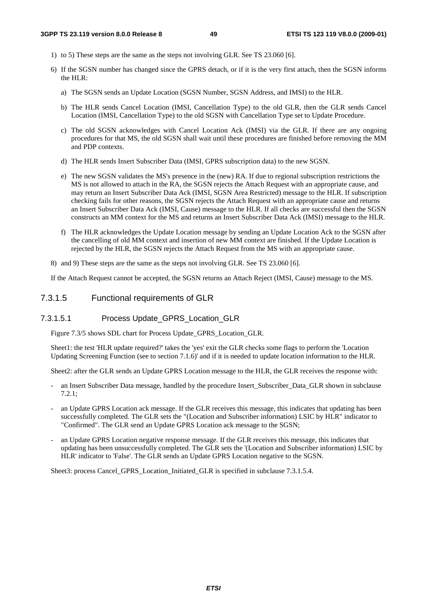- 1) to 5) These steps are the same as the steps not involving GLR. See TS 23.060 [6].
- 6) If the SGSN number has changed since the GPRS detach, or if it is the very first attach, then the SGSN informs the HLR:
	- a) The SGSN sends an Update Location (SGSN Number, SGSN Address, and IMSI) to the HLR.
	- b) The HLR sends Cancel Location (IMSI, Cancellation Type) to the old GLR, then the GLR sends Cancel Location (IMSI, Cancellation Type) to the old SGSN with Cancellation Type set to Update Procedure.
	- c) The old SGSN acknowledges with Cancel Location Ack (IMSI) via the GLR. If there are any ongoing procedures for that MS, the old SGSN shall wait until these procedures are finished before removing the MM and PDP contexts.
	- d) The HLR sends Insert Subscriber Data (IMSI, GPRS subscription data) to the new SGSN.
	- e) The new SGSN validates the MS's presence in the (new) RA. If due to regional subscription restrictions the MS is not allowed to attach in the RA, the SGSN rejects the Attach Request with an appropriate cause, and may return an Insert Subscriber Data Ack (IMSI, SGSN Area Restricted) message to the HLR. If subscription checking fails for other reasons, the SGSN rejects the Attach Request with an appropriate cause and returns an Insert Subscriber Data Ack (IMSI, Cause) message to the HLR. If all checks are successful then the SGSN constructs an MM context for the MS and returns an Insert Subscriber Data Ack (IMSI) message to the HLR.
	- f) The HLR acknowledges the Update Location message by sending an Update Location Ack to the SGSN after the cancelling of old MM context and insertion of new MM context are finished. If the Update Location is rejected by the HLR, the SGSN rejects the Attach Request from the MS with an appropriate cause.
- 8) and 9) These steps are the same as the steps not involving GLR. See TS 23.060 [6].

#### 7.3.1.5 Functional requirements of GLR

#### 7.3.1.5.1 Process Update\_GPRS\_Location\_GLR

Figure 7.3/5 shows SDL chart for Process Update\_GPRS\_Location\_GLR.

Sheet1: the test 'HLR update required?' takes the 'yes' exit the GLR checks some flags to perform the 'Location Updating Screening Function (see to section 7.1.6)' and if it is needed to update location information to the HLR.

Sheet2: after the GLR sends an Update GPRS Location message to the HLR, the GLR receives the response with:

- an Insert Subscriber Data message, handled by the procedure Insert\_Subscriber\_Data\_GLR shown in subclause 7.2.1;
- an Update GPRS Location ack message. If the GLR receives this message, this indicates that updating has been successfully completed. The GLR sets the "(Location and Subscriber information) LSIC by HLR" indicator to "Confirmed". The GLR send an Update GPRS Location ack message to the SGSN;
- an Update GPRS Location negative response message. If the GLR receives this message, this indicates that updating has been unsuccessfully completed. The GLR sets the '(Location and Subscriber information) LSIC by HLR' indicator to 'False'. The GLR sends an Update GPRS Location negative to the SGSN.

Sheet3: process Cancel\_GPRS\_Location\_Initiated\_GLR is specified in subclause 7.3.1.5.4.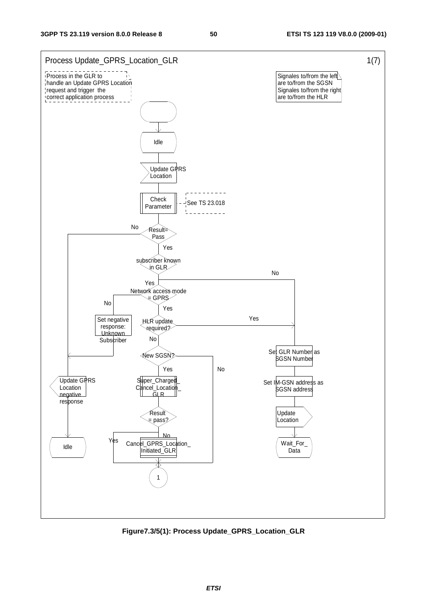

**Figure7.3/5(1): Process Update\_GPRS\_Location\_GLR**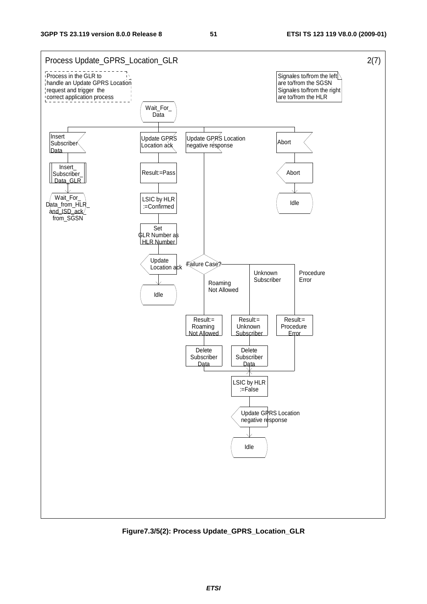

**Figure7.3/5(2): Process Update\_GPRS\_Location\_GLR**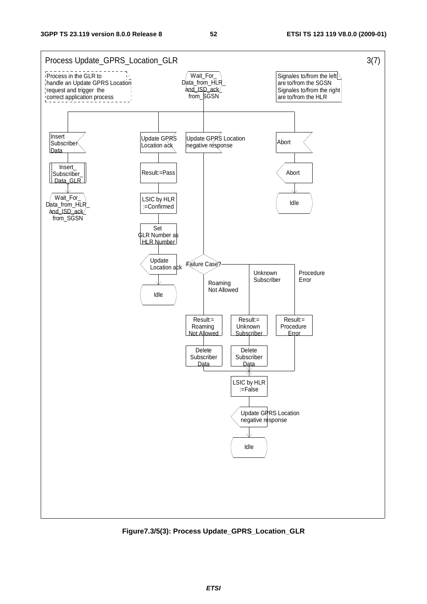

**Figure7.3/5(3): Process Update\_GPRS\_Location\_GLR**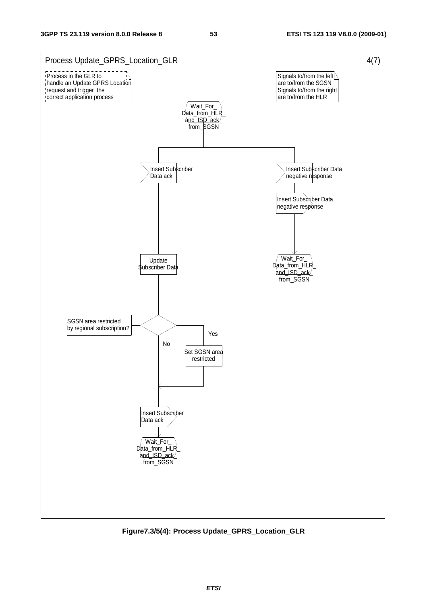

**Figure7.3/5(4): Process Update\_GPRS\_Location\_GLR**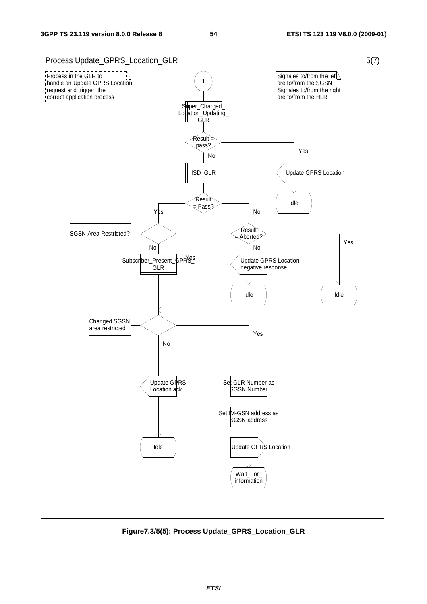

**Figure7.3/5(5): Process Update\_GPRS\_Location\_GLR**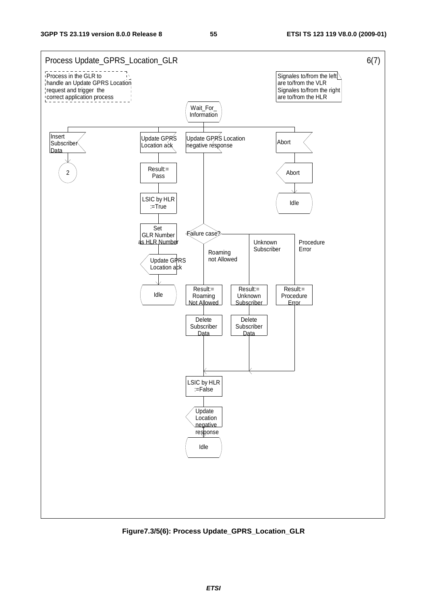

**Figure7.3/5(6): Process Update\_GPRS\_Location\_GLR**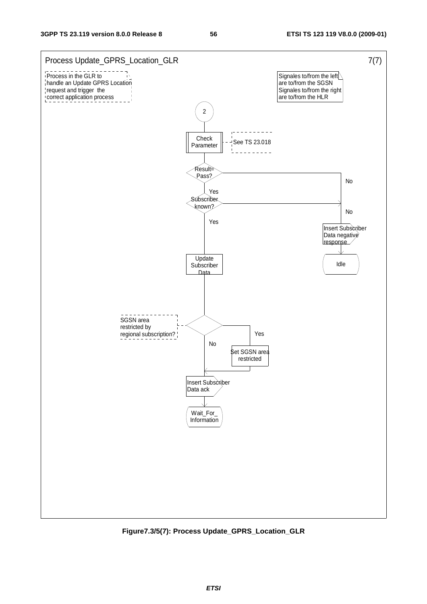

**Figure7.3/5(7): Process Update\_GPRS\_Location\_GLR**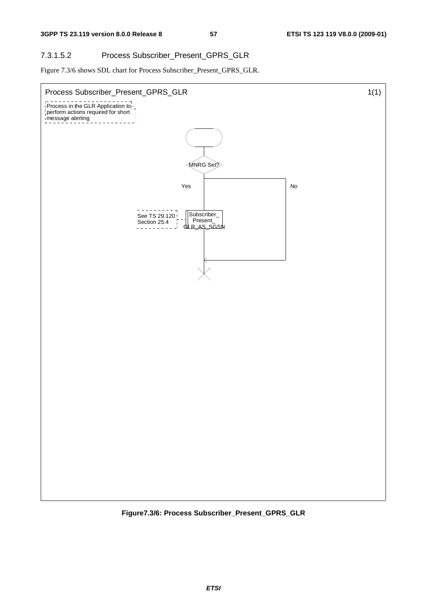## 7.3.1.5.2 Process Subscriber\_Present\_GPRS\_GLR

Figure 7.3/6 shows SDL chart for Process Subscriber\_Present\_GPRS\_GLR.



**Figure7.3/6: Process Subscriber\_Present\_GPRS\_GLR**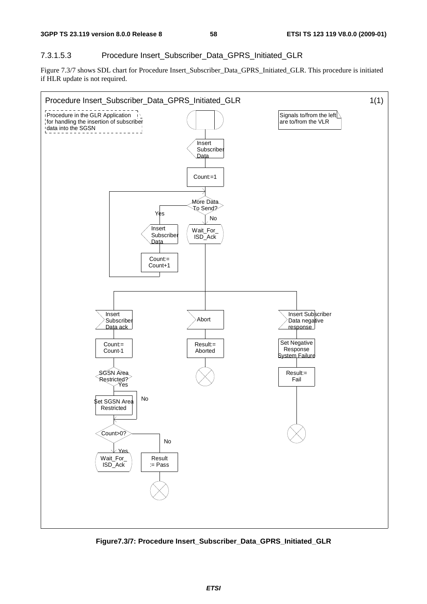#### 7.3.1.5.3 Procedure Insert\_Subscriber\_Data\_GPRS\_Initiated\_GLR

Figure 7.3/7 shows SDL chart for Procedure Insert\_Subscriber\_Data\_GPRS\_Initiated\_GLR. This procedure is initiated if HLR update is not required.



**Figure7.3/7: Procedure Insert\_Subscriber\_Data\_GPRS\_Initiated\_GLR**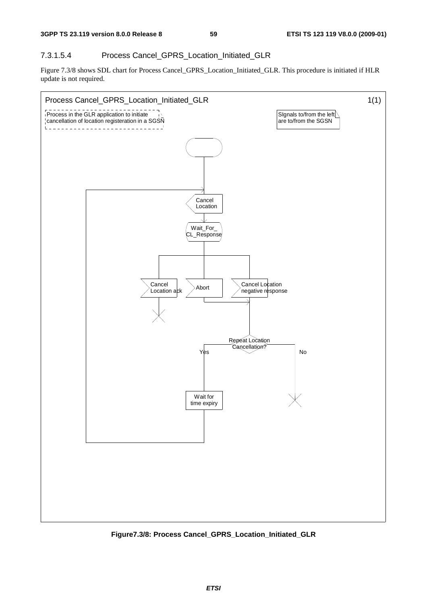### 7.3.1.5.4 Process Cancel\_GPRS\_Location\_Initiated\_GLR

Figure 7.3/8 shows SDL chart for Process Cancel\_GPRS\_Location\_Initiated\_GLR. This procedure is initiated if HLR update is not required.



**Figure7.3/8: Process Cancel\_GPRS\_Location\_Initiated\_GLR**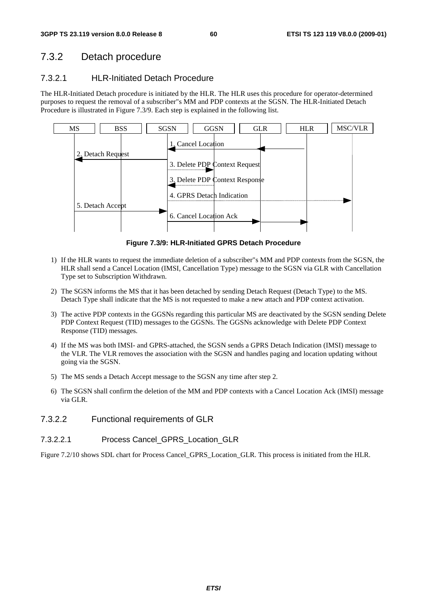# 7.3.2 Detach procedure

## 7.3.2.1 HLR-Initiated Detach Procedure

The HLR-Initiated Detach procedure is initiated by the HLR. The HLR uses this procedure for operator-determined purposes to request the removal of a subscriber"s MM and PDP contexts at the SGSN. The HLR-Initiated Detach Procedure is illustrated in Figure 7.3/9. Each step is explained in the following list.



**Figure 7.3/9: HLR-Initiated GPRS Detach Procedure** 

- 1) If the HLR wants to request the immediate deletion of a subscriber"s MM and PDP contexts from the SGSN, the HLR shall send a Cancel Location (IMSI, Cancellation Type) message to the SGSN via GLR with Cancellation Type set to Subscription Withdrawn.
- 2) The SGSN informs the MS that it has been detached by sending Detach Request (Detach Type) to the MS. Detach Type shall indicate that the MS is not requested to make a new attach and PDP context activation.
- 3) The active PDP contexts in the GGSNs regarding this particular MS are deactivated by the SGSN sending Delete PDP Context Request (TID) messages to the GGSNs. The GGSNs acknowledge with Delete PDP Context Response (TID) messages.
- 4) If the MS was both IMSI- and GPRS-attached, the SGSN sends a GPRS Detach Indication (IMSI) message to the VLR. The VLR removes the association with the SGSN and handles paging and location updating without going via the SGSN.
- 5) The MS sends a Detach Accept message to the SGSN any time after step 2.
- 6) The SGSN shall confirm the deletion of the MM and PDP contexts with a Cancel Location Ack (IMSI) message via GLR.
- 7.3.2.2 Functional requirements of GLR

## 7.3.2.2.1 Process Cancel\_GPRS\_Location\_GLR

Figure 7.2/10 shows SDL chart for Process Cancel GPRS Location GLR. This process is initiated from the HLR.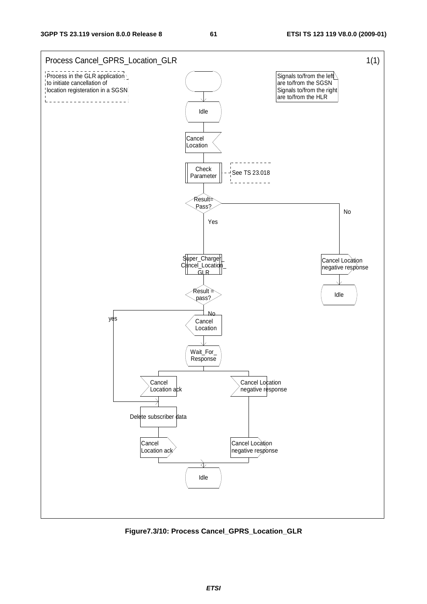

**Figure7.3/10: Process Cancel\_GPRS\_Location\_GLR**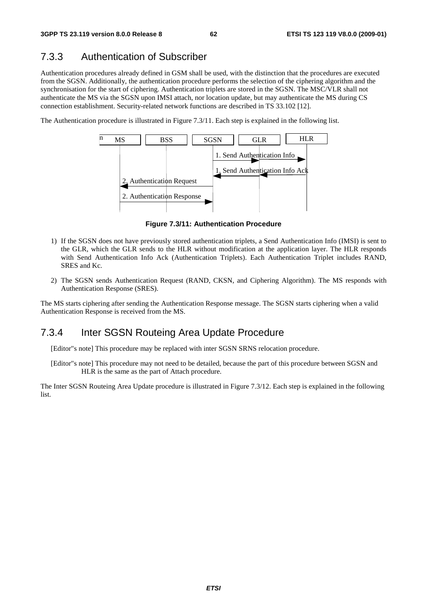# 7.3.3 Authentication of Subscriber

Authentication procedures already defined in GSM shall be used, with the distinction that the procedures are executed from the SGSN. Additionally, the authentication procedure performs the selection of the ciphering algorithm and the synchronisation for the start of ciphering. Authentication triplets are stored in the SGSN. The MSC/VLR shall not authenticate the MS via the SGSN upon IMSI attach, nor location update, but may authenticate the MS during CS connection establishment. Security-related network functions are described in TS 33.102 [12].

The Authentication procedure is illustrated in Figure 7.3/11. Each step is explained in the following list.



**Figure 7.3/11: Authentication Procedure** 

- 1) If the SGSN does not have previously stored authentication triplets, a Send Authentication Info (IMSI) is sent to the GLR, which the GLR sends to the HLR without modification at the application layer. The HLR responds with Send Authentication Info Ack (Authentication Triplets). Each Authentication Triplet includes RAND, SRES and Kc.
- 2) The SGSN sends Authentication Request (RAND, CKSN, and Ciphering Algorithm). The MS responds with Authentication Response (SRES).

The MS starts ciphering after sending the Authentication Response message. The SGSN starts ciphering when a valid Authentication Response is received from the MS.

## 7.3.4 Inter SGSN Routeing Area Update Procedure

[Editor"s note] This procedure may be replaced with inter SGSN SRNS relocation procedure.

[Editor"s note] This procedure may not need to be detailed, because the part of this procedure between SGSN and HLR is the same as the part of Attach procedure.

The Inter SGSN Routeing Area Update procedure is illustrated in Figure 7.3/12. Each step is explained in the following list.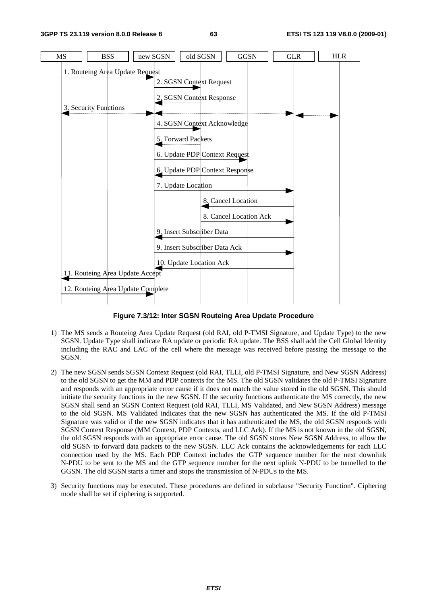

**Figure 7.3/12: Inter SGSN Routeing Area Update Procedure** 

- 1) The MS sends a Routeing Area Update Request (old RAI, old P-TMSI Signature, and Update Type) to the new SGSN. Update Type shall indicate RA update or periodic RA update. The BSS shall add the Cell Global Identity including the RAC and LAC of the cell where the message was received before passing the message to the SGSN.
- 2) The new SGSN sends SGSN Context Request (old RAI, TLLI, old P-TMSI Signature, and New SGSN Address) to the old SGSN to get the MM and PDP contexts for the MS. The old SGSN validates the old P-TMSI Signature and responds with an appropriate error cause if it does not match the value stored in the old SGSN. This should initiate the security functions in the new SGSN. If the security functions authenticate the MS correctly, the new SGSN shall send an SGSN Context Request (old RAI, TLLI, MS Validated, and New SGSN Address) message to the old SGSN. MS Validated indicates that the new SGSN has authenticated the MS. If the old P-TMSI Signature was valid or if the new SGSN indicates that it has authenticated the MS, the old SGSN responds with SGSN Context Response (MM Context, PDP Contexts, and LLC Ack). If the MS is not known in the old SGSN, the old SGSN responds with an appropriate error cause. The old SGSN stores New SGSN Address, to allow the old SGSN to forward data packets to the new SGSN. LLC Ack contains the acknowledgements for each LLC connection used by the MS. Each PDP Context includes the GTP sequence number for the next downlink N-PDU to be sent to the MS and the GTP sequence number for the next uplink N-PDU to be tunnelled to the GGSN. The old SGSN starts a timer and stops the transmission of N-PDUs to the MS.
- 3) Security functions may be executed. These procedures are defined in subclause "Security Function". Ciphering mode shall be set if ciphering is supported.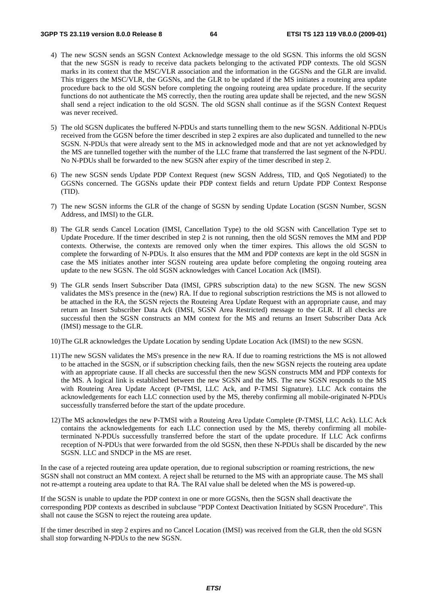- 4) The new SGSN sends an SGSN Context Acknowledge message to the old SGSN. This informs the old SGSN that the new SGSN is ready to receive data packets belonging to the activated PDP contexts. The old SGSN marks in its context that the MSC/VLR association and the information in the GGSNs and the GLR are invalid. This triggers the MSC/VLR, the GGSNs, and the GLR to be updated if the MS initiates a routeing area update procedure back to the old SGSN before completing the ongoing routeing area update procedure. If the security functions do not authenticate the MS correctly, then the routing area update shall be rejected, and the new SGSN shall send a reject indication to the old SGSN. The old SGSN shall continue as if the SGSN Context Request was never received.
- 5) The old SGSN duplicates the buffered N-PDUs and starts tunnelling them to the new SGSN. Additional N-PDUs received from the GGSN before the timer described in step 2 expires are also duplicated and tunnelled to the new SGSN. N-PDUs that were already sent to the MS in acknowledged mode and that are not yet acknowledged by the MS are tunnelled together with the number of the LLC frame that transferred the last segment of the N-PDU. No N-PDUs shall be forwarded to the new SGSN after expiry of the timer described in step 2.
- 6) The new SGSN sends Update PDP Context Request (new SGSN Address, TID, and QoS Negotiated) to the GGSNs concerned. The GGSNs update their PDP context fields and return Update PDP Context Response (TID).
- 7) The new SGSN informs the GLR of the change of SGSN by sending Update Location (SGSN Number, SGSN Address, and IMSI) to the GLR.
- 8) The GLR sends Cancel Location (IMSI, Cancellation Type) to the old SGSN with Cancellation Type set to Update Procedure. If the timer described in step 2 is not running, then the old SGSN removes the MM and PDP contexts. Otherwise, the contexts are removed only when the timer expires. This allows the old SGSN to complete the forwarding of N-PDUs. It also ensures that the MM and PDP contexts are kept in the old SGSN in case the MS initiates another inter SGSN routeing area update before completing the ongoing routeing area update to the new SGSN. The old SGSN acknowledges with Cancel Location Ack (IMSI).
- 9) The GLR sends Insert Subscriber Data (IMSI, GPRS subscription data) to the new SGSN. The new SGSN validates the MS's presence in the (new) RA. If due to regional subscription restrictions the MS is not allowed to be attached in the RA, the SGSN rejects the Routeing Area Update Request with an appropriate cause, and may return an Insert Subscriber Data Ack (IMSI, SGSN Area Restricted) message to the GLR. If all checks are successful then the SGSN constructs an MM context for the MS and returns an Insert Subscriber Data Ack (IMSI) message to the GLR.
- 10) The GLR acknowledges the Update Location by sending Update Location Ack (IMSI) to the new SGSN.
- 11) The new SGSN validates the MS's presence in the new RA. If due to roaming restrictions the MS is not allowed to be attached in the SGSN, or if subscription checking fails, then the new SGSN rejects the routeing area update with an appropriate cause. If all checks are successful then the new SGSN constructs MM and PDP contexts for the MS. A logical link is established between the new SGSN and the MS. The new SGSN responds to the MS with Routeing Area Update Accept (P-TMSI, LLC Ack, and P-TMSI Signature). LLC Ack contains the acknowledgements for each LLC connection used by the MS, thereby confirming all mobile-originated N-PDUs successfully transferred before the start of the update procedure.
- 12) The MS acknowledges the new P-TMSI with a Routeing Area Update Complete (P-TMSI, LLC Ack). LLC Ack contains the acknowledgements for each LLC connection used by the MS, thereby confirming all mobileterminated N-PDUs successfully transferred before the start of the update procedure. If LLC Ack confirms reception of N-PDUs that were forwarded from the old SGSN, then these N-PDUs shall be discarded by the new SGSN. LLC and SNDCP in the MS are reset.

In the case of a rejected routeing area update operation, due to regional subscription or roaming restrictions, the new SGSN shall not construct an MM context. A reject shall be returned to the MS with an appropriate cause. The MS shall not re-attempt a routeing area update to that RA. The RAI value shall be deleted when the MS is powered-up.

If the SGSN is unable to update the PDP context in one or more GGSNs, then the SGSN shall deactivate the corresponding PDP contexts as described in subclause "PDP Context Deactivation Initiated by SGSN Procedure". This shall not cause the SGSN to reject the routeing area update.

If the timer described in step 2 expires and no Cancel Location (IMSI) was received from the GLR, then the old SGSN shall stop forwarding N-PDUs to the new SGSN.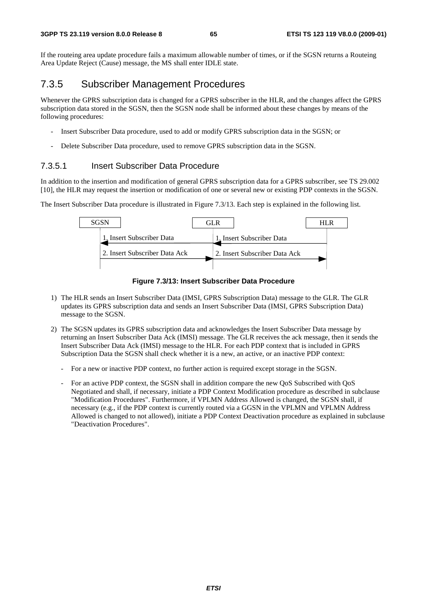If the routeing area update procedure fails a maximum allowable number of times, or if the SGSN returns a Routeing Area Update Reject (Cause) message, the MS shall enter IDLE state.

## 7.3.5 Subscriber Management Procedures

Whenever the GPRS subscription data is changed for a GPRS subscriber in the HLR, and the changes affect the GPRS subscription data stored in the SGSN, then the SGSN node shall be informed about these changes by means of the following procedures:

- Insert Subscriber Data procedure, used to add or modify GPRS subscription data in the SGSN; or
- Delete Subscriber Data procedure, used to remove GPRS subscription data in the SGSN.

### 7.3.5.1 Insert Subscriber Data Procedure

In addition to the insertion and modification of general GPRS subscription data for a GPRS subscriber, see TS 29.002 [10], the HLR may request the insertion or modification of one or several new or existing PDP contexts in the SGSN.

The Insert Subscriber Data procedure is illustrated in Figure 7.3/13. Each step is explained in the following list.



**Figure 7.3/13: Insert Subscriber Data Procedure** 

- 1) The HLR sends an Insert Subscriber Data (IMSI, GPRS Subscription Data) message to the GLR. The GLR updates its GPRS subscription data and sends an Insert Subscriber Data (IMSI, GPRS Subscription Data) message to the SGSN.
- 2) The SGSN updates its GPRS subscription data and acknowledges the Insert Subscriber Data message by returning an Insert Subscriber Data Ack (IMSI) message. The GLR receives the ack message, then it sends the Insert Subscriber Data Ack (IMSI) message to the HLR. For each PDP context that is included in GPRS Subscription Data the SGSN shall check whether it is a new, an active, or an inactive PDP context:
	- For a new or inactive PDP context, no further action is required except storage in the SGSN.
	- For an active PDP context, the SGSN shall in addition compare the new QoS Subscribed with QoS Negotiated and shall, if necessary, initiate a PDP Context Modification procedure as described in subclause "Modification Procedures". Furthermore, if VPLMN Address Allowed is changed, the SGSN shall, if necessary (e.g., if the PDP context is currently routed via a GGSN in the VPLMN and VPLMN Address Allowed is changed to not allowed), initiate a PDP Context Deactivation procedure as explained in subclause "Deactivation Procedures".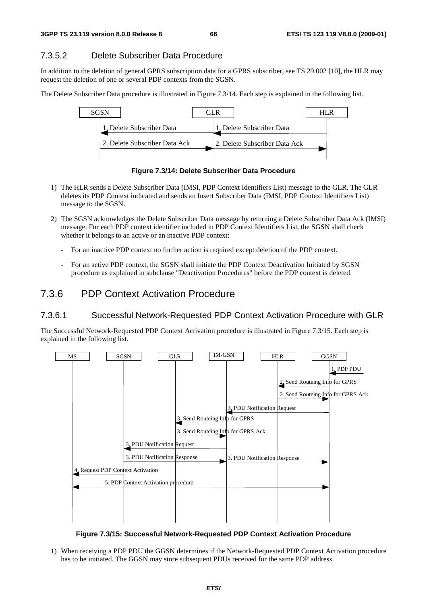## 7.3.5.2 Delete Subscriber Data Procedure

In addition to the deletion of general GPRS subscription data for a GPRS subscriber, see TS 29.002 [10], the HLR may request the deletion of one or several PDP contexts from the SGSN.

The Delete Subscriber Data procedure is illustrated in Figure 7.3/14. Each step is explained in the following list.



**Figure 7.3/14: Delete Subscriber Data Procedure** 

- 1) The HLR sends a Delete Subscriber Data (IMSI, PDP Context Identifiers List) message to the GLR. The GLR deletes its PDP Context indicated and sends an Insert Subscriber Data (IMSI, PDP Context Identifiers List) message to the SGSN.
- 2) The SGSN acknowledges the Delete Subscriber Data message by returning a Delete Subscriber Data Ack (IMSI) message. For each PDP context identifier included in PDP Context Identifiers List, the SGSN shall check whether it belongs to an active or an inactive PDP context:
	- For an inactive PDP context no further action is required except deletion of the PDP context.
	- For an active PDP context, the SGSN shall initiate the PDP Context Deactivation Initiated by SGSN procedure as explained in subclause "Deactivation Procedures" before the PDP context is deleted.

## 7.3.6 PDP Context Activation Procedure

#### 7.3.6.1 Successful Network-Requested PDP Context Activation Procedure with GLR

The Successful Network-Requested PDP Context Activation procedure is illustrated in Figure 7.3/15. Each step is explained in the following list.



**Figure 7.3/15: Successful Network-Requested PDP Context Activation Procedure** 

1) When receiving a PDP PDU the GGSN determines if the Network-Requested PDP Context Activation procedure has to be initiated. The GGSN may store subsequent PDUs received for the same PDP address.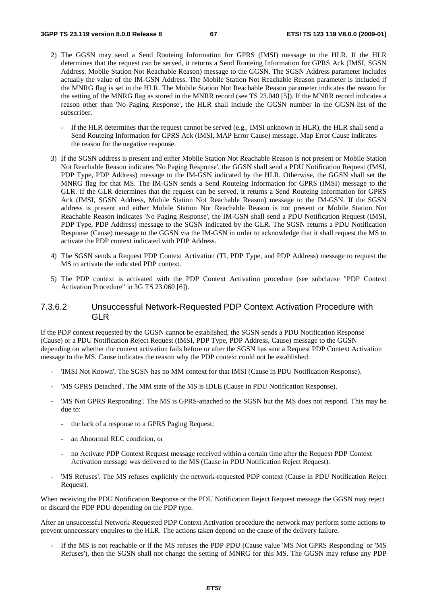- 2) The GGSN may send a Send Routeing Information for GPRS (IMSI) message to the HLR. If the HLR determines that the request can be served, it returns a Send Routeing Information for GPRS Ack (IMSI, SGSN Address, Mobile Station Not Reachable Reason) message to the GGSN. The SGSN Address parameter includes actually the value of the IM-GSN Address. The Mobile Station Not Reachable Reason parameter is included if the MNRG flag is set in the HLR. The Mobile Station Not Reachable Reason parameter indicates the reason for the setting of the MNRG flag as stored in the MNRR record (see TS 23.040 [5]). If the MNRR record indicates a reason other than 'No Paging Response', the HLR shall include the GGSN number in the GGSN-list of the subscriber.
	- If the HLR determines that the request cannot be served (e.g., IMSI unknown in HLR), the HLR shall send a Send Routeing Information for GPRS Ack (IMSI, MAP Error Cause) message. Map Error Cause indicates the reason for the negative response.
- 3) If the SGSN address is present and either Mobile Station Not Reachable Reason is not present or Mobile Station Not Reachable Reason indicates 'No Paging Response', the GGSN shall send a PDU Notification Request (IMSI, PDP Type, PDP Address) message to the IM-GSN indicated by the HLR. Otherwise, the GGSN shall set the MNRG flag for that MS. The IM-GSN sends a Send Routeing Information for GPRS (IMSI) message to the GLR. If the GLR determines that the request can be served, it returns a Send Routeing Information for GPRS Ack (IMSI, SGSN Address, Mobile Station Not Reachable Reason) message to the IM-GSN. If the SGSN address is present and either Mobile Station Not Reachable Reason is not present or Mobile Station Not Reachable Reason indicates 'No Paging Response', the IM-GSN shall send a PDU Notification Request (IMSI, PDP Type, PDP Address) message to the SGSN indicated by the GLR. The SGSN returns a PDU Notification Response (Cause) message to the GGSN via the IM-GSN in order to acknowledge that it shall request the MS to activate the PDP context indicated with PDP Address.
- 4) The SGSN sends a Request PDP Context Activation (TI, PDP Type, and PDP Address) message to request the MS to activate the indicated PDP context.
- 5) The PDP context is activated with the PDP Context Activation procedure (see subclause "PDP Context Activation Procedure" in 3G TS 23.060 [6]).

#### 7.3.6.2 Unsuccessful Network-Requested PDP Context Activation Procedure with GLR

If the PDP context requested by the GGSN cannot be established, the SGSN sends a PDU Notification Response (Cause) or a PDU Notification Reject Request (IMSI, PDP Type, PDP Address, Cause) message to the GGSN depending on whether the context activation fails before or after the SGSN has sent a Request PDP Context Activation message to the MS. Cause indicates the reason why the PDP context could not be established:

- 'IMSI Not Known'. The SGSN has no MM context for that IMSI (Cause in PDU Notification Response).
- 'MS GPRS Detached'. The MM state of the MS is IDLE (Cause in PDU Notification Response).
- 'MS Not GPRS Responding'. The MS is GPRS-attached to the SGSN but the MS does not respond. This may be due to:
	- the lack of a response to a GPRS Paging Request;
	- an Abnormal RLC condition, or
	- no Activate PDP Context Request message received within a certain time after the Request PDP Context Activation message was delivered to the MS (Cause in PDU Notification Reject Request).
- 'MS Refuses'. The MS refuses explicitly the network-requested PDP context (Cause in PDU Notification Reject Request).

When receiving the PDU Notification Response or the PDU Notification Reject Request message the GGSN may reject or discard the PDP PDU depending on the PDP type.

After an unsuccessful Network-Requested PDP Context Activation procedure the network may perform some actions to prevent unnecessary enquires to the HLR. The actions taken depend on the cause of the delivery failure.

If the MS is not reachable or if the MS refuses the PDP PDU (Cause value 'MS Not GPRS Responding' or 'MS Refuses'), then the SGSN shall not change the setting of MNRG for this MS. The GGSN may refuse any PDP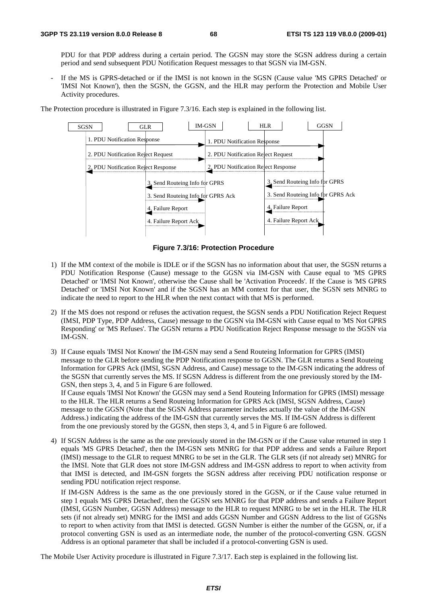PDU for that PDP address during a certain period. The GGSN may store the SGSN address during a certain period and send subsequent PDU Notification Request messages to that SGSN via IM-GSN.

If the MS is GPRS-detached or if the IMSI is not known in the SGSN (Cause value 'MS GPRS Detached' or 'IMSI Not Known'), then the SGSN, the GGSN, and the HLR may perform the Protection and Mobile User Activity procedures.

The Protection procedure is illustrated in Figure 7.3/16. Each step is explained in the following list.



**Figure 7.3/16: Protection Procedure** 

- 1) If the MM context of the mobile is IDLE or if the SGSN has no information about that user, the SGSN returns a PDU Notification Response (Cause) message to the GGSN via IM-GSN with Cause equal to 'MS GPRS Detached' or 'IMSI Not Known', otherwise the Cause shall be 'Activation Proceeds'. If the Cause is 'MS GPRS Detached' or 'IMSI Not Known' and if the SGSN has an MM context for that user, the SGSN sets MNRG to indicate the need to report to the HLR when the next contact with that MS is performed.
- 2) If the MS does not respond or refuses the activation request, the SGSN sends a PDU Notification Reject Request (IMSI, PDP Type, PDP Address, Cause) message to the GGSN via IM-GSN with Cause equal to 'MS Not GPRS Responding' or 'MS Refuses'. The GGSN returns a PDU Notification Reject Response message to the SGSN via IM-GSN.
- 3) If Cause equals 'IMSI Not Known' the IM-GSN may send a Send Routeing Information for GPRS (IMSI) message to the GLR before sending the PDP Notification response to GGSN. The GLR returns a Send Routeing Information for GPRS Ack (IMSI, SGSN Address, and Cause) message to the IM-GSN indicating the address of the SGSN that currently serves the MS. If SGSN Address is different from the one previously stored by the IM-GSN, then steps 3, 4, and 5 in Figure 6 are followed.

If Cause equals 'IMSI Not Known' the GGSN may send a Send Routeing Information for GPRS (IMSI) message to the HLR. The HLR returns a Send Routeing Information for GPRS Ack (IMSI, SGSN Address, Cause) message to the GGSN (Note that the SGSN Address parameter includes actually the value of the IM-GSN Address.) indicating the address of the IM-GSN that currently serves the MS. If IM-GSN Address is different from the one previously stored by the GGSN, then steps 3, 4, and 5 in Figure 6 are followed.

4) If SGSN Address is the same as the one previously stored in the IM-GSN or if the Cause value returned in step 1 equals 'MS GPRS Detached', then the IM-GSN sets MNRG for that PDP address and sends a Failure Report (IMSI) message to the GLR to request MNRG to be set in the GLR. The GLR sets (if not already set) MNRG for the IMSI. Note that GLR does not store IM-GSN address and IM-GSN address to report to when activity from that IMSI is detected, and IM-GSN forgets the SGSN address after receiving PDU notification response or sending PDU notification reject response.

 If IM-GSN Address is the same as the one previously stored in the GGSN, or if the Cause value returned in step 1 equals 'MS GPRS Detached', then the GGSN sets MNRG for that PDP address and sends a Failure Report (IMSI, GGSN Number, GGSN Address) message to the HLR to request MNRG to be set in the HLR. The HLR sets (if not already set) MNRG for the IMSI and adds GGSN Number and GGSN Address to the list of GGSNs to report to when activity from that IMSI is detected. GGSN Number is either the number of the GGSN, or, if a protocol converting GSN is used as an intermediate node, the number of the protocol-converting GSN. GGSN Address is an optional parameter that shall be included if a protocol-converting GSN is used.

The Mobile User Activity procedure is illustrated in Figure 7.3/17. Each step is explained in the following list.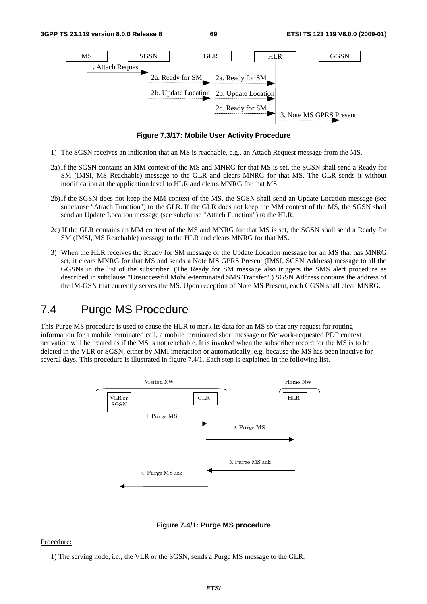

**Figure 7.3/17: Mobile User Activity Procedure** 

- 1) The SGSN receives an indication that an MS is reachable, e.g., an Attach Request message from the MS.
- 2a) If the SGSN contains an MM context of the MS and MNRG for that MS is set, the SGSN shall send a Ready for SM (IMSI, MS Reachable) message to the GLR and clears MNRG for that MS. The GLR sends it without modification at the application level to HLR and clears MNRG for that MS.
- 2b) If the SGSN does not keep the MM context of the MS, the SGSN shall send an Update Location message (see subclause "Attach Function") to the GLR. If the GLR does not keep the MM context of the MS, the SGSN shall send an Update Location message (see subclause "Attach Function") to the HLR.
- 2c) If the GLR contains an MM context of the MS and MNRG for that MS is set, the SGSN shall send a Ready for SM (IMSI, MS Reachable) message to the HLR and clears MNRG for that MS.
- 3) When the HLR receives the Ready for SM message or the Update Location message for an MS that has MNRG set, it clears MNRG for that MS and sends a Note MS GPRS Present (IMSI, SGSN Address) message to all the GGSNs in the list of the subscriber. (The Ready for SM message also triggers the SMS alert procedure as described in subclause "Unsuccessful Mobile-terminated SMS Transfer".) SGSN Address contains the address of the IM-GSN that currently serves the MS. Upon reception of Note MS Present, each GGSN shall clear MNRG.

# 7.4 Purge MS Procedure

This Purge MS procedure is used to cause the HLR to mark its data for an MS so that any request for routing information for a mobile terminated call, a mobile terminated short message or Network-requested PDP context activation will be treated as if the MS is not reachable. It is invoked when the subscriber record for the MS is to be deleted in the VLR or SGSN, either by MMI interaction or automatically, e.g. because the MS has been inactive for several days. This procedure is illustrated in figure 7.4/1. Each step is explained in the following list.



**Figure 7.4/1: Purge MS procedure** 

#### Procedure:

1) The serving node, i.e., the VLR or the SGSN, sends a Purge MS message to the GLR.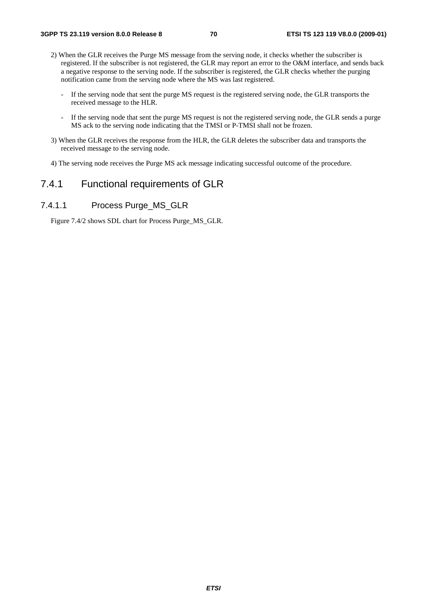- 2) When the GLR receives the Purge MS message from the serving node, it checks whether the subscriber is registered. If the subscriber is not registered, the GLR may report an error to the O&M interface, and sends back a negative response to the serving node. If the subscriber is registered, the GLR checks whether the purging notification came from the serving node where the MS was last registered.
	- If the serving node that sent the purge MS request is the registered serving node, the GLR transports the received message to the HLR.
	- If the serving node that sent the purge MS request is not the registered serving node, the GLR sends a purge MS ack to the serving node indicating that the TMSI or P-TMSI shall not be frozen.
- 3) When the GLR receives the response from the HLR, the GLR deletes the subscriber data and transports the received message to the serving node.
- 4) The serving node receives the Purge MS ack message indicating successful outcome of the procedure.

## 7.4.1 Functional requirements of GLR

### 7.4.1.1 Process Purge\_MS\_GLR

Figure 7.4/2 shows SDL chart for Process Purge\_MS\_GLR.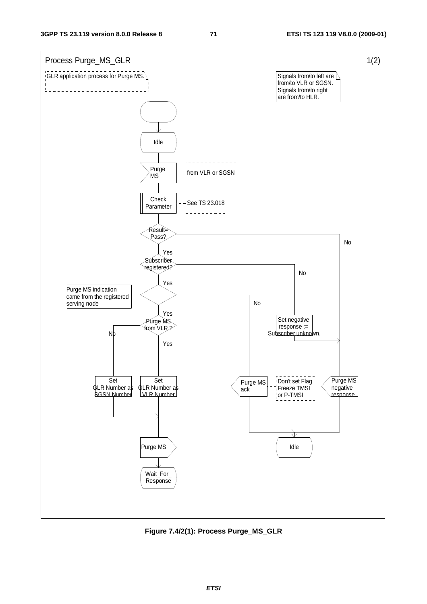

**Figure 7.4/2(1): Process Purge\_MS\_GLR**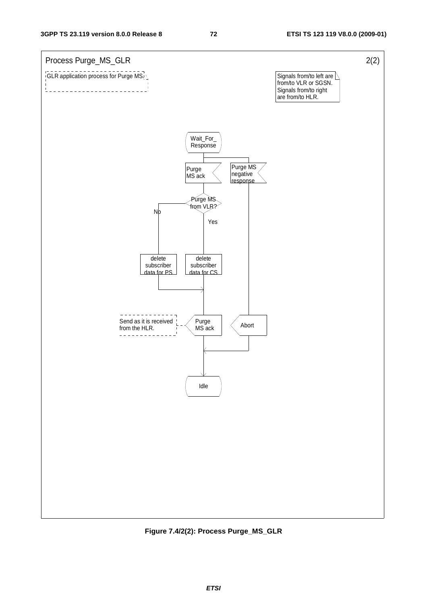

**Figure 7.4/2(2): Process Purge\_MS\_GLR**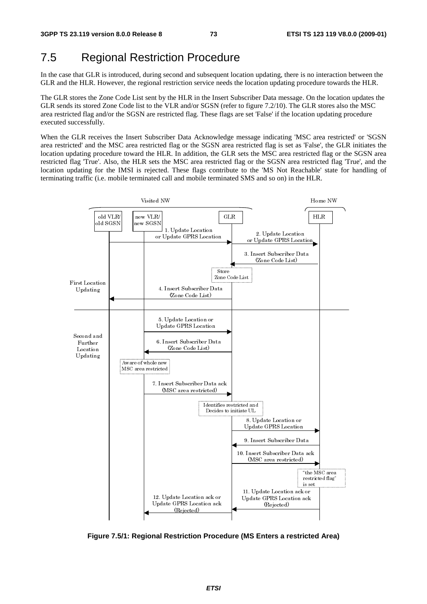# 7.5 Regional Restriction Procedure

In the case that GLR is introduced, during second and subsequent location updating, there is no interaction between the GLR and the HLR. However, the regional restriction service needs the location updating procedure towards the HLR.

The GLR stores the Zone Code List sent by the HLR in the Insert Subscriber Data message. On the location updates the GLR sends its stored Zone Code list to the VLR and/or SGSN (refer to figure 7.2/10). The GLR stores also the MSC area restricted flag and/or the SGSN are restricted flag. These flags are set 'False' if the location updating procedure executed successfully.

When the GLR receives the Insert Subscriber Data Acknowledge message indicating 'MSC area restricted' or 'SGSN area restricted' and the MSC area restricted flag or the SGSN area restricted flag is set as 'False', the GLR initiates the location updating procedure toward the HLR. In addition, the GLR sets the MSC area restricted flag or the SGSN area restricted flag 'True'. Also, the HLR sets the MSC area restricted flag or the SGSN area restricted flag 'True', and the location updating for the IMSI is rejected. These flags contribute to the 'MS Not Reachable' state for handling of terminating traffic (i.e. mobile terminated call and mobile terminated SMS and so on) in the HLR.



**Figure 7.5/1: Regional Restriction Procedure (MS Enters a restricted Area)**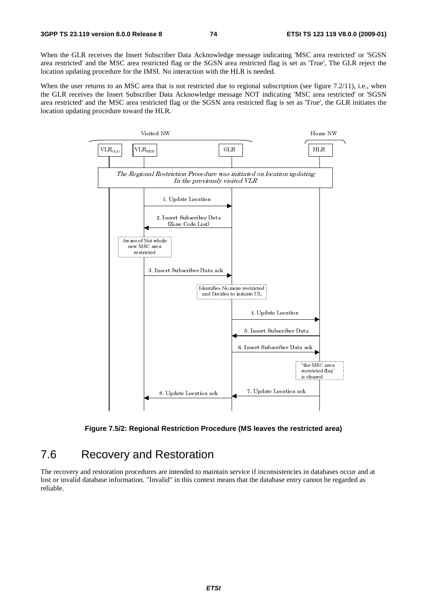When the GLR receives the Insert Subscriber Data Acknowledge message indicating 'MSC area restricted' or 'SGSN area restricted' and the MSC area restricted flag or the SGSN area restricted flag is set as 'True', The GLR reject the location updating procedure for the IMSI. No interaction with the HLR is needed.

When the user returns to an MSC area that is not restricted due to regional subscription (see figure 7.2/11), i.e., when the GLR receives the Insert Subscriber Data Acknowledge message NOT indicating 'MSC area restricted' or 'SGSN area restricted' and the MSC area restricted flag or the SGSN area restricted flag is set as 'True', the GLR initiates the location updating procedure toward the HLR.





# 7.6 Recovery and Restoration

The recovery and restoration procedures are intended to maintain service if inconsistencies in databases occur and at lost or invalid database information. "Invalid" in this context means that the database entry cannot be regarded as reliable.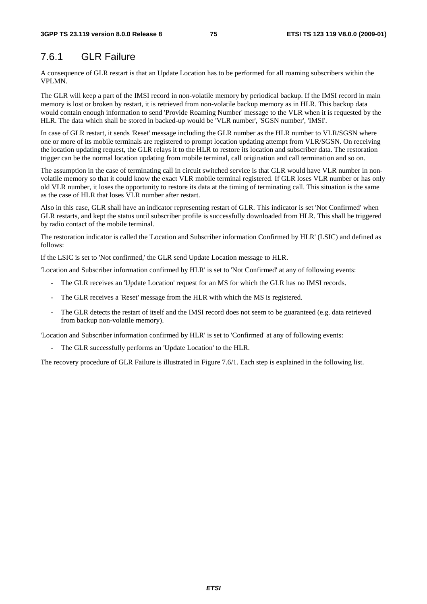# 7.6.1 GLR Failure

A consequence of GLR restart is that an Update Location has to be performed for all roaming subscribers within the VPLMN.

The GLR will keep a part of the IMSI record in non-volatile memory by periodical backup. If the IMSI record in main memory is lost or broken by restart, it is retrieved from non-volatile backup memory as in HLR. This backup data would contain enough information to send 'Provide Roaming Number' message to the VLR when it is requested by the HLR. The data which shall be stored in backed-up would be 'VLR number', 'SGSN number', 'IMSI'.

In case of GLR restart, it sends 'Reset' message including the GLR number as the HLR number to VLR/SGSN where one or more of its mobile terminals are registered to prompt location updating attempt from VLR/SGSN. On receiving the location updating request, the GLR relays it to the HLR to restore its location and subscriber data. The restoration trigger can be the normal location updating from mobile terminal, call origination and call termination and so on.

The assumption in the case of terminating call in circuit switched service is that GLR would have VLR number in nonvolatile memory so that it could know the exact VLR mobile terminal registered. If GLR loses VLR number or has only old VLR number, it loses the opportunity to restore its data at the timing of terminating call. This situation is the same as the case of HLR that loses VLR number after restart.

Also in this case, GLR shall have an indicator representing restart of GLR. This indicator is set 'Not Confirmed' when GLR restarts, and kept the status until subscriber profile is successfully downloaded from HLR. This shall be triggered by radio contact of the mobile terminal.

The restoration indicator is called the 'Location and Subscriber information Confirmed by HLR' (LSIC) and defined as follows:

If the LSIC is set to 'Not confirmed,' the GLR send Update Location message to HLR.

'Location and Subscriber information confirmed by HLR' is set to 'Not Confirmed' at any of following events:

- The GLR receives an 'Update Location' request for an MS for which the GLR has no IMSI records.
- The GLR receives a 'Reset' message from the HLR with which the MS is registered.
- The GLR detects the restart of itself and the IMSI record does not seem to be guaranteed (e.g. data retrieved from backup non-volatile memory).

'Location and Subscriber information confirmed by HLR' is set to 'Confirmed' at any of following events:

- The GLR successfully performs an 'Update Location' to the HLR.

The recovery procedure of GLR Failure is illustrated in Figure 7.6/1. Each step is explained in the following list.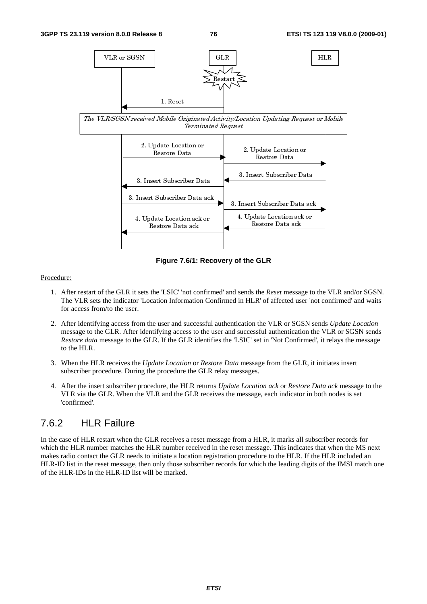

**Figure 7.6/1: Recovery of the GLR**

#### Procedure:

- 1. After restart of the GLR it sets the 'LSIC' 'not confirmed' and sends the *Reset* message to the VLR and/or SGSN. The VLR sets the indicator 'Location Information Confirmed in HLR' of affected user 'not confirmed' and waits for access from/to the user.
- 2. After identifying access from the user and successful authentication the VLR or SGSN sends *Update Location* message to the GLR. After identifying access to the user and successful authentication the VLR or SGSN sends *Restore data* message to the GLR. If the GLR identifies the 'LSIC' set in 'Not Confirmed', it relays the message to the HLR.
- 3. When the HLR receives the *Update Location* or *Restore Data* message from the GLR, it initiates insert subscriber procedure. During the procedure the GLR relay messages.
- 4. After the insert subscriber procedure, the HLR returns *Update Location ack* or *Restore Data ack* message to the VLR via the GLR. When the VLR and the GLR receives the message, each indicator in both nodes is set 'confirmed'.

# 7.6.2 HLR Failure

In the case of HLR restart when the GLR receives a reset message from a HLR, it marks all subscriber records for which the HLR number matches the HLR number received in the reset message. This indicates that when the MS next makes radio contact the GLR needs to initiate a location registration procedure to the HLR. If the HLR included an HLR-ID list in the reset message, then only those subscriber records for which the leading digits of the IMSI match one of the HLR-IDs in the HLR-ID list will be marked.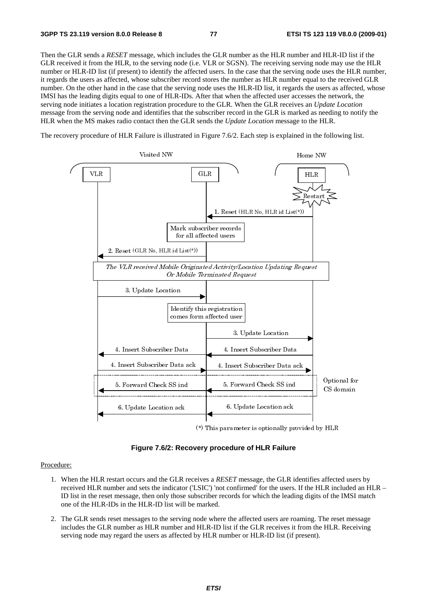Then the GLR sends a *RESET* message, which includes the GLR number as the HLR number and HLR-ID list if the GLR received it from the HLR, to the serving node (i.e. VLR or SGSN). The receiving serving node may use the HLR number or HLR-ID list (if present) to identify the affected users. In the case that the serving node uses the HLR number, it regards the users as affected, whose subscriber record stores the number as HLR number equal to the received GLR number. On the other hand in the case that the serving node uses the HLR-ID list, it regards the users as affected, whose IMSI has the leading digits equal to one of HLR-IDs. After that when the affected user accesses the network, the serving node initiates a location registration procedure to the GLR. When the GLR receives an *Update Location* message from the serving node and identifies that the subscriber record in the GLR is marked as needing to notify the HLR when the MS makes radio contact then the GLR sends the *Update Location* message to the HLR.

The recovery procedure of HLR Failure is illustrated in Figure 7.6/2. Each step is explained in the following list.



(\*) This parameter is optionally provided by HLR

**Figure 7.6/2: Recovery procedure of HLR Failure** 

#### Procedure:

- 1. When the HLR restart occurs and the GLR receives a *RESET* message, the GLR identifies affected users by received HLR number and sets the indicator ('LSIC') 'not confirmed' for the users. If the HLR included an HLR – ID list in the reset message, then only those subscriber records for which the leading digits of the IMSI match one of the HLR-IDs in the HLR-ID list will be marked.
- 2. The GLR sends reset messages to the serving node where the affected users are roaming. The reset message includes the GLR number as HLR number and HLR-ID list if the GLR receives it from the HLR. Receiving serving node may regard the users as affected by HLR number or HLR-ID list (if present).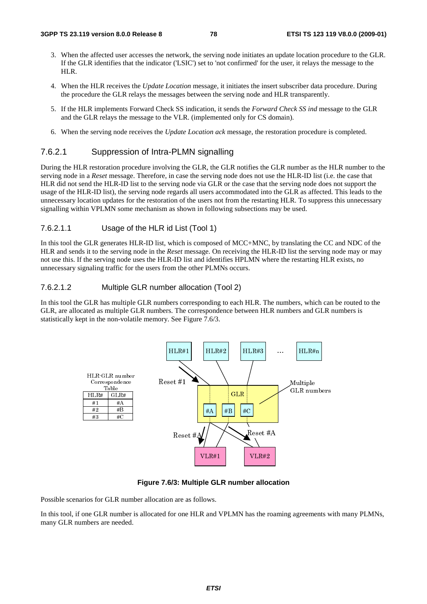- 3. When the affected user accesses the network, the serving node initiates an update location procedure to the GLR. If the GLR identifies that the indicator ('LSIC') set to 'not confirmed' for the user, it relays the message to the HLR.
- 4. When the HLR receives the *Update Location* message, it initiates the insert subscriber data procedure. During the procedure the GLR relays the messages between the serving node and HLR transparently.
- 5. If the HLR implements Forward Check SS indication, it sends the *Forward Check SS ind* message to the GLR and the GLR relays the message to the VLR. (implemented only for CS domain).
- 6. When the serving node receives the *Update Location ack* message, the restoration procedure is completed.

## 7.6.2.1 Suppression of Intra-PLMN signalling

During the HLR restoration procedure involving the GLR, the GLR notifies the GLR number as the HLR number to the serving node in a *Reset* message. Therefore, in case the serving node does not use the HLR-ID list (i.e. the case that HLR did not send the HLR-ID list to the serving node via GLR or the case that the serving node does not support the usage of the HLR-ID list), the serving node regards all users accommodated into the GLR as affected. This leads to the unnecessary location updates for the restoration of the users not from the restarting HLR. To suppress this unnecessary signalling within VPLMN some mechanism as shown in following subsections may be used.

### 7.6.2.1.1 Usage of the HLR id List (Tool 1)

In this tool the GLR generates HLR-ID list, which is composed of MCC+MNC, by translating the CC and NDC of the HLR and sends it to the serving node in the *Reset* message. On receiving the HLR-ID list the serving node may or may not use this. If the serving node uses the HLR-ID list and identifies HPLMN where the restarting HLR exists, no unnecessary signaling traffic for the users from the other PLMNs occurs.

#### 7.6.2.1.2 Multiple GLR number allocation (Tool 2)

In this tool the GLR has multiple GLR numbers corresponding to each HLR. The numbers, which can be routed to the GLR, are allocated as multiple GLR numbers. The correspondence between HLR numbers and GLR numbers is statistically kept in the non-volatile memory. See Figure 7.6/3.



**Figure 7.6/3: Multiple GLR number allocation** 

Possible scenarios for GLR number allocation are as follows.

In this tool, if one GLR number is allocated for one HLR and VPLMN has the roaming agreements with many PLMNs, many GLR numbers are needed.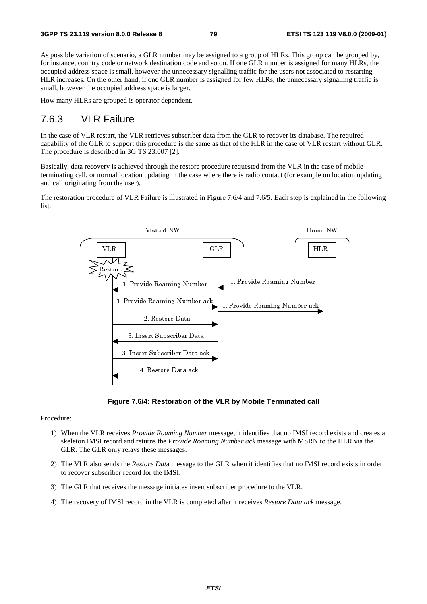As possible variation of scenario, a GLR number may be assigned to a group of HLRs. This group can be grouped by, for instance, country code or network destination code and so on. If one GLR number is assigned for many HLRs, the occupied address space is small, however the unnecessary signalling traffic for the users not associated to restarting HLR increases. On the other hand, if one GLR number is assigned for few HLRs, the unnecessary signalling traffic is small, however the occupied address space is larger.

How many HLRs are grouped is operator dependent.

# 7.6.3 VLR Failure

In the case of VLR restart, the VLR retrieves subscriber data from the GLR to recover its database. The required capability of the GLR to support this procedure is the same as that of the HLR in the case of VLR restart without GLR. The procedure is described in 3G TS 23.007 [2].

Basically, data recovery is achieved through the restore procedure requested from the VLR in the case of mobile terminating call, or normal location updating in the case where there is radio contact (for example on location updating and call originating from the user).

The restoration procedure of VLR Failure is illustrated in Figure 7.6/4 and 7.6/5. Each step is explained in the following list.



**Figure 7.6/4: Restoration of the VLR by Mobile Terminated call** 

#### Procedure:

- 1) When the VLR receives *Provide Roaming Number* message, it identifies that no IMSI record exists and creates a skeleton IMSI record and returns the *Provide Roaming Number ack* message with MSRN to the HLR via the GLR. The GLR only relays these messages.
- 2) The VLR also sends the *Restore Dat*a message to the GLR when it identifies that no IMSI record exists in order to recover subscriber record for the IMSI.
- 3) The GLR that receives the message initiates insert subscriber procedure to the VLR.
- 4) The recovery of IMSI record in the VLR is completed after it receives *Restore Data ack* message.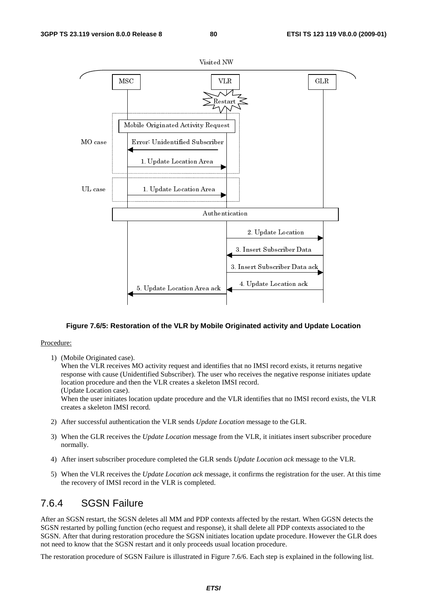

#### **Figure 7.6/5: Restoration of the VLR by Mobile Originated activity and Update Location**

#### Procedure:

1) (Mobile Originated case).

When the VLR receives MO activity request and identifies that no IMSI record exists, it returns negative response with cause (Unidentified Subscriber). The user who receives the negative response initiates update location procedure and then the VLR creates a skeleton IMSI record.

(Update Location case).

When the user initiates location update procedure and the VLR identifies that no IMSI record exists, the VLR creates a skeleton IMSI record.

- 2) After successful authentication the VLR sends *Update Location* message to the GLR.
- 3) When the GLR receives the *Update Location* message from the VLR, it initiates insert subscriber procedure normally.
- 4) After insert subscriber procedure completed the GLR sends *Update Location ack* message to the VLR.
- 5) When the VLR receives the *Update Location ack* message, it confirms the registration for the user. At this time the recovery of IMSI record in the VLR is completed.

# 7.6.4 SGSN Failure

After an SGSN restart, the SGSN deletes all MM and PDP contexts affected by the restart. When GGSN detects the SGSN restarted by polling function (echo request and response), it shall delete all PDP contexts associated to the SGSN. After that during restoration procedure the SGSN initiates location update procedure. However the GLR does not need to know that the SGSN restart and it only proceeds usual location procedure.

The restoration procedure of SGSN Failure is illustrated in Figure 7.6/6. Each step is explained in the following list.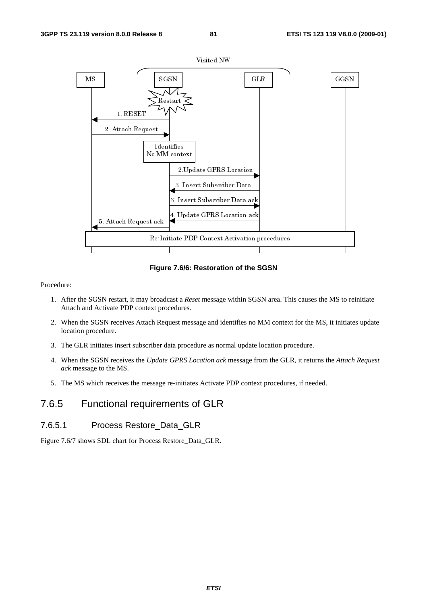

**Figure 7.6/6: Restoration of the SGSN** 

#### Procedure:

- 1. After the SGSN restart, it may broadcast a *Reset* message within SGSN area. This causes the MS to reinitiate Attach and Activate PDP context procedures.
- 2. When the SGSN receives Attach Request message and identifies no MM context for the MS, it initiates update location procedure.
- 3. The GLR initiates insert subscriber data procedure as normal update location procedure.
- 4. When the SGSN receives the *Update GPRS Location ack* message from the GLR, it returns the *Attach Request ack* message to the MS.
- 5. The MS which receives the message re-initiates Activate PDP context procedures, if needed.

# 7.6.5 Functional requirements of GLR

## 7.6.5.1 Process Restore\_Data\_GLR

Figure 7.6/7 shows SDL chart for Process Restore\_Data\_GLR.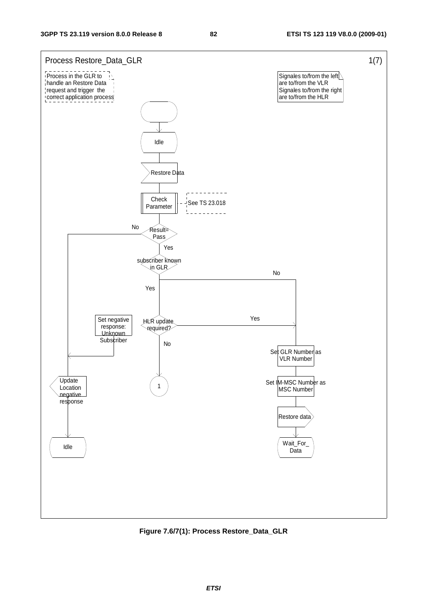

**Figure 7.6/7(1): Process Restore\_Data\_GLR**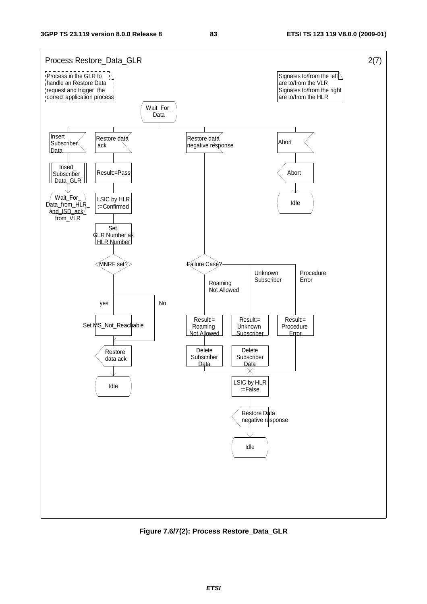

**Figure 7.6/7(2): Process Restore\_Data\_GLR**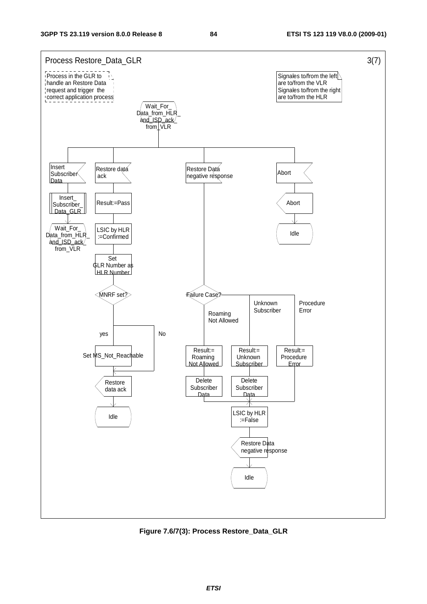

**Figure 7.6/7(3): Process Restore\_Data\_GLR**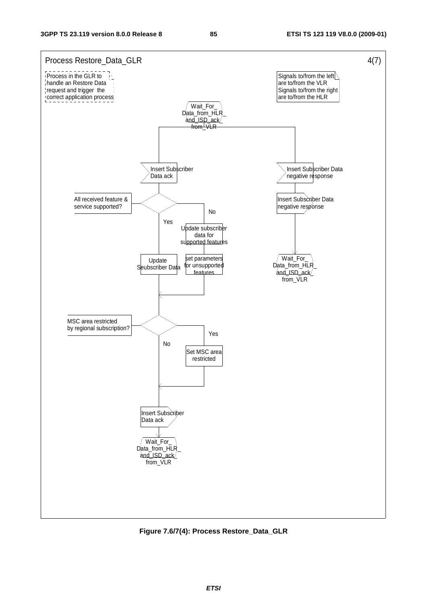

**Figure 7.6/7(4): Process Restore\_Data\_GLR**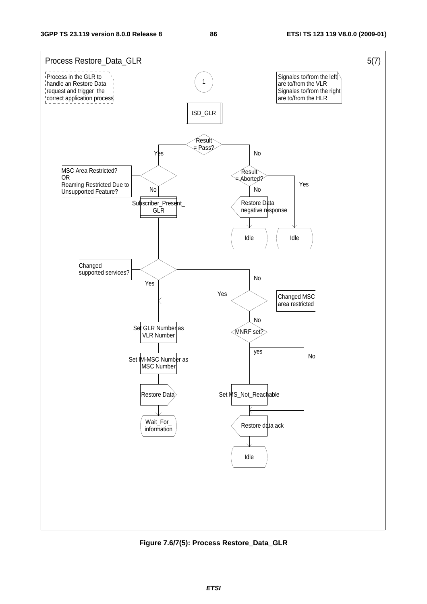

**Figure 7.6/7(5): Process Restore\_Data\_GLR**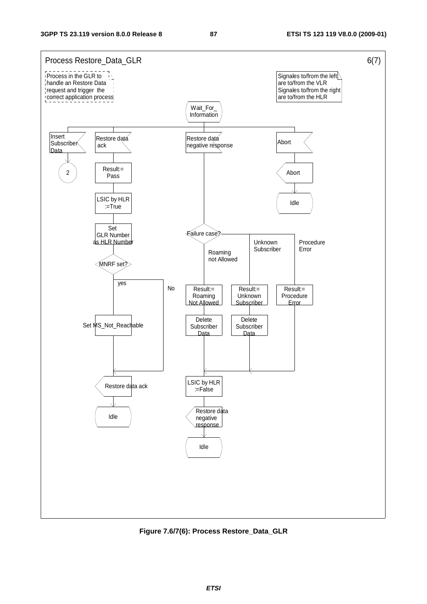

**Figure 7.6/7(6): Process Restore\_Data\_GLR**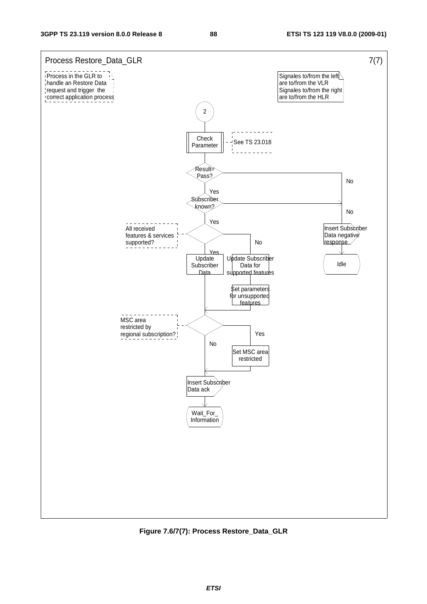

**Figure 7.6/7(7): Process Restore\_Data\_GLR**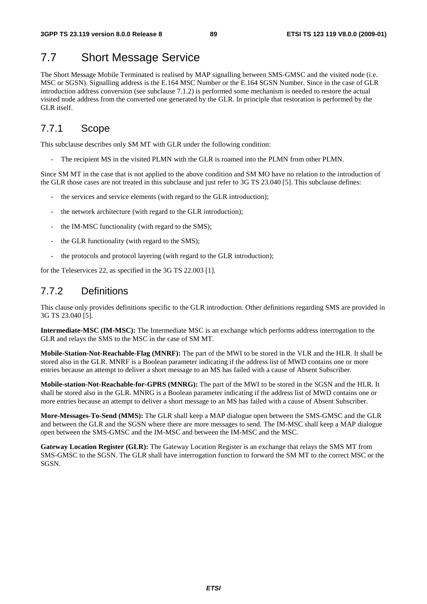# 7.7 Short Message Service

The Short Message Mobile Terminated is realised by MAP signalling between SMS-GMSC and the visited node (i.e. MSC or SGSN). Signalling address is the E.164 MSC Number or the E.164 SGSN Number. Since in the case of GLR introduction address conversion (see subclause 7.1.2) is performed some mechanism is needed to restore the actual visited node address from the converted one generated by the GLR. In principle that restoration is performed by the GLR itself.

# 7.7.1 Scope

This subclause describes only SM MT with GLR under the following condition:

The recipient MS in the visited PLMN with the GLR is roamed into the PLMN from other PLMN.

Since SM MT in the case that is not applied to the above condition and SM MO have no relation to the introduction of the GLR those cases are not treated in this subclause and just refer to 3G TS 23.040 [5]. This subclause defines:

- the services and service elements (with regard to the GLR introduction);
- the network architecture (with regard to the GLR introduction);
- the IM-MSC functionality (with regard to the SMS);
- the GLR functionality (with regard to the SMS);
- the protocols and protocol layering (with regard to the GLR introduction);

for the Teleservices 22, as specified in the 3G TS 22.003 [1].

# 7.7.2 Definitions

This clause only provides definitions specific to the GLR introduction. Other definitions regarding SMS are provided in 3G TS 23.040 [5].

**Intermediate-MSC (IM-MSC):** The Intermediate MSC is an exchange which performs address interrogation to the GLR and relays the SMS to the MSC in the case of SM MT.

**Mobile-Station-Not-Reachable-Flag (MNRF):** The part of the MWI to be stored in the VLR and the HLR. It shall be stored also in the GLR. MNRF is a Boolean parameter indicating if the address list of MWD contains one or more entries because an attempt to deliver a short message to an MS has failed with a cause of Absent Subscriber.

**Mobile-station-Not-Reachable-for-GPRS (MNRG):** The part of the MWI to be stored in the SGSN and the HLR. It shall be stored also in the GLR. MNRG is a Boolean parameter indicating if the address list of MWD contains one or more entries because an attempt to deliver a short message to an MS has failed with a cause of Absent Subscriber.

**More-Messages-To-Send (MMS):** The GLR shall keep a MAP dialogue open between the SMS-GMSC and the GLR and between the GLR and the SGSN where there are more messages to send. The IM-MSC shall keep a MAP dialogue open between the SMS-GMSC and the IM-MSC and between the IM-MSC and the MSC.

**Gateway Location Register (GLR):** The Gateway Location Register is an exchange that relays the SMS MT from SMS-GMSC to the SGSN. The GLR shall have interrogation function to forward the SM MT to the correct MSC or the SGSN.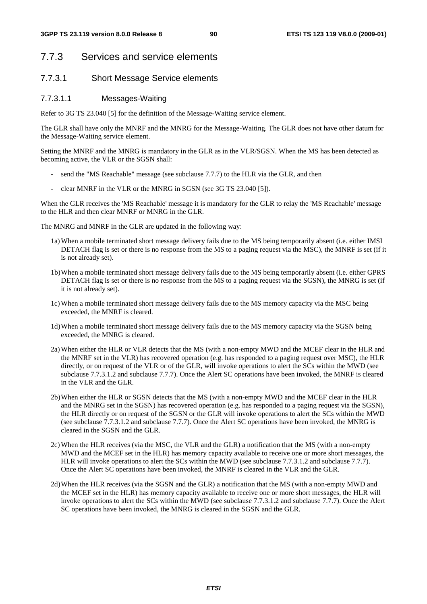# 7.7.3 Services and service elements

## 7.7.3.1 Short Message Service elements

### 7.7.3.1.1 Messages-Waiting

Refer to 3G TS 23.040 [5] for the definition of the Message-Waiting service element.

The GLR shall have only the MNRF and the MNRG for the Message-Waiting. The GLR does not have other datum for the Message-Waiting service element.

Setting the MNRF and the MNRG is mandatory in the GLR as in the VLR/SGSN. When the MS has been detected as becoming active, the VLR or the SGSN shall:

- send the "MS Reachable" message (see subclause 7.7.7) to the HLR via the GLR, and then
- clear MNRF in the VLR or the MNRG in SGSN (see 3G TS 23.040 [5]).

When the GLR receives the 'MS Reachable' message it is mandatory for the GLR to relay the 'MS Reachable' message to the HLR and then clear MNRF or MNRG in the GLR.

The MNRG and MNRF in the GLR are updated in the following way:

- 1a) When a mobile terminated short message delivery fails due to the MS being temporarily absent (i.e. either IMSI DETACH flag is set or there is no response from the MS to a paging request via the MSC), the MNRF is set (if it is not already set).
- 1b) When a mobile terminated short message delivery fails due to the MS being temporarily absent (i.e. either GPRS DETACH flag is set or there is no response from the MS to a paging request via the SGSN), the MNRG is set (if it is not already set).
- 1c) When a mobile terminated short message delivery fails due to the MS memory capacity via the MSC being exceeded, the MNRF is cleared.
- 1d) When a mobile terminated short message delivery fails due to the MS memory capacity via the SGSN being exceeded, the MNRG is cleared.
- 2a) When either the HLR or VLR detects that the MS (with a non-empty MWD and the MCEF clear in the HLR and the MNRF set in the VLR) has recovered operation (e.g. has responded to a paging request over MSC), the HLR directly, or on request of the VLR or of the GLR, will invoke operations to alert the SCs within the MWD (see subclause 7.7.3.1.2 and subclause 7.7.7). Once the Alert SC operations have been invoked, the MNRF is cleared in the VLR and the GLR.
- 2b) When either the HLR or SGSN detects that the MS (with a non-empty MWD and the MCEF clear in the HLR and the MNRG set in the SGSN) has recovered operation (e.g. has responded to a paging request via the SGSN), the HLR directly or on request of the SGSN or the GLR will invoke operations to alert the SCs within the MWD (see subclause 7.7.3.1.2 and subclause 7.7.7). Once the Alert SC operations have been invoked, the MNRG is cleared in the SGSN and the GLR.
- 2c) When the HLR receives (via the MSC, the VLR and the GLR) a notification that the MS (with a non-empty MWD and the MCEF set in the HLR) has memory capacity available to receive one or more short messages, the HLR will invoke operations to alert the SCs within the MWD (see subclause 7.7.3.1.2 and subclause 7.7.7). Once the Alert SC operations have been invoked, the MNRF is cleared in the VLR and the GLR.
- 2d) When the HLR receives (via the SGSN and the GLR) a notification that the MS (with a non-empty MWD and the MCEF set in the HLR) has memory capacity available to receive one or more short messages, the HLR will invoke operations to alert the SCs within the MWD (see subclause 7.7.3.1.2 and subclause 7.7.7). Once the Alert SC operations have been invoked, the MNRG is cleared in the SGSN and the GLR.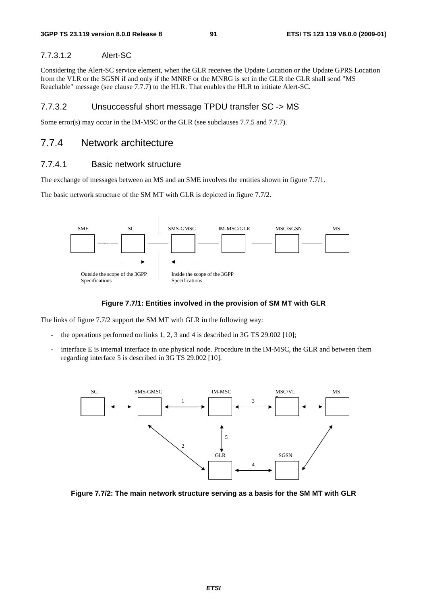### 7.7.3.1.2 Alert-SC

Considering the Alert-SC service element, when the GLR receives the Update Location or the Update GPRS Location from the VLR or the SGSN if and only if the MNRF or the MNRG is set in the GLR the GLR shall send "MS Reachable" message (see clause 7.7.7) to the HLR. That enables the HLR to initiate Alert-SC.

## 7.7.3.2 Unsuccessful short message TPDU transfer SC -> MS

Some error(s) may occur in the IM-MSC or the GLR (see subclauses  $7.7.5$  and  $7.7.7$ ).

# 7.7.4 Network architecture

### 7.7.4.1 Basic network structure

The exchange of messages between an MS and an SME involves the entities shown in figure 7.7/1.

The basic network structure of the SM MT with GLR is depicted in figure 7.7/2.



### **Figure 7.7/1: Entities involved in the provision of SM MT with GLR**

The links of figure 7.7/2 support the SM MT with GLR in the following way:

- the operations performed on links  $1, 2, 3$  and  $4$  is described in  $3G$  TS  $29.002$  [10];
- interface E is internal interface in one physical node. Procedure in the IM-MSC, the GLR and between them regarding interface 5 is described in 3G TS 29.002 [10].



**Figure 7.7/2: The main network structure serving as a basis for the SM MT with GLR**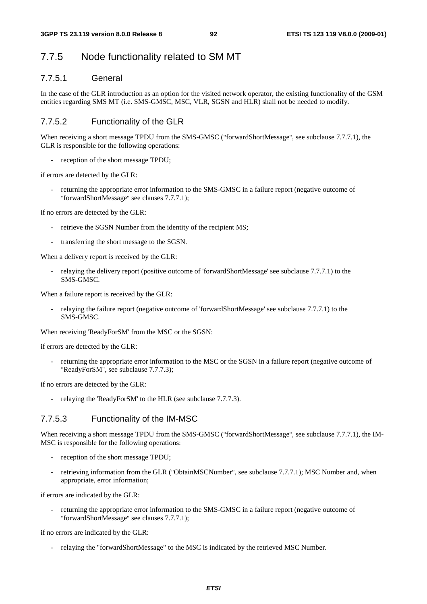# 7.7.5 Node functionality related to SM MT

# 7.7.5.1 General

In the case of the GLR introduction as an option for the visited network operator, the existing functionality of the GSM entities regarding SMS MT (i.e. SMS-GMSC, MSC, VLR, SGSN and HLR) shall not be needed to modify.

## 7.7.5.2 Functionality of the GLR

When receiving a short message TPDU from the SMS-GMSC ("forwardShortMessage", see subclause 7.7.7.1), the GLR is responsible for the following operations:

- reception of the short message TPDU;

if errors are detected by the GLR:

returning the appropriate error information to the SMS-GMSC in a failure report (negative outcome of "forwardShortMessage" see clauses 7.7.7.1);

if no errors are detected by the GLR:

- retrieve the SGSN Number from the identity of the recipient MS;
- transferring the short message to the SGSN.

When a delivery report is received by the GLR:

- relaying the delivery report (positive outcome of 'forwardShortMessage' see subclause 7.7.7.1) to the SMS-GMSC.

When a failure report is received by the GLR:

relaying the failure report (negative outcome of 'forwardShortMessage' see subclause 7.7.7.1) to the SMS-GMSC.

When receiving 'ReadyForSM' from the MSC or the SGSN:

if errors are detected by the GLR:

returning the appropriate error information to the MSC or the SGSN in a failure report (negative outcome of "ReadyForSM", see subclause 7.7.7.3);

if no errors are detected by the GLR:

- relaying the 'ReadyForSM' to the HLR (see subclause 7.7.7.3).

## 7.7.5.3 Functionality of the IM-MSC

When receiving a short message TPDU from the SMS-GMSC ("forwardShortMessage", see subclause 7.7.7.1), the IM-MSC is responsible for the following operations:

- reception of the short message TPDU;
- retrieving information from the GLR ("ObtainMSCNumber", see subclause 7.7.7.1); MSC Number and, when appropriate, error information;

if errors are indicated by the GLR:

returning the appropriate error information to the SMS-GMSC in a failure report (negative outcome of "forwardShortMessage" see clauses 7.7.7.1);

if no errors are indicated by the GLR:

relaying the "forwardShortMessage" to the MSC is indicated by the retrieved MSC Number.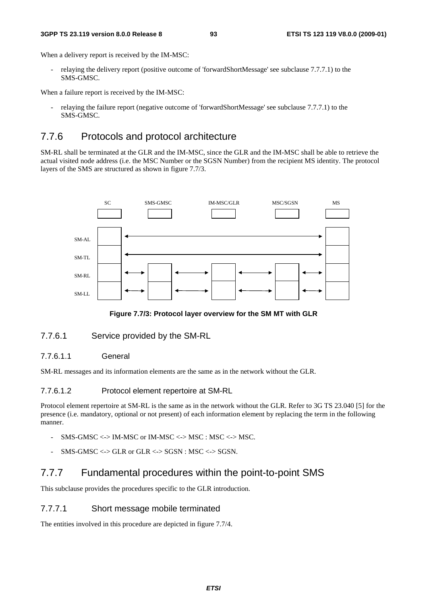#### **3GPP TS 23.119 version 8.0.0 Release 8 93 ETSI TS 123 119 V8.0.0 (2009-01)**

When a delivery report is received by the IM-MSC:

relaying the delivery report (positive outcome of 'forwardShortMessage' see subclause 7.7.7.1) to the SMS-GMSC.

When a failure report is received by the IM-MSC:

- relaying the failure report (negative outcome of 'forwardShortMessage' see subclause 7.7.7.1) to the SMS-GMSC.

# 7.7.6 Protocols and protocol architecture

SM-RL shall be terminated at the GLR and the IM-MSC, since the GLR and the IM-MSC shall be able to retrieve the actual visited node address (i.e. the MSC Number or the SGSN Number) from the recipient MS identity. The protocol layers of the SMS are structured as shown in figure 7.7/3.



**Figure 7.7/3: Protocol layer overview for the SM MT with GLR** 

# 7.7.6.1 Service provided by the SM-RL

# 7.7.6.1.1 General

SM-RL messages and its information elements are the same as in the network without the GLR.

# 7.7.6.1.2 Protocol element repertoire at SM-RL

Protocol element repertoire at SM-RL is the same as in the network without the GLR. Refer to 3G TS 23.040 [5] for the presence (i.e. mandatory, optional or not present) of each information element by replacing the term in the following manner.

- $SMS-GMSC \Longleftrightarrow IM-MSC$  or  $IM-MSC \Longleftrightarrow MSC : MSC \Longleftrightarrow MSC.$
- $SMS-GMSC \leq SGR$  or  $GLR \leq SSSN$  :  $MSC \leq SGSN$ .

# 7.7.7 Fundamental procedures within the point-to-point SMS

This subclause provides the procedures specific to the GLR introduction.

# 7.7.7.1 Short message mobile terminated

The entities involved in this procedure are depicted in figure 7.7/4.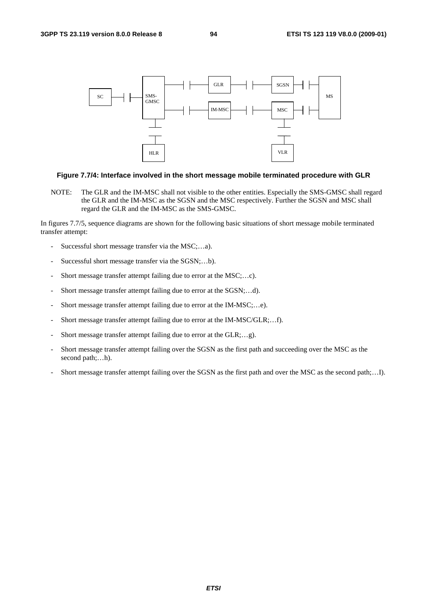

#### **Figure 7.7/4: Interface involved in the short message mobile terminated procedure with GLR**

NOTE: The GLR and the IM-MSC shall not visible to the other entities. Especially the SMS-GMSC shall regard the GLR and the IM-MSC as the SGSN and the MSC respectively. Further the SGSN and MSC shall regard the GLR and the IM-MSC as the SMS-GMSC.

In figures 7.7/5, sequence diagrams are shown for the following basic situations of short message mobile terminated transfer attempt:

- Successful short message transfer via the MSC;…a).
- Successful short message transfer via the SGSN;...b).
- Short message transfer attempt failing due to error at the MSC;...c).
- Short message transfer attempt failing due to error at the SGSN;…d).
- Short message transfer attempt failing due to error at the IM-MSC;...e).
- Short message transfer attempt failing due to error at the IM-MSC/GLR;...f).
- Short message transfer attempt failing due to error at the GLR;...g).
- Short message transfer attempt failing over the SGSN as the first path and succeeding over the MSC as the second path;...h).
- Short message transfer attempt failing over the SGSN as the first path and over the MSC as the second path;…I).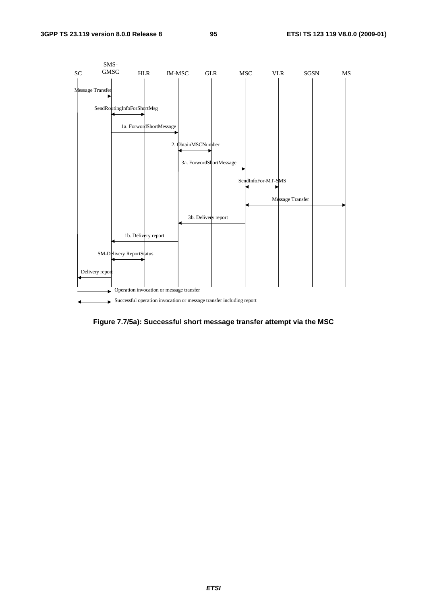

**Figure 7.7/5a): Successful short message transfer attempt via the MSC**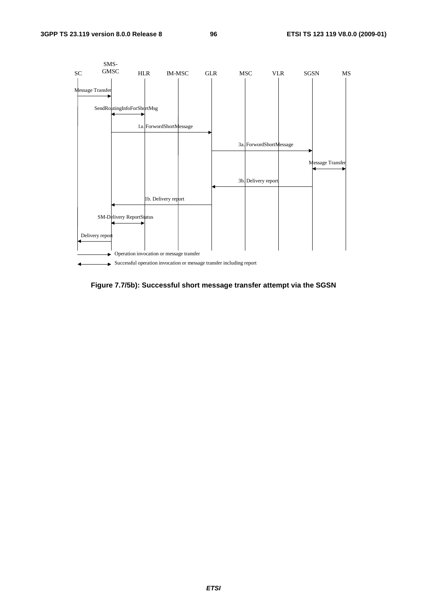

**Figure 7.7/5b): Successful short message transfer attempt via the SGSN**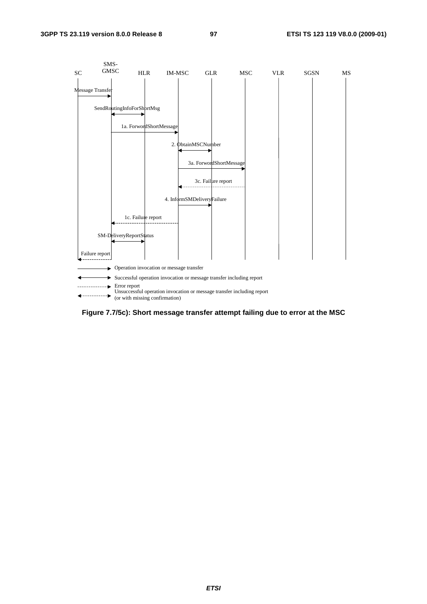

**Figure 7.7/5c): Short message transfer attempt failing due to error at the MSC**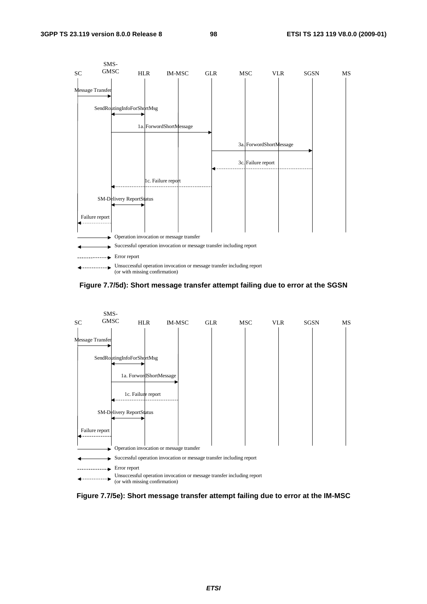

**Figure 7.7/5d): Short message transfer attempt failing due to error at the SGSN** 



**Figure 7.7/5e): Short message transfer attempt failing due to error at the IM-MSC**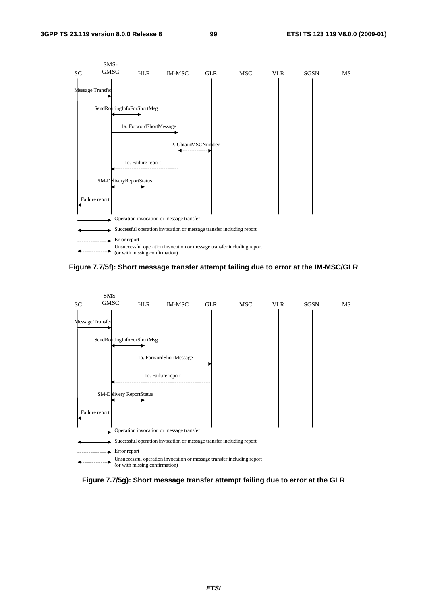

**Figure 7.7/5f): Short message transfer attempt failing due to error at the IM-MSC/GLR** 



**Figure 7.7/5g): Short message transfer attempt failing due to error at the GLR**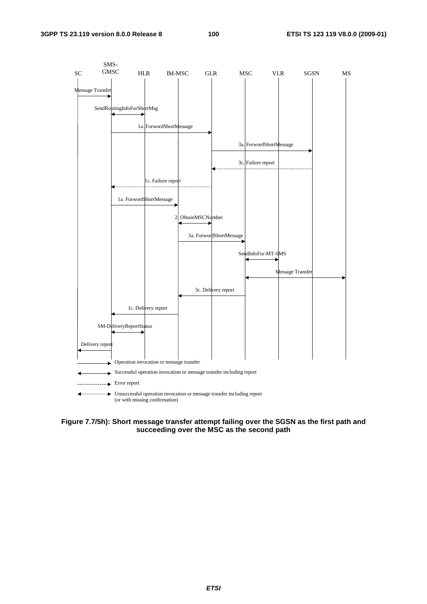

**Figure 7.7/5h): Short message transfer attempt failing over the SGSN as the first path and succeeding over the MSC as the second path**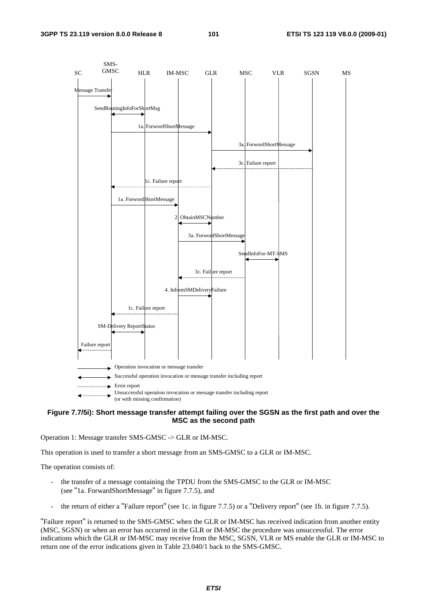

#### **Figure 7.7/5i): Short message transfer attempt failing over the SGSN as the first path and over the MSC as the second path**

Operation 1: Message transfer SMS-GMSC -> GLR or IM-MSC.

This operation is used to transfer a short message from an SMS-GMSC to a GLR or IM-MSC.

The operation consists of:

- the transfer of a message containing the TPDU from the SMS-GMSC to the GLR or IM-MSC (see "1a. ForwardShortMessage" in figure 7.7.5), and
- the return of either a "Failure report" (see 1c. in figure 7.7.5) or a "Delivery report" (see 1b. in figure 7.7.5).

"Failure report" is returned to the SMS-GMSC when the GLR or IM-MSC has received indication from another entity (MSC, SGSN) or when an error has occurred in the GLR or IM-MSC the procedure was unsuccessful. The error indications which the GLR or IM-MSC may receive from the MSC, SGSN, VLR or MS enable the GLR or IM-MSC to return one of the error indications given in Table 23.040/1 back to the SMS-GMSC.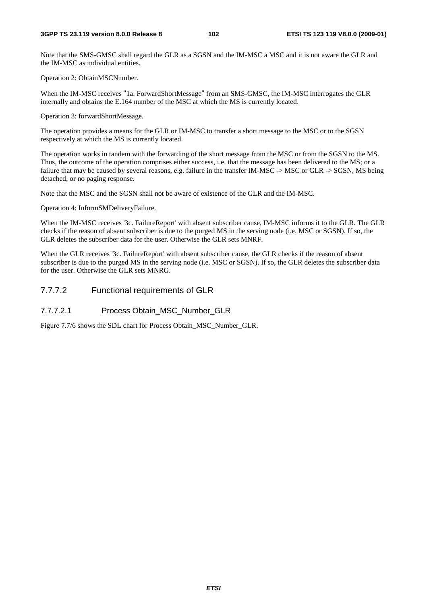Note that the SMS-GMSC shall regard the GLR as a SGSN and the IM-MSC a MSC and it is not aware the GLR and the IM-MSC as individual entities.

Operation 2: ObtainMSCNumber.

When the IM-MSC receives "1a. ForwardShortMessage" from an SMS-GMSC, the IM-MSC interrogates the GLR internally and obtains the E.164 number of the MSC at which the MS is currently located.

Operation 3: forwardShortMessage.

The operation provides a means for the GLR or IM-MSC to transfer a short message to the MSC or to the SGSN respectively at which the MS is currently located.

The operation works in tandem with the forwarding of the short message from the MSC or from the SGSN to the MS. Thus, the outcome of the operation comprises either success, i.e. that the message has been delivered to the MS; or a failure that may be caused by several reasons, e.g. failure in the transfer IM-MSC -> MSC or GLR -> SGSN, MS being detached, or no paging response.

Note that the MSC and the SGSN shall not be aware of existence of the GLR and the IM-MSC.

Operation 4: InformSMDeliveryFailure.

When the IM-MSC receives '3c. FailureReport' with absent subscriber cause, IM-MSC informs it to the GLR. The GLR checks if the reason of absent subscriber is due to the purged MS in the serving node (i.e. MSC or SGSN). If so, the GLR deletes the subscriber data for the user. Otherwise the GLR sets MNRF.

When the GLR receives '3c. FailureReport' with absent subscriber cause, the GLR checks if the reason of absent subscriber is due to the purged MS in the serving node (i.e. MSC or SGSN). If so, the GLR deletes the subscriber data for the user. Otherwise the GLR sets MNRG.

## 7.7.7.2 Functional requirements of GLR

#### 7.7.7.2.1 Process Obtain\_MSC\_Number\_GLR

Figure 7.7/6 shows the SDL chart for Process Obtain\_MSC\_Number\_GLR.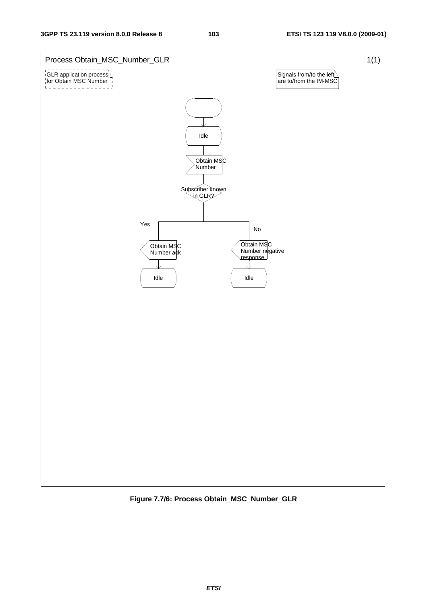

**Figure 7.7/6: Process Obtain\_MSC\_Number\_GLR**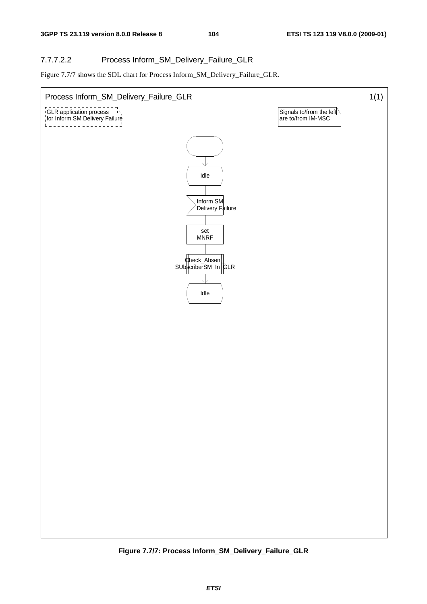## 7.7.7.2.2 Process Inform\_SM\_Delivery\_Failure\_GLR

Figure 7.7/7 shows the SDL chart for Process Inform\_SM\_Delivery\_Failure\_GLR.



**Figure 7.7/7: Process Inform\_SM\_Delivery\_Failure\_GLR**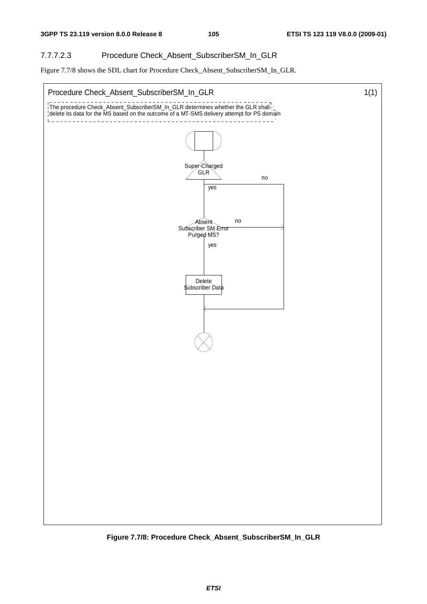# 7.7.7.2.3 Procedure Check\_Absent\_SubscriberSM\_In\_GLR

Figure 7.7/8 shows the SDL chart for Procedure Check\_Absent\_SubscriberSM\_In\_GLR.



**Figure 7.7/8: Procedure Check\_Absent\_SubscriberSM\_In\_GLR**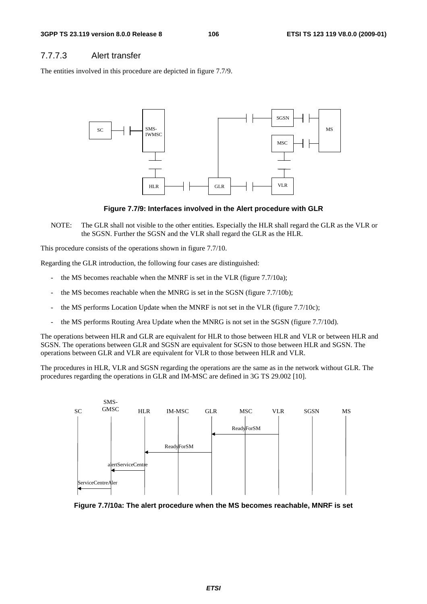## 7.7.7.3 Alert transfer

The entities involved in this procedure are depicted in figure 7.7/9.



**Figure 7.7/9: Interfaces involved in the Alert procedure with GLR** 

NOTE: The GLR shall not visible to the other entities. Especially the HLR shall regard the GLR as the VLR or the SGSN. Further the SGSN and the VLR shall regard the GLR as the HLR.

This procedure consists of the operations shown in figure 7.7/10.

Regarding the GLR introduction, the following four cases are distinguished:

- the MS becomes reachable when the MNRF is set in the VLR (figure 7.7/10a);
- the MS becomes reachable when the MNRG is set in the SGSN (figure 7.7/10b);
- the MS performs Location Update when the MNRF is not set in the VLR (figure 7.7/10c);
- the MS performs Routing Area Update when the MNRG is not set in the SGSN (figure 7.7/10d).

The operations between HLR and GLR are equivalent for HLR to those between HLR and VLR or between HLR and SGSN. The operations between GLR and SGSN are equivalent for SGSN to those between HLR and SGSN. The operations between GLR and VLR are equivalent for VLR to those between HLR and VLR.

The procedures in HLR, VLR and SGSN regarding the operations are the same as in the network without GLR. The procedures regarding the operations in GLR and IM-MSC are defined in 3G TS 29.002 [10].



**Figure 7.7/10a: The alert procedure when the MS becomes reachable, MNRF is set**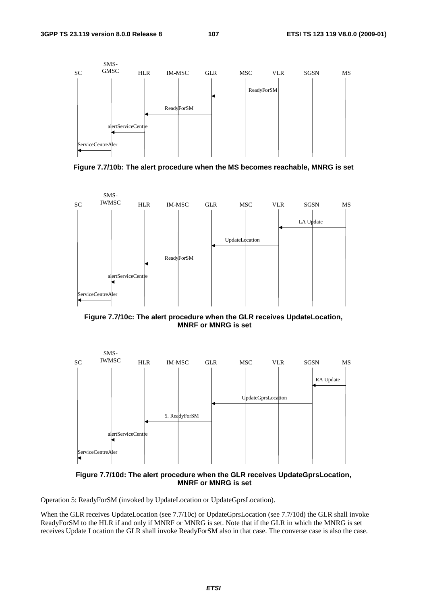

**Figure 7.7/10b: The alert procedure when the MS becomes reachable, MNRG is set** 



**Figure 7.7/10c: The alert procedure when the GLR receives UpdateLocation, MNRF or MNRG is set** 



**Figure 7.7/10d: The alert procedure when the GLR receives UpdateGprsLocation, MNRF or MNRG is set** 

Operation 5: ReadyForSM (invoked by UpdateLocation or UpdateGprsLocation).

When the GLR receives UpdateLocation (see 7.7/10c) or UpdateGprsLocation (see 7.7/10d) the GLR shall invoke ReadyForSM to the HLR if and only if MNRF or MNRG is set. Note that if the GLR in which the MNRG is set receives Update Location the GLR shall invoke ReadyForSM also in that case. The converse case is also the case.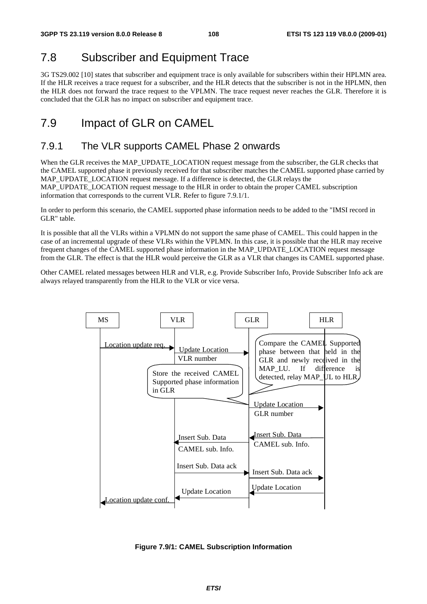# 7.8 Subscriber and Equipment Trace

3G TS29.002 [10] states that subscriber and equipment trace is only available for subscribers within their HPLMN area. If the HLR receives a trace request for a subscriber, and the HLR detects that the subscriber is not in the HPLMN, then the HLR does not forward the trace request to the VPLMN. The trace request never reaches the GLR. Therefore it is concluded that the GLR has no impact on subscriber and equipment trace.

# 7.9 Impact of GLR on CAMEL

# 7.9.1 The VLR supports CAMEL Phase 2 onwards

When the GLR receives the MAP\_UPDATE\_LOCATION request message from the subscriber, the GLR checks that the CAMEL supported phase it previously received for that subscriber matches the CAMEL supported phase carried by MAP\_UPDATE\_LOCATION request message. If a difference is detected, the GLR relays the MAP\_UPDATE\_LOCATION request message to the HLR in order to obtain the proper CAMEL subscription information that corresponds to the current VLR. Refer to figure 7.9.1/1.

In order to perform this scenario, the CAMEL supported phase information needs to be added to the "IMSI record in GLR" table.

It is possible that all the VLRs within a VPLMN do not support the same phase of CAMEL. This could happen in the case of an incremental upgrade of these VLRs within the VPLMN. In this case, it is possible that the HLR may receive frequent changes of the CAMEL supported phase information in the MAP\_UPDATE\_LOCATION request message from the GLR. The effect is that the HLR would perceive the GLR as a VLR that changes its CAMEL supported phase.

Other CAMEL related messages between HLR and VLR, e.g. Provide Subscriber Info, Provide Subscriber Info ack are always relayed transparently from the HLR to the VLR or vice versa.



**Figure 7.9/1: CAMEL Subscription Information**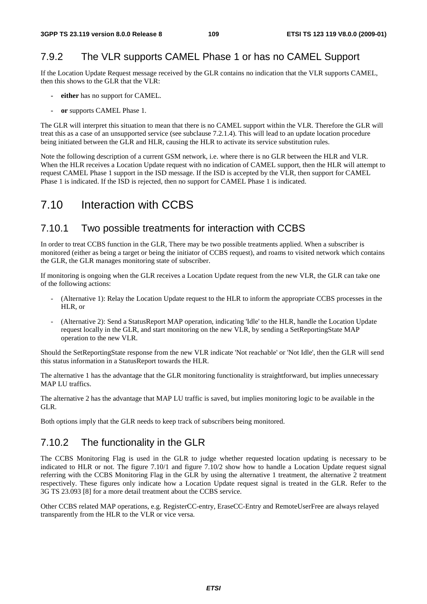# 7.9.2 The VLR supports CAMEL Phase 1 or has no CAMEL Support

If the Location Update Request message received by the GLR contains no indication that the VLR supports CAMEL, then this shows to the GLR that the VLR:

- **either** has no support for CAMEL.
- **or** supports CAMEL Phase 1.

The GLR will interpret this situation to mean that there is no CAMEL support within the VLR. Therefore the GLR will treat this as a case of an unsupported service (see subclause 7.2.1.4). This will lead to an update location procedure being initiated between the GLR and HLR, causing the HLR to activate its service substitution rules.

Note the following description of a current GSM network, i.e. where there is no GLR between the HLR and VLR. When the HLR receives a Location Update request with no indication of CAMEL support, then the HLR will attempt to request CAMEL Phase 1 support in the ISD message. If the ISD is accepted by the VLR, then support for CAMEL Phase 1 is indicated. If the ISD is rejected, then no support for CAMEL Phase 1 is indicated.

# 7.10 Interaction with CCBS

## 7.10.1 Two possible treatments for interaction with CCBS

In order to treat CCBS function in the GLR, There may be two possible treatments applied. When a subscriber is monitored (either as being a target or being the initiator of CCBS request), and roams to visited network which contains the GLR, the GLR manages monitoring state of subscriber.

If monitoring is ongoing when the GLR receives a Location Update request from the new VLR, the GLR can take one of the following actions:

- (Alternative 1): Relay the Location Update request to the HLR to inform the appropriate CCBS processes in the HLR, or
- (Alternative 2): Send a StatusReport MAP operation, indicating 'Idle' to the HLR, handle the Location Update request locally in the GLR, and start monitoring on the new VLR, by sending a SetReportingState MAP operation to the new VLR.

Should the SetReportingState response from the new VLR indicate 'Not reachable' or 'Not Idle', then the GLR will send this status information in a StatusReport towards the HLR.

The alternative 1 has the advantage that the GLR monitoring functionality is straightforward, but implies unnecessary MAP LU traffics.

The alternative 2 has the advantage that MAP LU traffic is saved, but implies monitoring logic to be available in the GLR.

Both options imply that the GLR needs to keep track of subscribers being monitored.

# 7.10.2 The functionality in the GLR

The CCBS Monitoring Flag is used in the GLR to judge whether requested location updating is necessary to be indicated to HLR or not. The figure 7.10/1 and figure 7.10/2 show how to handle a Location Update request signal referring with the CCBS Monitoring Flag in the GLR by using the alternative 1 treatment, the alternative 2 treatment respectively. These figures only indicate how a Location Update request signal is treated in the GLR. Refer to the 3G TS 23.093 [8] for a more detail treatment about the CCBS service.

Other CCBS related MAP operations, e.g. RegisterCC-entry, EraseCC-Entry and RemoteUserFree are always relayed transparently from the HLR to the VLR or vice versa.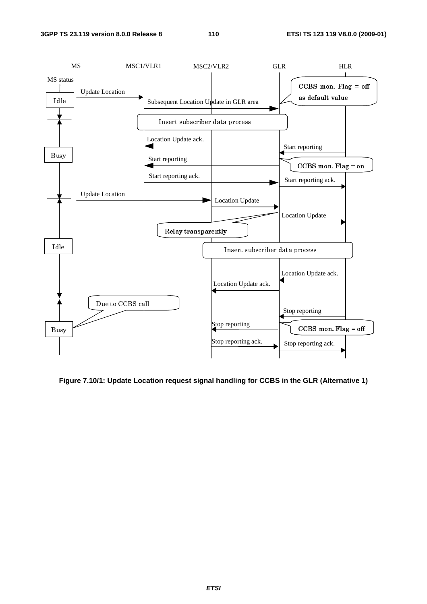

**Figure 7.10/1: Update Location request signal handling for CCBS in the GLR (Alternative 1)**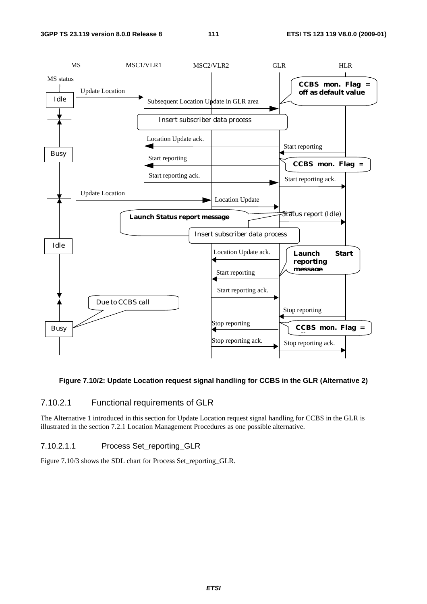

#### **Figure 7.10/2: Update Location request signal handling for CCBS in the GLR (Alternative 2)**

## 7.10.2.1 Functional requirements of GLR

The Alternative 1 introduced in this section for Update Location request signal handling for CCBS in the GLR is illustrated in the section 7.2.1 Location Management Procedures as one possible alternative.

#### 7.10.2.1.1 Process Set\_reporting\_GLR

Figure 7.10/3 shows the SDL chart for Process Set\_reporting\_GLR.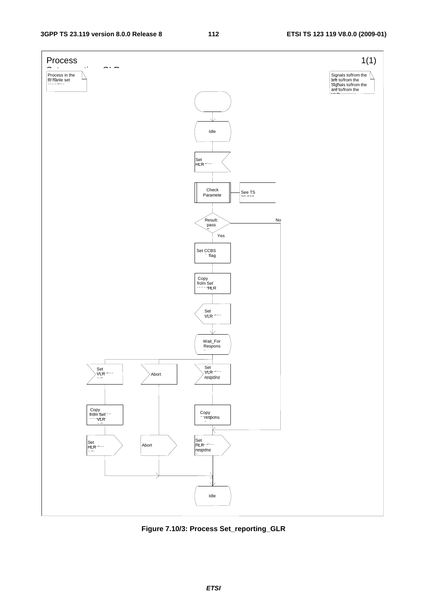

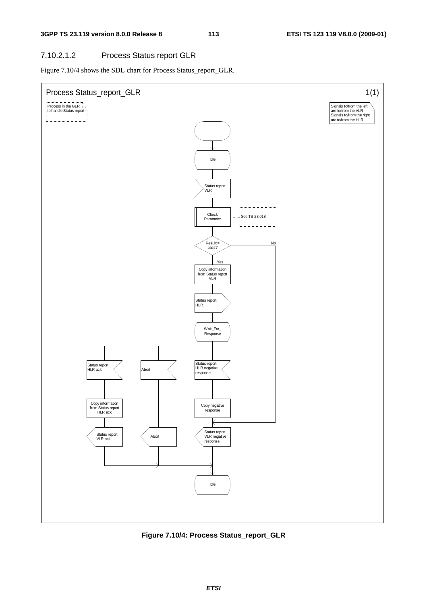## 7.10.2.1.2 Process Status report GLR

Figure 7.10/4 shows the SDL chart for Process Status\_report\_GLR.



**Figure 7.10/4: Process Status\_report\_GLR**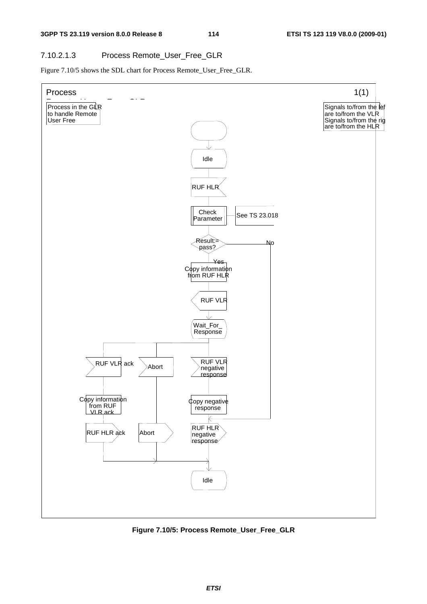## 7.10.2.1.3 Process Remote\_User\_Free\_GLR

Figure 7.10/5 shows the SDL chart for Process Remote\_User\_Free\_GLR.



**Figure 7.10/5: Process Remote\_User\_Free\_GLR**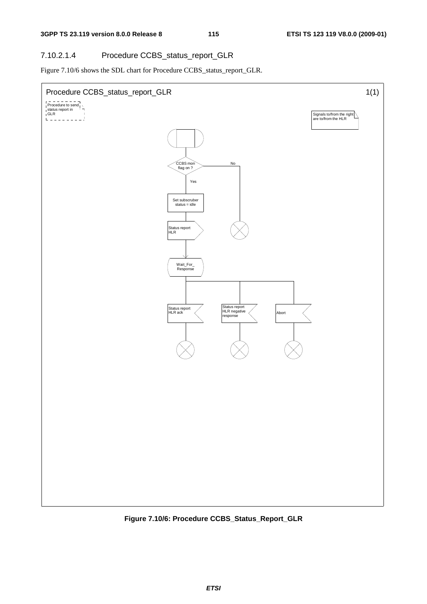## 7.10.2.1.4 Procedure CCBS\_status\_report\_GLR

Figure 7.10/6 shows the SDL chart for Procedure CCBS\_status\_report\_GLR.



**Figure 7.10/6: Procedure CCBS\_Status\_Report\_GLR**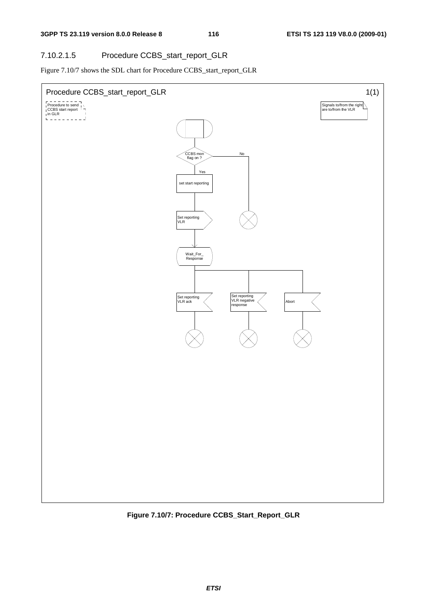## 7.10.2.1.5 Procedure CCBS\_start\_report\_GLR

Figure 7.10/7 shows the SDL chart for Procedure CCBS\_start\_report\_GLR



**Figure 7.10/7: Procedure CCBS\_Start\_Report\_GLR**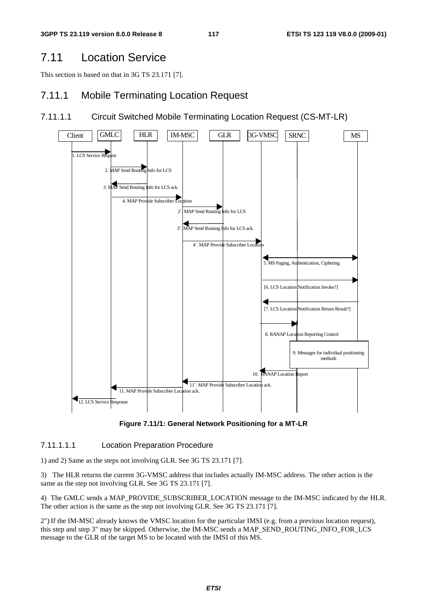# 7.11 Location Service

This section is based on that in 3G TS 23.171 [7].

## 7.11.1 Mobile Terminating Location Request

## 7.11.1.1 Circuit Switched Mobile Terminating Location Request (CS-MT-LR)



**Figure 7.11/1: General Network Positioning for a MT-LR** 

#### 7.11.1.1.1 Location Preparation Procedure

1) and 2) Same as the steps not involving GLR. See 3G TS 23.171 [7].

3) The HLR returns the current 3G-VMSC address that includes actually IM-MSC address. The other action is the same as the step not involving GLR. See 3G TS 23.171 [7].

4) The GMLC sends a MAP\_PROVIDE\_SUBSCRIBER\_LOCATION message to the IM-MSC indicated by the HLR. The other action is the same as the step not involving GLR. See 3G TS 23.171 [7].

2") If the IM-MSC already knows the VMSC location for the particular IMSI (e.g. from a previous location request), this step and step 3" may be skipped. Otherwise, the IM-MSC sends a MAP\_SEND\_ROUTING\_INFO\_FOR\_LCS message to the GLR of the target MS to be located with the IMSI of this MS.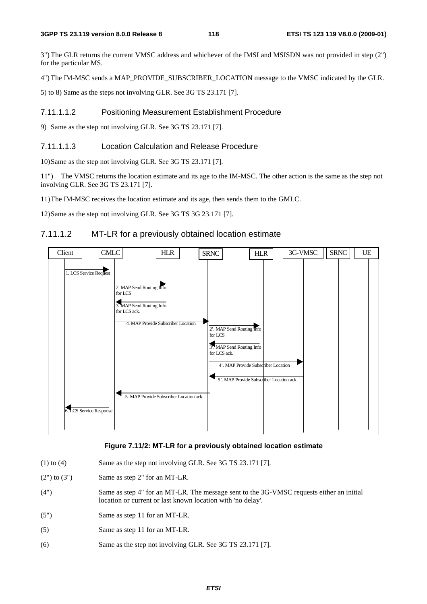3") The GLR returns the current VMSC address and whichever of the IMSI and MSISDN was not provided in step (2") for the particular MS.

4") The IM-MSC sends a MAP\_PROVIDE\_SUBSCRIBER\_LOCATION message to the VMSC indicated by the GLR.

5) to 8) Same as the steps not involving GLR. See 3G TS 23.171 [7].

#### 7.11.1.1.2 Positioning Measurement Establishment Procedure

9) Same as the step not involving GLR. See 3G TS 23.171 [7].

#### 7.11.1.1.3 Location Calculation and Release Procedure

10) Same as the step not involving GLR. See 3G TS 23.171 [7].

11") The VMSC returns the location estimate and its age to the IM-MSC. The other action is the same as the step not involving GLR. See 3G TS 23.171 [7].

11) The IM-MSC receives the location estimate and its age, then sends them to the GMLC.

12) Same as the step not involving GLR. See 3G TS 3G 23.171 [7].

## 7.11.1.2 MT-LR for a previously obtained location estimate



#### **Figure 7.11/2: MT-LR for a previously obtained location estimate**

- (1) to (4) Same as the step not involving GLR. See 3G TS  $23.171$  [7].
- $(2")$  to  $(3")$  Same as step 2" for an MT-LR.
- (4") Same as step 4" for an MT-LR. The message sent to the 3G-VMSC requests either an initial location or current or last known location with 'no delay'.
- (5") Same as step 11 for an MT-LR.
- (5) Same as step 11 for an MT-LR.
- (6) Same as the step not involving GLR. See 3G TS 23.171 [7].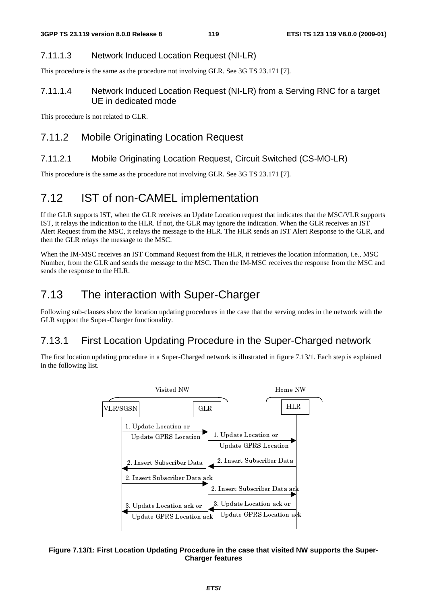## 7.11.1.3 Network Induced Location Request (NI-LR)

This procedure is the same as the procedure not involving GLR. See 3G TS 23.171 [7].

## 7.11.1.4 Network Induced Location Request (NI-LR) from a Serving RNC for a target UE in dedicated mode

This procedure is not related to GLR.

## 7.11.2 Mobile Originating Location Request

## 7.11.2.1 Mobile Originating Location Request, Circuit Switched (CS-MO-LR)

This procedure is the same as the procedure not involving GLR. See 3G TS 23.171 [7].

# 7.12 IST of non-CAMEL implementation

If the GLR supports IST, when the GLR receives an Update Location request that indicates that the MSC/VLR supports IST, it relays the indication to the HLR. If not, the GLR may ignore the indication. When the GLR receives an IST Alert Request from the MSC, it relays the message to the HLR. The HLR sends an IST Alert Response to the GLR, and then the GLR relays the message to the MSC.

When the IM-MSC receives an IST Command Request from the HLR, it retrieves the location information, i.e., MSC Number, from the GLR and sends the message to the MSC. Then the IM-MSC receives the response from the MSC and sends the response to the HLR.

# 7.13 The interaction with Super-Charger

Following sub-clauses show the location updating procedures in the case that the serving nodes in the network with the GLR support the Super-Charger functionality.

# 7.13.1 First Location Updating Procedure in the Super-Charged network

The first location updating procedure in a Super-Charged network is illustrated in figure 7.13/1. Each step is explained in the following list.



#### **Figure 7.13/1: First Location Updating Procedure in the case that visited NW supports the Super-Charger features**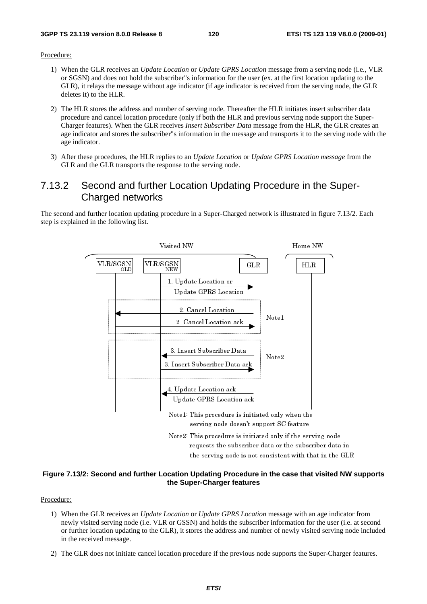Procedure:

- 1) When the GLR receives an *Update Location* or *Update GPRS Location* message from a serving node (i.e., VLR or SGSN) and does not hold the subscriber"s information for the user (ex. at the first location updating to the GLR), it relays the message without age indicator (if age indicator is received from the serving node, the GLR deletes it) to the HLR.
- 2) The HLR stores the address and number of serving node. Thereafter the HLR initiates insert subscriber data procedure and cancel location procedure (only if both the HLR and previous serving node support the Super-Charger features). When the GLR receives *Insert Subscriber Data* message from the HLR, the GLR creates an age indicator and stores the subscriber"s information in the message and transports it to the serving node with the age indicator.
- 3) After these procedures, the HLR replies to an *Update Location* or *Update GPRS Location message* from the GLR and the GLR transports the response to the serving node.

## 7.13.2 Second and further Location Updating Procedure in the Super-Charged networks

The second and further location updating procedure in a Super-Charged network is illustrated in figure 7.13/2. Each step is explained in the following list.



#### **Figure 7.13/2: Second and further Location Updating Procedure in the case that visited NW supports the Super-Charger features**

Procedure:

- requested in the serving node is not consistent with that in the GL<br>cation Updating Procedure in the case that visited NW<br>the Super-Charger features<br>*ocation* or Update GPRS Location message with an age indicate<br>or GSSN) a cation Updating Procedure in the case that visited NW at the Super-Charger features<br>
ocation or Update GPRS Location message with an age indicator<br>
or GSSN) and holds the subscriber information for the user (i.e.  $\overline{LR}$ ) 1) When the GLR receives an *Update Location* or *Update GPRS Location* message with an age indicator from newly visited serving node (i.e. VLR or GSSN) and holds the subscriber information for the user (i.e. at second or further location updating to the GLR), it stores the address and number of newly visited serving node included in the received message.
- 2) The GLR does not initiate cancel location procedure if the previous node supports the Super-Charger features.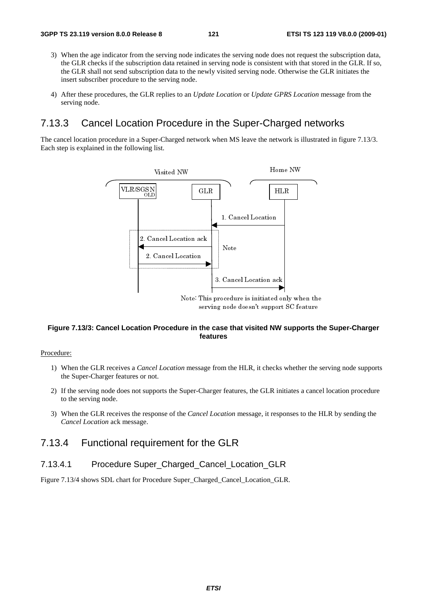- 3) When the age indicator from the serving node indicates the serving node does not request the subscription data, the GLR checks if the subscription data retained in serving node is consistent with that stored in the GLR. If so, the GLR shall not send subscription data to the newly visited serving node. Otherwise the GLR initiates the insert subscriber procedure to the serving node.
- 4) After these procedures, the GLR replies to an *Update Location* or *Update GPRS Location* message from the serving node.

## 7.13.3 Cancel Location Procedure in the Super-Charged networks

The cancel location procedure in a Super-Charged network when MS leave the network is illustrated in figure 7.13/3. Each step is explained in the following list.



# serving node doesn't support SC feature<br> **IF The Case that visited NW supports the divide only well features**<br> *IF* message from the HLR, it checks whether the s<br>
Super-Charger features, the GLR initiates a cance<br> **IF ACCE** serving non-activited NW supports that<br>features<br>features<br>on message from the HLR, it checks whether the<br>Super-Charger features, the GLR initiates a cand<br>the *Cancel Location* message, it responses to the<br>order for the GLR<br> **Figure 7.13/3: Cancel Location Procedure in the case that visited NW supports the Super-Charger features**

#### Procedure:

- 1) When the GLR receives a *Cancel Location* message from the HLR, it checks whether the serving node supports the Super-Charger features or not.
- 2) If the serving node does not supports the Super-Charger features, the GLR initiates a cancel location procedure to the serving node.
- 3) When the GLR receives the response of the *Cancel Location* message, it responses to the HLR by sending the *Cancel Location* ack message.

## 7.13.4 Functional requirement for the GLR

#### 7.13.4.1 Procedure Super\_Charged\_Cancel\_Location\_GLR

Figure 7.13/4 shows SDL chart for Procedure Super\_Charged\_Cancel\_Location\_GLR.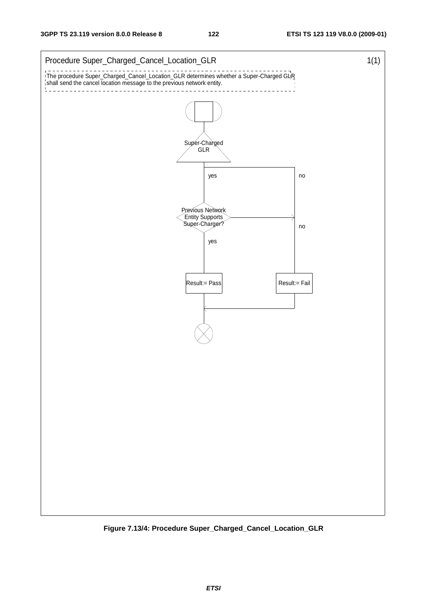

**Figure 7.13/4: Procedure Super\_Charged\_Cancel\_Location\_GLR**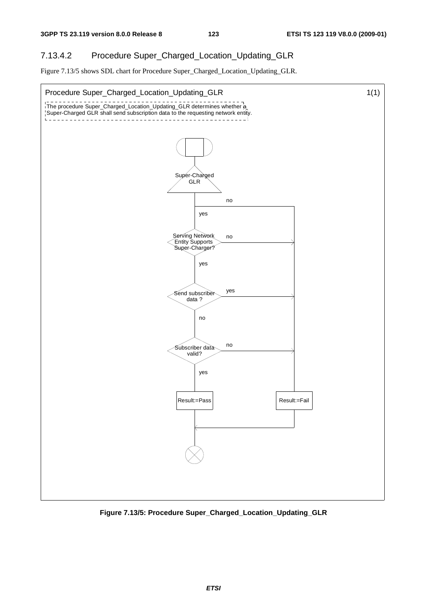## 7.13.4.2 Procedure Super\_Charged\_Location\_Updating\_GLR

Figure 7.13/5 shows SDL chart for Procedure Super\_Charged\_Location\_Updating\_GLR.



**Figure 7.13/5: Procedure Super\_Charged\_Location\_Updating\_GLR**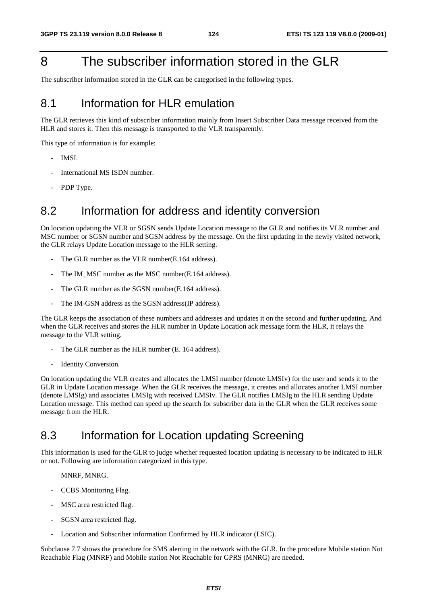# 8 The subscriber information stored in the GLR

The subscriber information stored in the GLR can be categorised in the following types.

# 8.1 Information for HI R emulation

The GLR retrieves this kind of subscriber information mainly from Insert Subscriber Data message received from the HLR and stores it. Then this message is transported to the VLR transparently.

This type of information is for example:

- IMSI.
- International MS ISDN number.
- PDP Type.

# 8.2 Information for address and identity conversion

On location updating the VLR or SGSN sends Update Location message to the GLR and notifies its VLR number and MSC number or SGSN number and SGSN address by the message. On the first updating in the newly visited network, the GLR relays Update Location message to the HLR setting.

- The GLR number as the VLR number(E.164 address).
- The IM\_MSC number as the MSC number(E.164 address).
- The GLR number as the SGSN number(E.164 address).
- The IM-GSN address as the SGSN address(IP address).

The GLR keeps the association of these numbers and addresses and updates it on the second and further updating. And when the GLR receives and stores the HLR number in Update Location ack message form the HLR, it relays the message to the VLR setting.

- The GLR number as the HLR number (E. 164 address).
- Identity Conversion.

On location updating the VLR creates and allocates the LMSI number (denote LMSIv) for the user and sends it to the GLR in Update Location message. When the GLR receives the message, it creates and allocates another LMSI number (denote LMSIg) and associates LMSIg with received LMSIv. The GLR notifies LMSIg to the HLR sending Update Location message. This method can speed up the search for subscriber data in the GLR when the GLR receives some message from the HLR.

# 8.3 Information for Location updating Screening

This information is used for the GLR to judge whether requested location updating is necessary to be indicated to HLR or not. Following are information categorized in this type.

MNRF, MNRG.

- CCBS Monitoring Flag.
- MSC area restricted flag.
- SGSN area restricted flag.
- Location and Subscriber information Confirmed by HLR indicator (LSIC).

Subclause 7.7 shows the procedure for SMS alerting in the network with the GLR. In the procedure Mobile station Not Reachable Flag (MNRF) and Mobile station Not Reachable for GPRS (MNRG) are needed.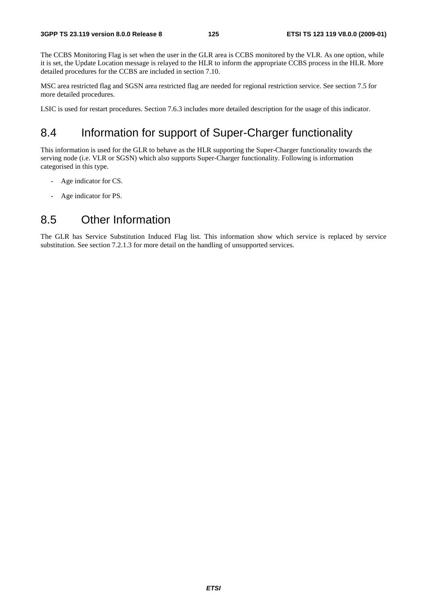The CCBS Monitoring Flag is set when the user in the GLR area is CCBS monitored by the VLR. As one option, while it is set, the Update Location message is relayed to the HLR to inform the appropriate CCBS process in the HLR. More detailed procedures for the CCBS are included in section 7.10.

MSC area restricted flag and SGSN area restricted flag are needed for regional restriction service. See section 7.5 for more detailed procedures.

LSIC is used for restart procedures. Section 7.6.3 includes more detailed description for the usage of this indicator.

# 8.4 Information for support of Super-Charger functionality

This information is used for the GLR to behave as the HLR supporting the Super-Charger functionality towards the serving node (i.e. VLR or SGSN) which also supports Super-Charger functionality. Following is information categorised in this type.

- Age indicator for CS.
- Age indicator for PS.

# 8.5 Other Information

The GLR has Service Substitution Induced Flag list. This information show which service is replaced by service substitution. See section 7.2.1.3 for more detail on the handling of unsupported services.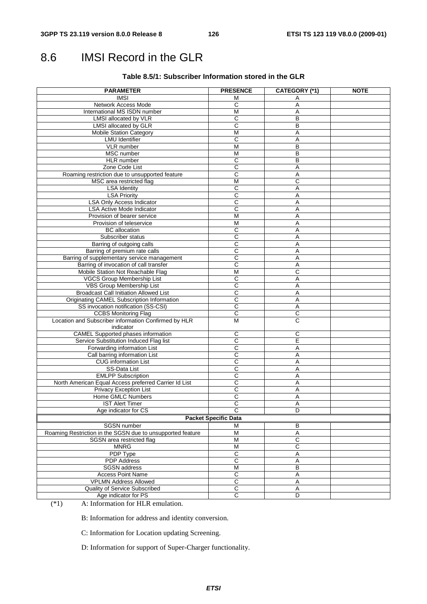# 8.6 IMSI Record in the GLR

#### **Table 8.5/1: Subscriber Information stored in the GLR**

| <b>PARAMETER</b>                                                  | <b>PRESENCE</b>             | <b>CATEGORY (*1)</b> | <b>NOTE</b> |
|-------------------------------------------------------------------|-----------------------------|----------------------|-------------|
| <b>IMSI</b>                                                       | М                           | Α                    |             |
| Network Access Mode                                               | С                           | Α                    |             |
| International MS ISDN number                                      | $\overline{M}$              | Α                    |             |
| LMSI allocated by VLR                                             | C                           | B                    |             |
| <b>LMSI</b> allocated by GLR                                      | C                           | В                    |             |
| <b>Mobile Station Category</b>                                    | M                           | Α                    |             |
| <b>LMU</b> Identifier                                             | С                           | Α                    |             |
| VLR number                                                        | M                           | В                    |             |
| MSC number                                                        | M                           | B                    |             |
| HLR number                                                        | С                           | В                    |             |
| Zone Code List                                                    | C                           | A                    |             |
| Roaming restriction due to unsupported feature                    | С                           | Α                    |             |
| MSC area restricted flag                                          | M                           | C                    |             |
| <b>LSA Identity</b>                                               | C                           | Α                    |             |
| <b>LSA Priority</b>                                               | C                           | Α                    |             |
| <b>LSA Only Access Indicator</b>                                  | C                           | Α                    |             |
| <b>LSA Active Mode Indicator</b>                                  | $\overline{\text{c}}$       | Α                    |             |
| Provision of bearer service                                       | M                           | Α                    |             |
| Provision of teleservice                                          | M                           | Α                    |             |
| <b>BC</b> allocation                                              | C                           | Α                    |             |
| Subscriber status                                                 | $\overline{C}$              | Α                    |             |
| Barring of outgoing calls                                         | C                           | Α                    |             |
| Barring of premium rate calls                                     | C                           |                      |             |
|                                                                   |                             | Α                    |             |
| Barring of supplementary service management                       | $\overline{\text{c}}$       | A                    |             |
| Barring of invocation of call transfer                            | С                           | Α                    |             |
| Mobile Station Not Reachable Flag                                 | M                           | C                    |             |
| VGCS Group Membership List                                        | C                           | A                    |             |
| VBS Group Membership List                                         | $\overline{\text{c}}$       | Α                    |             |
| <b>Broadcast Call Initiation Allowed List</b>                     | C                           | Α                    |             |
| Originating CAMEL Subscription Information                        | C                           | Α                    |             |
| SS invocation notification (SS-CSI)                               | $\mathsf C$                 | Α                    |             |
| <b>CCBS Monitoring Flag</b>                                       | $\overline{c}$              | C                    |             |
| Location and Subscriber information Confirmed by HLR<br>indicator | M                           | C                    |             |
| <b>CAMEL Supported phases information</b>                         | С                           | С                    |             |
| Service Substitution Induced Flag list                            | С                           | E                    |             |
|                                                                   | $\overline{\text{c}}$       | Α                    |             |
| Forwarding information List                                       |                             |                      |             |
| Call barring information List                                     | C                           | Α                    |             |
| <b>CUG</b> information List                                       | $\overline{C}$              | Α                    |             |
| SS-Data List                                                      | C                           | A                    |             |
| <b>EMLPP Subscription</b>                                         | C                           | Α                    |             |
| North American Equal Access preferred Carrier Id List             | $\overline{\text{c}}$       | Α                    |             |
| <b>Privacy Exception List</b>                                     | $\overline{C}$              | Α                    |             |
| Home GMLC Numbers                                                 | С                           | Α                    |             |
| <b>IST Alert Timer</b>                                            | $\overline{\rm c}$          | A                    |             |
| Age indicator for CS                                              | С                           | D                    |             |
|                                                                   | <b>Packet Specific Data</b> |                      |             |
| SGSN number                                                       | M                           | В                    |             |
| Roaming Restriction in the SGSN due to unsupported feature        | M                           | $\overline{A}$       |             |
| SGSN area restricted flag                                         | M                           | С                    |             |
| <b>MNRG</b>                                                       | M                           | C                    |             |
| <b>PDP Type</b>                                                   | C                           | Α                    |             |
| <b>PDP</b> Address                                                | $\overline{C}$              | Α                    |             |
| <b>SGSN</b> address                                               | M                           | B                    |             |
| <b>Access Point Name</b>                                          | $\overline{C}$              | Α                    |             |
| <b>VPLMN Address Allowed</b>                                      | $\overline{\text{c}}$       | Α                    |             |
|                                                                   |                             |                      |             |
| Quality of Service Subscribed                                     | С                           | Α                    |             |
| Age indicator for PS                                              | $\overline{C}$              | D                    |             |

(\*1) A: Information for HLR emulation.

B: Information for address and identity conversion.

C: Information for Location updating Screening.

D: Information for support of Super-Charger functionality.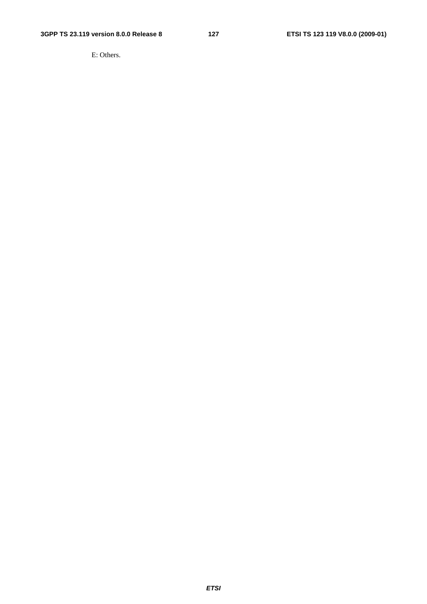E: Others.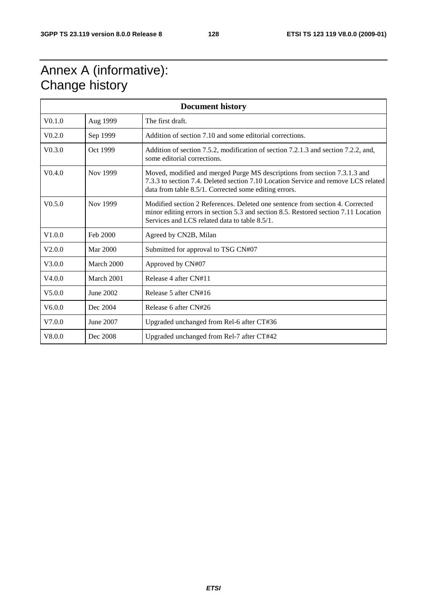# Annex A (informative): Change history

| <b>Document history</b> |            |                                                                                                                                                                                                                          |
|-------------------------|------------|--------------------------------------------------------------------------------------------------------------------------------------------------------------------------------------------------------------------------|
| V <sub>0.1.0</sub>      | Aug 1999   | The first draft.                                                                                                                                                                                                         |
| V <sub>0.2.0</sub>      | Sep 1999   | Addition of section 7.10 and some editorial corrections.                                                                                                                                                                 |
| V <sub>0.3.0</sub>      | Oct 1999   | Addition of section 7.5.2, modification of section 7.2.1.3 and section 7.2.2, and,<br>some editorial corrections.                                                                                                        |
| V <sub>0.4.0</sub>      | Nov 1999   | Moved, modified and merged Purge MS descriptions from section 7.3.1.3 and<br>7.3.3 to section 7.4. Deleted section 7.10 Location Service and remove LCS related<br>data from table 8.5/1. Corrected some editing errors. |
| V <sub>0.5.0</sub>      | Nov 1999   | Modified section 2 References. Deleted one sentence from section 4. Corrected<br>minor editing errors in section 5.3 and section 8.5. Restored section 7.11 Location<br>Services and LCS related data to table 8.5/1.    |
| V1.0.0                  | Feb 2000   | Agreed by CN2B, Milan                                                                                                                                                                                                    |
| V2.0.0                  | Mar 2000   | Submitted for approval to TSG CN#07                                                                                                                                                                                      |
| V3.0.0                  | March 2000 | Approved by CN#07                                                                                                                                                                                                        |
| V4.0.0                  | March 2001 | Release 4 after CN#11                                                                                                                                                                                                    |
| V5.0.0                  | June 2002  | Release 5 after CN#16                                                                                                                                                                                                    |
| V6.0.0                  | Dec 2004   | Release 6 after CN#26                                                                                                                                                                                                    |
| V7.0.0                  | June 2007  | Upgraded unchanged from Rel-6 after CT#36                                                                                                                                                                                |
| V8.0.0                  | Dec 2008   | Upgraded unchanged from Rel-7 after CT#42                                                                                                                                                                                |